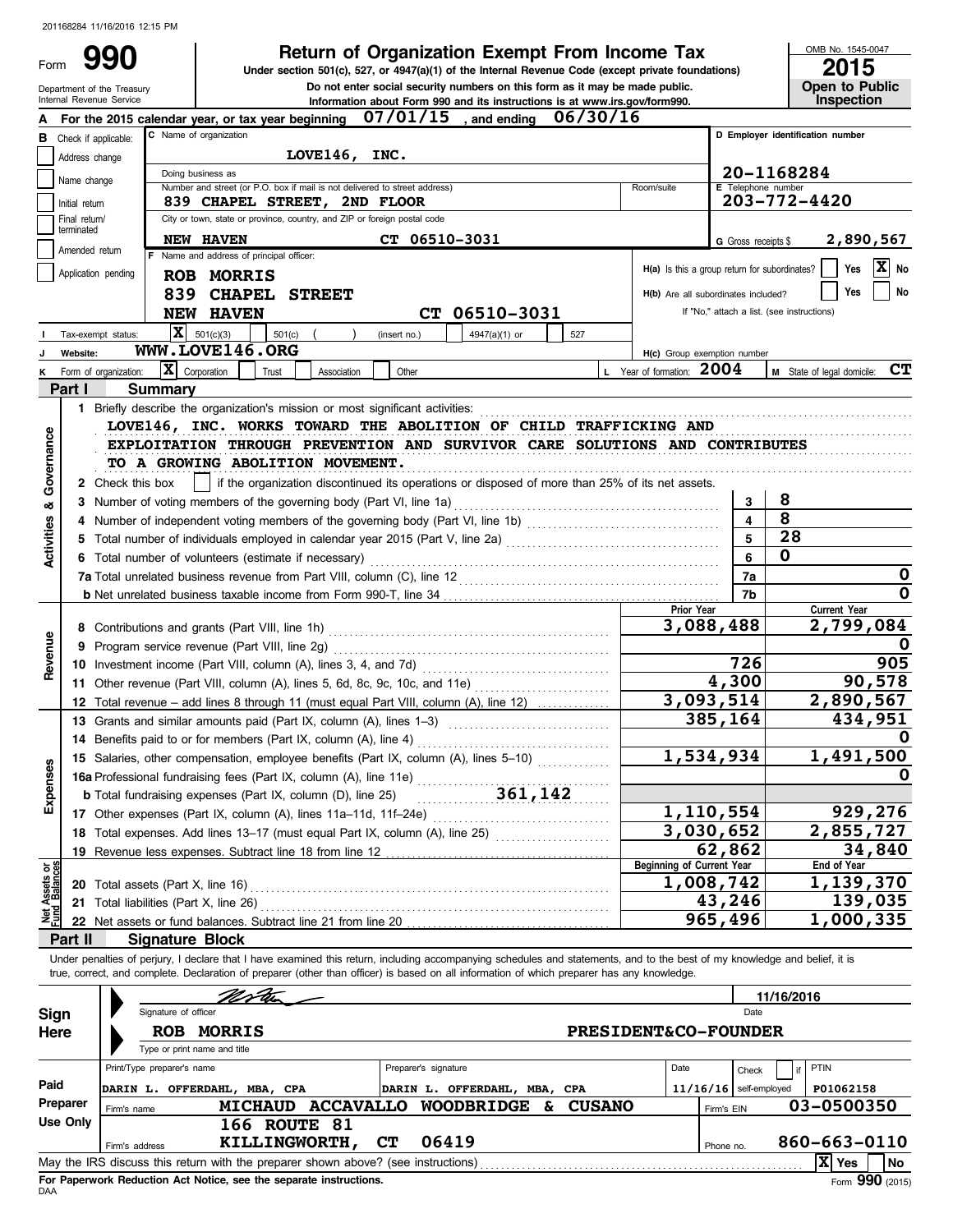## **Return of Organization Exempt From Income Tax**

OMB No. 1545-0047

| Form                    |                                 | フフリ                                                                                                                                                                        |                                          |        |                                                                                                          |              | Under section 501(c), 527, or 4947(a)(1) of the Internal Revenue Code (except private foundations) |          |               |                                               |                                            |                    | 2015                                   |
|-------------------------|---------------------------------|----------------------------------------------------------------------------------------------------------------------------------------------------------------------------|------------------------------------------|--------|----------------------------------------------------------------------------------------------------------|--------------|----------------------------------------------------------------------------------------------------|----------|---------------|-----------------------------------------------|--------------------------------------------|--------------------|----------------------------------------|
|                         |                                 | Department of the Treasury<br>Internal Revenue Service                                                                                                                     |                                          |        |                                                                                                          |              | Do not enter social security numbers on this form as it may be made public.                        |          |               |                                               |                                            |                    | Open to Public<br>Inspection           |
|                         |                                 | For the 2015 calendar year, or tax year beginning                                                                                                                          |                                          |        |                                                                                                          | 07/01/15     | Information about Form 990 and its instructions is at www.irs.gov/form990.<br>, and ending         | 06/30/16 |               |                                               |                                            |                    |                                        |
| В                       | Check if applicable:            |                                                                                                                                                                            | C Name of organization                   |        |                                                                                                          |              |                                                                                                    |          |               |                                               |                                            |                    | D Employer identification number       |
|                         | Address change                  |                                                                                                                                                                            |                                          |        | LOVE146,                                                                                                 | INC.         |                                                                                                    |          |               |                                               |                                            |                    |                                        |
|                         | Name change                     |                                                                                                                                                                            | Doing business as                        |        |                                                                                                          |              |                                                                                                    |          |               |                                               |                                            |                    | 20-1168284                             |
|                         |                                 |                                                                                                                                                                            |                                          |        | Number and street (or P.O. box if mail is not delivered to street address)                               |              |                                                                                                    |          |               | Room/suite                                    |                                            | E Telephone number |                                        |
|                         | Initial return<br>Final return/ |                                                                                                                                                                            |                                          |        | 839 CHAPEL STREET, 2ND FLOOR<br>City or town, state or province, country, and ZIP or foreign postal code |              |                                                                                                    |          |               |                                               |                                            |                    | 203-772-4420                           |
|                         | terminated                      |                                                                                                                                                                            | NEW HAVEN                                |        |                                                                                                          |              | CT 06510-3031                                                                                      |          |               |                                               |                                            |                    | 2,890,567                              |
|                         | Amended return                  |                                                                                                                                                                            | F Name and address of principal officer: |        |                                                                                                          |              |                                                                                                    |          |               |                                               | G Gross receipts \$                        |                    |                                        |
|                         | Application pending             |                                                                                                                                                                            | <b>ROB MORRIS</b>                        |        |                                                                                                          |              |                                                                                                    |          |               | H(a) Is this a group return for subordinates? |                                            |                    | $ \mathbf{X} $ No<br>Yes               |
|                         |                                 |                                                                                                                                                                            |                                          |        | 839 CHAPEL STREET                                                                                        |              |                                                                                                    |          |               | H(b) Are all subordinates included?           |                                            |                    | No<br>Yes                              |
|                         |                                 |                                                                                                                                                                            | <b>NEW HAVEN</b>                         |        |                                                                                                          |              | CT 06510-3031                                                                                      |          |               |                                               | If "No," attach a list. (see instructions) |                    |                                        |
|                         |                                 | Tax-exempt status:                                                                                                                                                         | $\overline{\mathbf{X}}$ 501(c)(3)        |        | $501(c)$ (<br>$\rightarrow$                                                                              | (insert no.) | 4947(a)(1) or                                                                                      | 527      |               |                                               |                                            |                    |                                        |
|                         | Website:                        | WWW.LOVE146.ORG                                                                                                                                                            |                                          |        |                                                                                                          |              |                                                                                                    |          |               | H(c) Group exemption number                   |                                            |                    |                                        |
| κ                       |                                 | Form of organization:                                                                                                                                                      | $ \mathbf{X} $ Corporation               | Trust  | Association                                                                                              | Other        |                                                                                                    |          |               | L Year of formation: 2004                     |                                            |                    | <b>M</b> State of legal domicile: $CT$ |
|                         | Part I                          | <b>Summary</b>                                                                                                                                                             |                                          |        |                                                                                                          |              |                                                                                                    |          |               |                                               |                                            |                    |                                        |
|                         |                                 |                                                                                                                                                                            |                                          |        |                                                                                                          |              |                                                                                                    |          |               |                                               |                                            |                    |                                        |
|                         |                                 |                                                                                                                                                                            |                                          |        |                                                                                                          |              | LOVE146, INC. WORKS TOWARD THE ABOLITION OF CHILD TRAFFICKING AND                                  |          |               |                                               |                                            |                    |                                        |
|                         |                                 |                                                                                                                                                                            |                                          |        |                                                                                                          |              | EXPLOITATION THROUGH PREVENTION AND SURVIVOR CARE SOLUTIONS AND CONTRIBUTES                        |          |               |                                               |                                            |                    |                                        |
| Governance              |                                 | TO A GROWING ABOLITION MOVEMENT.                                                                                                                                           |                                          |        |                                                                                                          |              |                                                                                                    |          |               |                                               |                                            |                    |                                        |
|                         |                                 |                                                                                                                                                                            |                                          |        |                                                                                                          |              |                                                                                                    |          |               |                                               |                                            |                    |                                        |
|                         |                                 | 2 Check this box                                                                                                                                                           |                                          |        |                                                                                                          |              | if the organization discontinued its operations or disposed of more than 25% of its net assets.    |          |               |                                               |                                            |                    |                                        |
| ಹ                       |                                 | 3 Number of voting members of the governing body (Part VI, line 1a)                                                                                                        |                                          |        |                                                                                                          |              |                                                                                                    |          |               |                                               | 3                                          | 8                  |                                        |
|                         |                                 |                                                                                                                                                                            |                                          |        |                                                                                                          |              |                                                                                                    |          |               |                                               | $\overline{\mathbf{4}}$                    | 8                  |                                        |
|                         |                                 | 5 Total number of individuals employed in calendar year 2015 (Part V, line 2a) [[[[[[[[[[[[[[[[[[[[[[[[[[[[[[[                                                             |                                          |        |                                                                                                          |              |                                                                                                    |          |               |                                               | 5                                          |                    | 28                                     |
| Activities              |                                 | 6 Total number of volunteers (estimate if necessary)                                                                                                                       |                                          |        |                                                                                                          |              |                                                                                                    |          |               |                                               | 6                                          | 0                  |                                        |
|                         |                                 |                                                                                                                                                                            |                                          |        |                                                                                                          |              |                                                                                                    |          |               |                                               | 7a                                         |                    | 0                                      |
|                         |                                 |                                                                                                                                                                            |                                          |        |                                                                                                          |              |                                                                                                    |          |               |                                               | 7b                                         |                    | $\mathbf 0$                            |
|                         |                                 |                                                                                                                                                                            |                                          |        |                                                                                                          |              |                                                                                                    |          |               | Prior Year                                    |                                            |                    | <b>Current Year</b>                    |
|                         |                                 |                                                                                                                                                                            |                                          |        |                                                                                                          |              |                                                                                                    |          |               |                                               | 3,088,488                                  |                    | 2,799,084                              |
|                         |                                 |                                                                                                                                                                            |                                          |        |                                                                                                          |              |                                                                                                    |          |               |                                               |                                            |                    |                                        |
| Revenue                 |                                 |                                                                                                                                                                            |                                          |        |                                                                                                          |              |                                                                                                    |          |               |                                               | 726                                        |                    | 905                                    |
|                         |                                 |                                                                                                                                                                            |                                          |        |                                                                                                          |              |                                                                                                    |          |               |                                               | 4,300                                      |                    | 90,578                                 |
|                         |                                 | 11 Other revenue (Part VIII, column (A), lines 5, 6d, 8c, 9c, 10c, and 11e)                                                                                                |                                          |        |                                                                                                          |              |                                                                                                    |          |               |                                               | 3,093,514                                  |                    | 2,890,567                              |
|                         |                                 | 12 Total revenue – add lines 8 through 11 (must equal Part VIII, column (A), line 12)                                                                                      |                                          |        |                                                                                                          |              |                                                                                                    |          |               |                                               | 385,164                                    |                    |                                        |
|                         |                                 | 13 Grants and similar amounts paid (Part IX, column (A), lines 1-3)                                                                                                        |                                          |        |                                                                                                          |              |                                                                                                    |          |               |                                               |                                            |                    | 434,951                                |
|                         |                                 | 14 Benefits paid to or for members (Part IX, column (A), line 4)                                                                                                           |                                          |        |                                                                                                          |              |                                                                                                    |          |               |                                               |                                            |                    | 0                                      |
|                         |                                 | 15 Salaries, other compensation, employee benefits (Part IX, column (A), lines 5-10)                                                                                       |                                          |        |                                                                                                          |              |                                                                                                    |          |               |                                               | 1,534,934                                  |                    | 1,491,500                              |
| Expenses                |                                 | 15 Salaries, outer components, $\frac{1}{2}$ , $\frac{1}{2}$<br>16a Professional fundraising fees (Part IX, column (A), line 11e)<br>$\frac{1}{2}$<br>142                  |                                          |        |                                                                                                          |              |                                                                                                    |          |               |                                               |                                            |                    | 0                                      |
|                         |                                 |                                                                                                                                                                            |                                          |        |                                                                                                          |              |                                                                                                    |          |               |                                               |                                            |                    |                                        |
|                         |                                 | 17 Other expenses (Part IX, column (A), lines 11a-11d, 11f-24e)                                                                                                            |                                          |        |                                                                                                          |              |                                                                                                    |          |               |                                               | 1,110,554                                  |                    | 929,276                                |
|                         |                                 | 18 Total expenses. Add lines 13-17 (must equal Part IX, column (A), line 25)                                                                                               |                                          |        |                                                                                                          |              |                                                                                                    |          |               |                                               | 3,030,652                                  |                    | 2,855,727                              |
|                         |                                 | 19 Revenue less expenses. Subtract line 18 from line 12                                                                                                                    |                                          |        |                                                                                                          |              |                                                                                                    |          |               |                                               | 62,862                                     |                    | 34,840                                 |
| ិ<br>ទី                 |                                 |                                                                                                                                                                            |                                          |        |                                                                                                          |              |                                                                                                    |          |               | <b>Beginning of Current Year</b>              |                                            |                    | End of Year                            |
|                         |                                 |                                                                                                                                                                            |                                          |        |                                                                                                          |              |                                                                                                    |          |               |                                               | 1,008,742                                  |                    | 1,139,370                              |
| t Assets<br>d<br>Balano |                                 |                                                                                                                                                                            |                                          |        |                                                                                                          |              |                                                                                                    |          |               |                                               | 43,246                                     |                    | 139,035                                |
| 휧                       |                                 |                                                                                                                                                                            |                                          |        |                                                                                                          |              |                                                                                                    |          |               |                                               | 965,496                                    |                    | 1,000,335                              |
|                         | Part II                         | <b>Signature Block</b>                                                                                                                                                     |                                          |        |                                                                                                          |              |                                                                                                    |          |               |                                               |                                            |                    |                                        |
|                         |                                 | Under penalties of perjury, I declare that I have examined this return, including accompanying schedules and statements, and to the best of my knowledge and belief, it is |                                          |        |                                                                                                          |              |                                                                                                    |          |               |                                               |                                            |                    |                                        |
|                         |                                 | true, correct, and complete. Declaration of preparer (other than officer) is based on all information of which preparer has any knowledge.                                 |                                          |        |                                                                                                          |              |                                                                                                    |          |               |                                               |                                            |                    |                                        |
|                         |                                 |                                                                                                                                                                            |                                          | MS tro |                                                                                                          |              |                                                                                                    |          |               |                                               |                                            |                    |                                        |
|                         |                                 | Signature of officer                                                                                                                                                       |                                          |        |                                                                                                          |              |                                                                                                    |          |               |                                               |                                            | 11/16/2016<br>Date |                                        |
| <b>Sign</b>             |                                 |                                                                                                                                                                            | <b>ROB MORRIS</b>                        |        |                                                                                                          |              |                                                                                                    |          |               | <b>PRESIDENT&amp;CO-FOUNDER</b>               |                                            |                    |                                        |
| Here                    |                                 |                                                                                                                                                                            | Type or print name and title             |        |                                                                                                          |              |                                                                                                    |          |               |                                               |                                            |                    |                                        |
|                         |                                 | Print/Type preparer's name                                                                                                                                                 |                                          |        |                                                                                                          |              |                                                                                                    |          |               |                                               |                                            |                    |                                        |
|                         |                                 |                                                                                                                                                                            |                                          |        |                                                                                                          |              | Preparer's signature                                                                               |          |               | Date                                          | Check                                      |                    | PTIN                                   |
| Paid                    |                                 | DARIN L. OFFERDAHL, MBA, CPA                                                                                                                                               |                                          |        |                                                                                                          |              | DARIN L. OFFERDAHL, MBA, CPA                                                                       |          |               |                                               | $11/16/16$ self-employed                   |                    | P01062158                              |
|                         | Preparer                        | Firm's name                                                                                                                                                                |                                          |        |                                                                                                          |              | MICHAUD ACCAVALLO WOODBRIDGE                                                                       | &        | <b>CUSANO</b> |                                               | Firm's EIN                                 |                    | 03-0500350                             |
|                         | Use Only                        |                                                                                                                                                                            |                                          |        | <b>166 ROUTE 81</b>                                                                                      |              |                                                                                                    |          |               |                                               |                                            |                    |                                        |
|                         |                                 | Firm's address                                                                                                                                                             |                                          |        | KILLINGWORTH,                                                                                            | <b>CT</b>    | 06419                                                                                              |          |               |                                               | Phone no.                                  |                    | 860-663-0110                           |
|                         |                                 | May the IRS discuss this return with the preparer shown above? (see instructions)                                                                                          |                                          |        |                                                                                                          |              |                                                                                                    |          |               |                                               |                                            |                    | $ \mathbf{X} $ Yes<br>  No             |

|                     | Signature of officer       | Nor U                                                                             | 11/16/2016<br>Date              |               |                          |                        |  |
|---------------------|----------------------------|-----------------------------------------------------------------------------------|---------------------------------|---------------|--------------------------|------------------------|--|
| <b>Sign</b><br>Here | <b>ROB</b>                 | <b>MORRIS</b><br>Type or print name and title                                     | <b>PRESIDENT&amp;CO-FOUNDER</b> |               |                          |                        |  |
|                     | Print/Type preparer's name |                                                                                   | Preparer's signature            | Date          | Check                    | PTIN                   |  |
| Paid                | <b>DARIN L.</b>            | OFFERDAHL, MBA, CPA                                                               | DARIN L. OFFERDAHL, MBA, CPA    |               | $11/16/16$ self-employed | P01062158              |  |
| Preparer            | Firm's name                | <b>ACCAVALLO</b><br><b>MICHAUD</b>                                                | <b>WOODBRIDGE</b><br>Σc         | <b>CUSANO</b> | Firm's EIN               | 03-0500350             |  |
| Use Only            |                            | <b>166 ROUTE 81</b>                                                               |                                 |               |                          |                        |  |
|                     | Firm's address             | KILLINGWORTH,                                                                     | 06419<br><b>CT</b>              |               | Phone no.                | 860-663-0110           |  |
|                     |                            | May the IRS discuss this return with the preparer shown above? (see instructions) |                                 |               |                          | ΙX<br><b>No</b><br>Yes |  |
| <b>DAA</b>          |                            | For Paperwork Reduction Act Notice, see the separate instructions.                |                                 |               |                          | Form 990 (2015)        |  |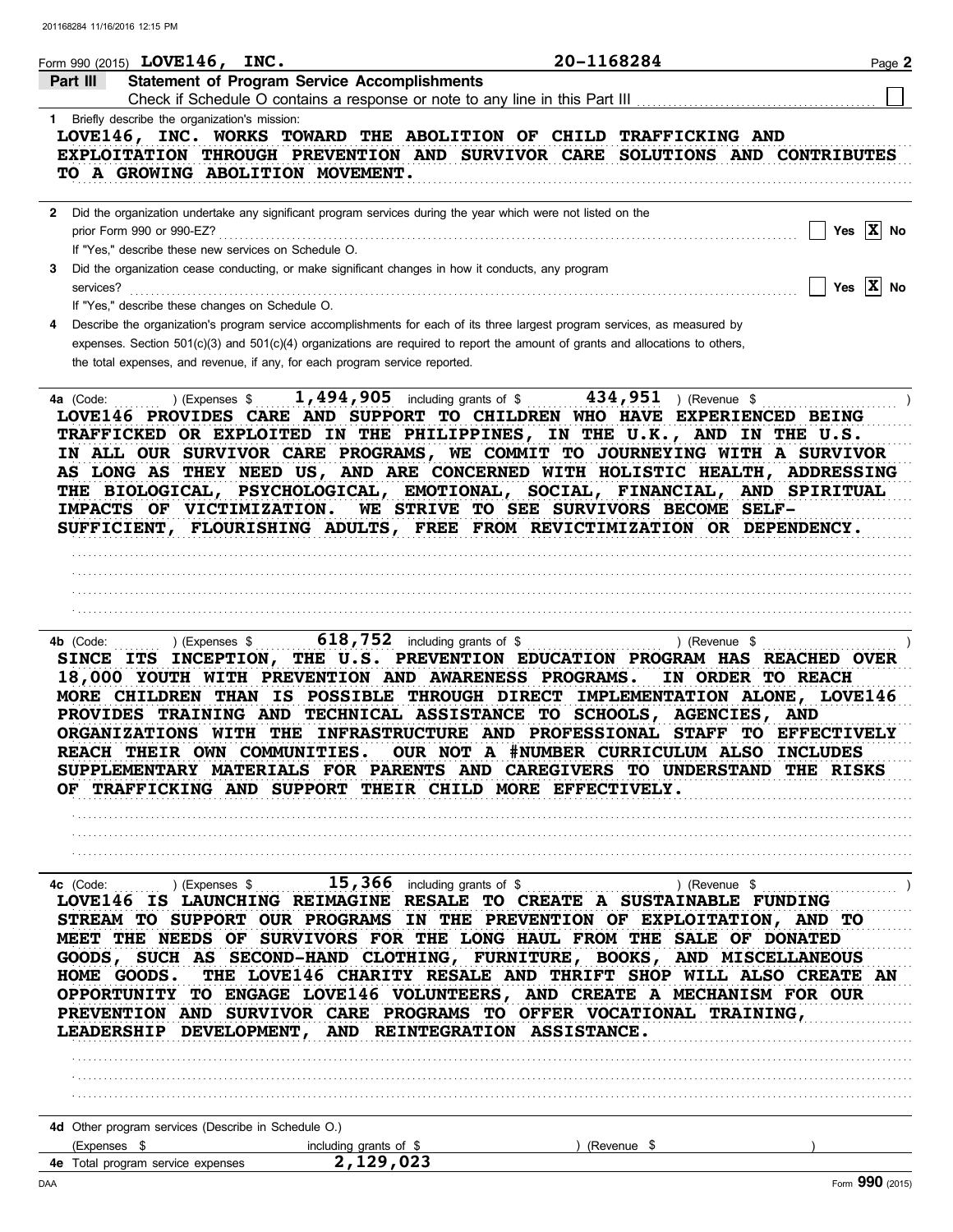|                | Form 990 (2015) LOVE146, INC.                                                                           |                                                                                                                                     | 20-1168284                                                                                                                                                                                                                                                                                                                                                                                                                                                                                                                                                                           | Page 2                             |
|----------------|---------------------------------------------------------------------------------------------------------|-------------------------------------------------------------------------------------------------------------------------------------|--------------------------------------------------------------------------------------------------------------------------------------------------------------------------------------------------------------------------------------------------------------------------------------------------------------------------------------------------------------------------------------------------------------------------------------------------------------------------------------------------------------------------------------------------------------------------------------|------------------------------------|
| Part III       |                                                                                                         | <b>Statement of Program Service Accomplishments</b><br>Check if Schedule O contains a response or note to any line in this Part III |                                                                                                                                                                                                                                                                                                                                                                                                                                                                                                                                                                                      |                                    |
|                | 1 Briefly describe the organization's mission:<br>TO A GROWING ABOLITION MOVEMENT.                      |                                                                                                                                     | LOVE146, INC. WORKS TOWARD THE ABOLITION OF CHILD TRAFFICKING AND<br>EXPLOITATION THROUGH PREVENTION AND SURVIVOR CARE SOLUTIONS AND CONTRIBUTES                                                                                                                                                                                                                                                                                                                                                                                                                                     |                                    |
|                | prior Form 990 or 990-EZ?                                                                               | 2 Did the organization undertake any significant program services during the year which were not listed on the                      |                                                                                                                                                                                                                                                                                                                                                                                                                                                                                                                                                                                      | Yes $\overline{X}$ No              |
| 3<br>services? | If "Yes," describe these new services on Schedule O.<br>If "Yes," describe these changes on Schedule O. | Did the organization cease conducting, or make significant changes in how it conducts, any program                                  |                                                                                                                                                                                                                                                                                                                                                                                                                                                                                                                                                                                      | Yes $X$ No                         |
| 4              |                                                                                                         | the total expenses, and revenue, if any, for each program service reported.                                                         | Describe the organization's program service accomplishments for each of its three largest program services, as measured by<br>expenses. Section $501(c)(3)$ and $501(c)(4)$ organizations are required to report the amount of grants and allocations to others,                                                                                                                                                                                                                                                                                                                     |                                    |
| 4a (Code:      | ) (Expenses \$<br>IMPACTS OF VICTIMIZATION.                                                             |                                                                                                                                     | 1, 494, 905 including grants of $$$ 434, 951 ) (Revenue \$<br>LOVE146 PROVIDES CARE AND SUPPORT TO CHILDREN WHO HAVE EXPERIENCED BEING<br>TRAFFICKED OR EXPLOITED IN THE PHILIPPINES, IN THE U.K., AND IN THE U.S.<br>IN ALL OUR SURVIVOR CARE PROGRAMS, WE COMMIT TO JOURNEYING WITH A SURVIVOR<br>AS LONG AS THEY NEED US, AND ARE CONCERNED WITH HOLISTIC HEALTH, ADDRESSING<br>THE BIOLOGICAL, PSYCHOLOGICAL, EMOTIONAL, SOCIAL, FINANCIAL, AND SPIRITUAL<br>WE STRIVE TO SEE SURVIVORS BECOME SELF-<br>SUFFICIENT, FLOURISHING ADULTS, FREE FROM REVICTIMIZATION OR DEPENDENCY. |                                    |
| 4b (Code:      | ) (Expenses \$                                                                                          | 618,752 including grants of \$<br>18,000 YOUTH WITH PREVENTION AND AWARENESS PROGRAMS.                                              | SINCE ITS INCEPTION, THE U.S. PREVENTION EDUCATION PROGRAM HAS REACHED OVER<br>MORE CHILDREN THAN IS POSSIBLE THROUGH DIRECT IMPLEMENTATION ALONE, LOVE146<br>PROVIDES TRAINING AND TECHNICAL ASSISTANCE TO SCHOOLS, AGENCIES, AND<br>ORGANIZATIONS WITH THE INFRASTRUCTURE AND PROFESSIONAL STAFF TO EFFECTIVELY<br>REACH THEIR OWN COMMUNITIES. OUR NOT A #NUMBER CURRICULUM ALSO INCLUDES<br>SUPPLEMENTARY MATERIALS FOR PARENTS AND CAREGIVERS TO UNDERSTAND THE RISKS<br>OF TRAFFICKING AND SUPPORT THEIR CHILD MORE EFFECTIVELY.                                               | ) (Revenue \$<br>IN ORDER TO REACH |
| 4c (Code:      | $(1, 1, 1, 1)$ (Expenses \$                                                                             | 15,366 including grants of \$                                                                                                       |                                                                                                                                                                                                                                                                                                                                                                                                                                                                                                                                                                                      | ) (Revenue \$                      |
| HOME GOODS.    |                                                                                                         | LEADERSHIP DEVELOPMENT, AND REINTEGRATION ASSISTANCE.                                                                               | LOVE146 IS LAUNCHING REIMAGINE RESALE TO CREATE A SUSTAINABLE FUNDING<br>STREAM TO SUPPORT OUR PROGRAMS IN THE PREVENTION OF EXPLOITATION, AND TO<br>MEET THE NEEDS OF SURVIVORS FOR THE LONG HAUL FROM THE SALE OF DONATED<br>GOODS, SUCH AS SECOND-HAND CLOTHING, FURNITURE, BOOKS, AND MISCELLANEOUS<br>THE LOVE146 CHARITY RESALE AND THRIFT SHOP WILL ALSO CREATE AN<br>OPPORTUNITY TO ENGAGE LOVE146 VOLUNTEERS, AND CREATE A MECHANISM FOR OUR<br>PREVENTION AND SURVIVOR CARE PROGRAMS TO OFFER VOCATIONAL TRAINING,                                                         |                                    |
|                |                                                                                                         |                                                                                                                                     |                                                                                                                                                                                                                                                                                                                                                                                                                                                                                                                                                                                      |                                    |
|                |                                                                                                         |                                                                                                                                     |                                                                                                                                                                                                                                                                                                                                                                                                                                                                                                                                                                                      |                                    |
| (Expenses \$   | 4d Other program services (Describe in Schedule O.)                                                     | including grants of \$                                                                                                              | (Revenue \$                                                                                                                                                                                                                                                                                                                                                                                                                                                                                                                                                                          |                                    |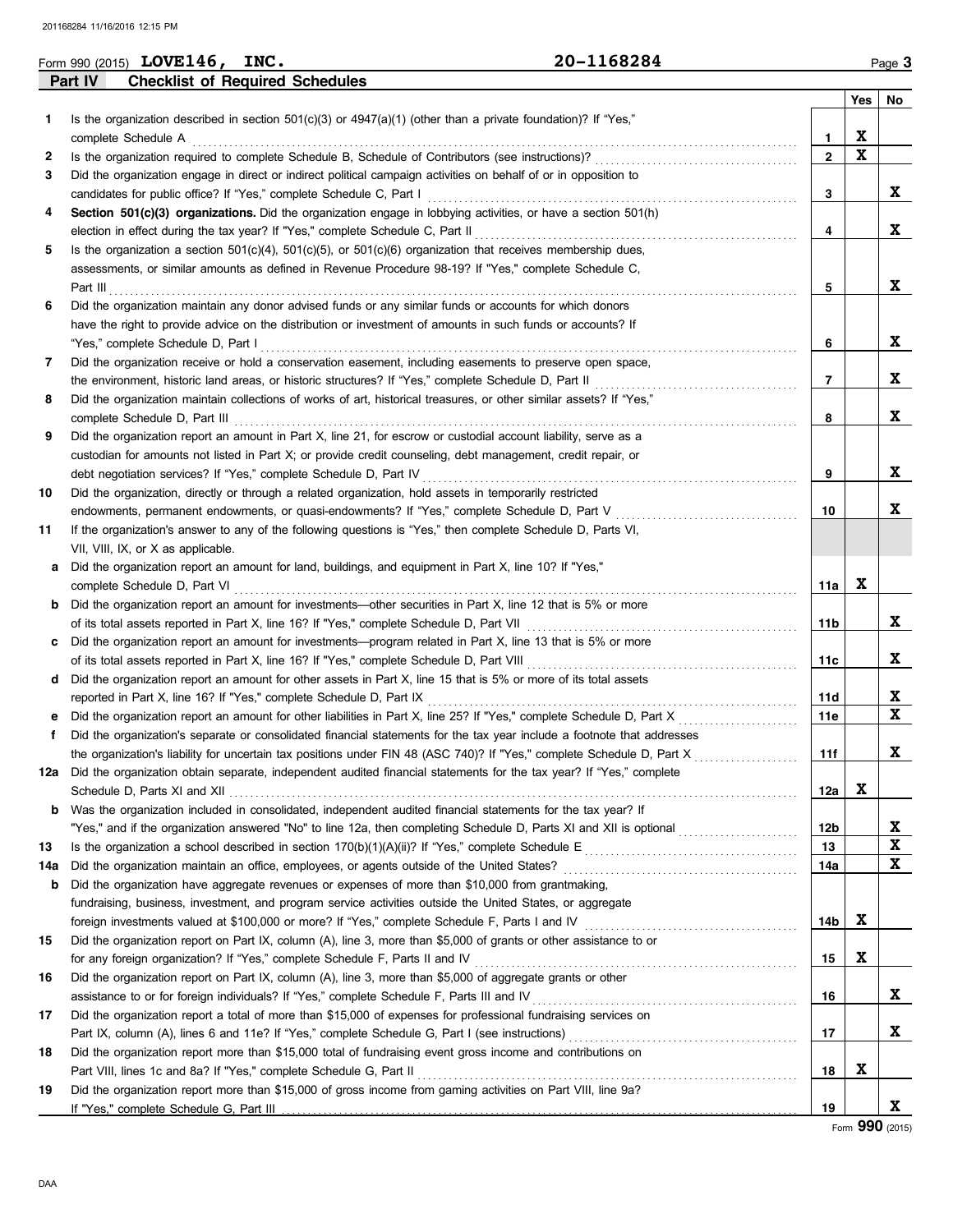|     | Form 990 (2015) LOVE146, INC.                                                                                                                                                                           | 20-1168284 |                |             | Page 3      |
|-----|---------------------------------------------------------------------------------------------------------------------------------------------------------------------------------------------------------|------------|----------------|-------------|-------------|
|     | <b>Checklist of Required Schedules</b><br>Part IV                                                                                                                                                       |            |                |             |             |
|     |                                                                                                                                                                                                         |            |                | Yes         | No          |
| 1   | Is the organization described in section $501(c)(3)$ or $4947(a)(1)$ (other than a private foundation)? If "Yes,"                                                                                       |            |                |             |             |
|     | complete Schedule A                                                                                                                                                                                     |            | 1              | X           |             |
| 2   |                                                                                                                                                                                                         |            | $\overline{2}$ | $\mathbf x$ |             |
| 3   | Did the organization engage in direct or indirect political campaign activities on behalf of or in opposition to                                                                                        |            |                |             |             |
|     | candidates for public office? If "Yes," complete Schedule C, Part I                                                                                                                                     |            | 3              |             | X           |
| 4   | Section 501(c)(3) organizations. Did the organization engage in lobbying activities, or have a section 501(h)                                                                                           |            |                |             |             |
|     | election in effect during the tax year? If "Yes," complete Schedule C, Part II                                                                                                                          |            | 4              |             | X           |
| 5   | Is the organization a section $501(c)(4)$ , $501(c)(5)$ , or $501(c)(6)$ organization that receives membership dues,                                                                                    |            |                |             |             |
|     | assessments, or similar amounts as defined in Revenue Procedure 98-19? If "Yes," complete Schedule C,                                                                                                   |            |                |             |             |
|     | Part III                                                                                                                                                                                                |            | 5              |             | X           |
| 6   | Did the organization maintain any donor advised funds or any similar funds or accounts for which donors                                                                                                 |            |                |             |             |
|     | have the right to provide advice on the distribution or investment of amounts in such funds or accounts? If                                                                                             |            |                |             |             |
|     | "Yes," complete Schedule D, Part I                                                                                                                                                                      |            | 6              |             | X           |
| 7   | Did the organization receive or hold a conservation easement, including easements to preserve open space,                                                                                               |            |                |             |             |
|     | the environment, historic land areas, or historic structures? If "Yes," complete Schedule D, Part II                                                                                                    |            | 7              |             | X           |
| 8   | Did the organization maintain collections of works of art, historical treasures, or other similar assets? If "Yes,"                                                                                     |            |                |             |             |
|     | complete Schedule D, Part III                                                                                                                                                                           |            | 8              |             | X           |
| 9   | Did the organization report an amount in Part X, line 21, for escrow or custodial account liability, serve as a                                                                                         |            |                |             |             |
|     | custodian for amounts not listed in Part X; or provide credit counseling, debt management, credit repair, or                                                                                            |            |                |             |             |
|     | debt negotiation services? If "Yes," complete Schedule D, Part IV                                                                                                                                       |            | 9              |             | X           |
| 10  | Did the organization, directly or through a related organization, hold assets in temporarily restricted                                                                                                 |            |                |             | X           |
|     | endowments, permanent endowments, or quasi-endowments? If "Yes," complete Schedule D, Part V                                                                                                            |            | 10             |             |             |
| 11  | If the organization's answer to any of the following questions is "Yes," then complete Schedule D, Parts VI,                                                                                            |            |                |             |             |
|     | VII, VIII, IX, or X as applicable.                                                                                                                                                                      |            |                |             |             |
| а   | Did the organization report an amount for land, buildings, and equipment in Part X, line 10? If "Yes,"                                                                                                  |            | 11a            | X           |             |
|     | complete Schedule D, Part VI<br>Did the organization report an amount for investments—other securities in Part X, line 12 that is 5% or more                                                            |            |                |             |             |
| b   |                                                                                                                                                                                                         |            | 11b            |             | X           |
|     | of its total assets reported in Part X, line 16? If "Yes," complete Schedule D, Part VII<br>Did the organization report an amount for investments—program related in Part X, line 13 that is 5% or more |            |                |             |             |
| c   | of its total assets reported in Part X, line 16? If "Yes," complete Schedule D, Part VIII                                                                                                               |            | 11c            |             | X           |
|     | Did the organization report an amount for other assets in Part X, line 15 that is 5% or more of its total assets                                                                                        |            |                |             |             |
| d   | reported in Part X, line 16? If "Yes," complete Schedule D, Part IX                                                                                                                                     |            | 11d            |             | X           |
|     | Did the organization report an amount for other liabilities in Part X, line 25? If "Yes," complete Schedule D, Part X                                                                                   |            | 11e            |             | X           |
| Ť.  | Did the organization's separate or consolidated financial statements for the tax year include a footnote that addresses                                                                                 |            |                |             |             |
|     |                                                                                                                                                                                                         |            | 11f            |             | л           |
| 12a | Did the organization obtain separate, independent audited financial statements for the tax year? If "Yes," complete                                                                                     |            |                |             |             |
|     |                                                                                                                                                                                                         |            | 12a            | X           |             |
| b   | Was the organization included in consolidated, independent audited financial statements for the tax year? If                                                                                            |            |                |             |             |
|     | "Yes," and if the organization answered "No" to line 12a, then completing Schedule D, Parts XI and XII is optional                                                                                      |            | 12b            |             | X           |
| 13  |                                                                                                                                                                                                         |            | 13             |             | X           |
| 14a | Did the organization maintain an office, employees, or agents outside of the United States?                                                                                                             |            | 14a            |             | $\mathbf x$ |
| b   | Did the organization have aggregate revenues or expenses of more than \$10,000 from grantmaking,                                                                                                        |            |                |             |             |
|     | fundraising, business, investment, and program service activities outside the United States, or aggregate                                                                                               |            |                |             |             |
|     | foreign investments valued at \$100,000 or more? If "Yes," complete Schedule F, Parts I and IV [[[[[[[[[[[[[[[[                                                                                         |            | 14b            | X           |             |
| 15  | Did the organization report on Part IX, column (A), line 3, more than \$5,000 of grants or other assistance to or                                                                                       |            |                |             |             |
|     | for any foreign organization? If "Yes," complete Schedule F, Parts II and IV                                                                                                                            |            | 15             | X           |             |
| 16  | Did the organization report on Part IX, column (A), line 3, more than \$5,000 of aggregate grants or other                                                                                              |            |                |             |             |
|     | assistance to or for foreign individuals? If "Yes," complete Schedule F, Parts III and IV [[[[[[[[[[[[[[[[[[[                                                                                           |            | 16             |             | X           |
| 17  | Did the organization report a total of more than \$15,000 of expenses for professional fundraising services on                                                                                          |            |                |             |             |
|     |                                                                                                                                                                                                         |            | 17             |             | X           |
| 18  | Did the organization report more than \$15,000 total of fundraising event gross income and contributions on                                                                                             |            |                |             |             |
|     | Part VIII, lines 1c and 8a? If "Yes," complete Schedule G, Part II                                                                                                                                      |            | 18             | X           |             |
| 19  | Did the organization report more than \$15,000 of gross income from gaming activities on Part VIII, line 9a?                                                                                            |            |                |             |             |
|     | If "Yes," complete Schedule G, Part III                                                                                                                                                                 |            | 19             |             | X           |

Form **990** (2015)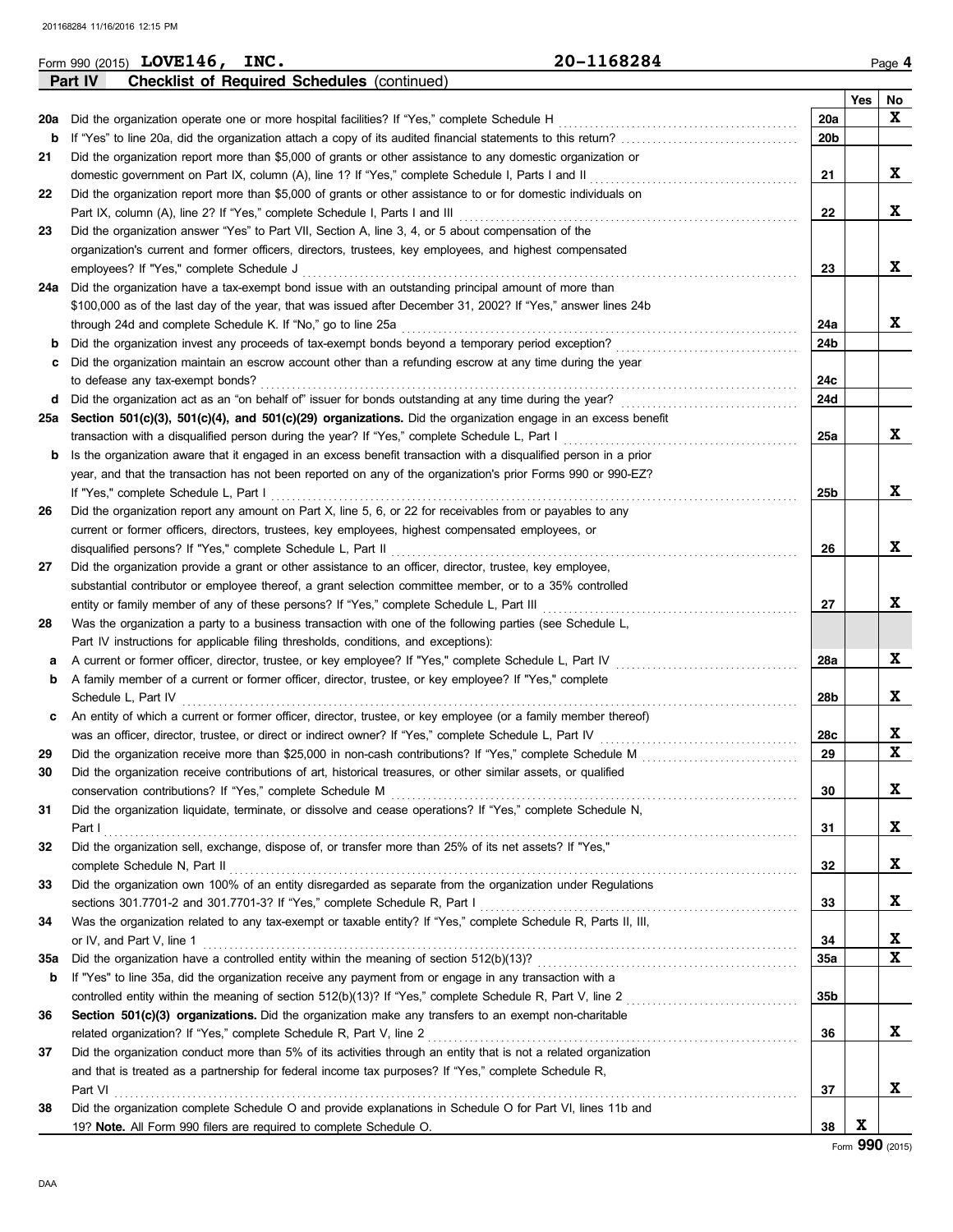| Part IV<br><b>Checklist of Required Schedules (continued)</b><br>Yes<br>No<br>X<br>20a<br>Did the organization operate one or more hospital facilities? If "Yes," complete Schedule H<br>20a<br>20 <sub>b</sub><br>If "Yes" to line 20a, did the organization attach a copy of its audited financial statements to this return?<br>b<br>Did the organization report more than \$5,000 of grants or other assistance to any domestic organization or<br>21<br>X<br>domestic government on Part IX, column (A), line 1? If "Yes," complete Schedule I, Parts I and II<br>21<br>Did the organization report more than \$5,000 of grants or other assistance to or for domestic individuals on<br>22<br>X<br>Part IX, column (A), line 2? If "Yes," complete Schedule I, Parts I and III<br>22<br>Did the organization answer "Yes" to Part VII, Section A, line 3, 4, or 5 about compensation of the<br>23<br>organization's current and former officers, directors, trustees, key employees, and highest compensated<br>X<br>employees? If "Yes," complete Schedule J<br>23<br>Did the organization have a tax-exempt bond issue with an outstanding principal amount of more than<br>24a<br>\$100,000 as of the last day of the year, that was issued after December 31, 2002? If "Yes," answer lines 24b<br>X<br>through 24d and complete Schedule K. If "No," go to line 25a<br>24a<br>24b<br>Did the organization invest any proceeds of tax-exempt bonds beyond a temporary period exception?<br>b<br>Did the organization maintain an escrow account other than a refunding escrow at any time during the year<br>24c<br>to defease any tax-exempt bonds?<br>Did the organization act as an "on behalf of" issuer for bonds outstanding at any time during the year?<br>24d<br>d<br><u>.</u><br>Section 501(c)(3), 501(c)(4), and 501(c)(29) organizations. Did the organization engage in an excess benefit<br>25a<br>X<br>transaction with a disqualified person during the year? If "Yes," complete Schedule L, Part I<br>25a<br>Is the organization aware that it engaged in an excess benefit transaction with a disqualified person in a prior<br>b<br>year, and that the transaction has not been reported on any of the organization's prior Forms 990 or 990-EZ?<br>X<br>If "Yes," complete Schedule L, Part I<br>25b<br>Did the organization report any amount on Part X, line 5, 6, or 22 for receivables from or payables to any<br>26<br>current or former officers, directors, trustees, key employees, highest compensated employees, or<br>X<br>disqualified persons? If "Yes," complete Schedule L, Part II<br>26<br>Did the organization provide a grant or other assistance to an officer, director, trustee, key employee,<br>27<br>substantial contributor or employee thereof, a grant selection committee member, or to a 35% controlled<br>X<br>27<br>entity or family member of any of these persons? If "Yes," complete Schedule L, Part III<br>Was the organization a party to a business transaction with one of the following parties (see Schedule L,<br>28<br>Part IV instructions for applicable filing thresholds, conditions, and exceptions):<br>X<br>A current or former officer, director, trustee, or key employee? If "Yes," complete Schedule L, Part IV<br>28a<br>а<br>A family member of a current or former officer, director, trustee, or key employee? If "Yes," complete<br>b<br>X<br>Schedule L, Part IV<br>28b<br>An entity of which a current or former officer, director, trustee, or key employee (or a family member thereof)<br>X<br>was an officer, director, trustee, or direct or indirect owner? If "Yes," complete Schedule L, Part IV<br>28c<br>$\overline{\mathbf{x}}$<br>29<br>29<br>Did the organization receive contributions of art, historical treasures, or other similar assets, or qualified<br>30<br>X<br>30<br>Did the organization liquidate, terminate, or dissolve and cease operations? If "Yes," complete Schedule N,<br>31<br>X<br>31<br>Part I<br>Did the organization sell, exchange, dispose of, or transfer more than 25% of its net assets? If "Yes,"<br>32<br>X<br>32<br>Did the organization own 100% of an entity disregarded as separate from the organization under Regulations<br>33<br>X<br>33<br>Was the organization related to any tax-exempt or taxable entity? If "Yes," complete Schedule R, Parts II, III,<br>34<br>X<br>34<br>or IV, and Part V, line 1<br>$\mathbf x$<br><b>35a</b><br><b>35a</b><br>If "Yes" to line 35a, did the organization receive any payment from or engage in any transaction with a<br>b<br>35b<br>Section 501(c)(3) organizations. Did the organization make any transfers to an exempt non-charitable<br>36<br>X<br>related organization? If "Yes," complete Schedule R, Part V, line 2<br>36<br>Did the organization conduct more than 5% of its activities through an entity that is not a related organization<br>37<br>and that is treated as a partnership for federal income tax purposes? If "Yes," complete Schedule R,<br>X<br>37<br>Part VI<br>Did the organization complete Schedule O and provide explanations in Schedule O for Part VI, lines 11b and<br>38<br>X<br>38<br>19? Note. All Form 990 filers are required to complete Schedule O. | 20-1168284<br>Form 990 (2015) LOVE146, INC. |  | Page 4 |
|--------------------------------------------------------------------------------------------------------------------------------------------------------------------------------------------------------------------------------------------------------------------------------------------------------------------------------------------------------------------------------------------------------------------------------------------------------------------------------------------------------------------------------------------------------------------------------------------------------------------------------------------------------------------------------------------------------------------------------------------------------------------------------------------------------------------------------------------------------------------------------------------------------------------------------------------------------------------------------------------------------------------------------------------------------------------------------------------------------------------------------------------------------------------------------------------------------------------------------------------------------------------------------------------------------------------------------------------------------------------------------------------------------------------------------------------------------------------------------------------------------------------------------------------------------------------------------------------------------------------------------------------------------------------------------------------------------------------------------------------------------------------------------------------------------------------------------------------------------------------------------------------------------------------------------------------------------------------------------------------------------------------------------------------------------------------------------------------------------------------------------------------------------------------------------------------------------------------------------------------------------------------------------------------------------------------------------------------------------------------------------------------------------------------------------------------------------------------------------------------------------------------------------------------------------------------------------------------------------------------------------------------------------------------------------------------------------------------------------------------------------------------------------------------------------------------------------------------------------------------------------------------------------------------------------------------------------------------------------------------------------------------------------------------------------------------------------------------------------------------------------------------------------------------------------------------------------------------------------------------------------------------------------------------------------------------------------------------------------------------------------------------------------------------------------------------------------------------------------------------------------------------------------------------------------------------------------------------------------------------------------------------------------------------------------------------------------------------------------------------------------------------------------------------------------------------------------------------------------------------------------------------------------------------------------------------------------------------------------------------------------------------------------------------------------------------------------------------------------------------------------------------------------------------------------------------------------------------------------------------------------------------------------------------------------------------------------------------------------------------------------------------------------------------------------------------------------------------------------------------------------------------------------------------------------------------------------------------------------------------------------------------------------------------------------------------------------------------------------------------------------------------------------------------------------------------------------------------------------------------------------------------------------------------------------------------------------------------------------------------------------------------------------------------------------------------------------------------------------------------------------------------------------------------------------------------------------------------------------------------------------------------------------------------|---------------------------------------------|--|--------|
|                                                                                                                                                                                                                                                                                                                                                                                                                                                                                                                                                                                                                                                                                                                                                                                                                                                                                                                                                                                                                                                                                                                                                                                                                                                                                                                                                                                                                                                                                                                                                                                                                                                                                                                                                                                                                                                                                                                                                                                                                                                                                                                                                                                                                                                                                                                                                                                                                                                                                                                                                                                                                                                                                                                                                                                                                                                                                                                                                                                                                                                                                                                                                                                                                                                                                                                                                                                                                                                                                                                                                                                                                                                                                                                                                                                                                                                                                                                                                                                                                                                                                                                                                                                                                                                                                                                                                                                                                                                                                                                                                                                                                                                                                                                                                                                                                                                                                                                                                                                                                                                                                                                                                                                                                                                                                            |                                             |  |        |
|                                                                                                                                                                                                                                                                                                                                                                                                                                                                                                                                                                                                                                                                                                                                                                                                                                                                                                                                                                                                                                                                                                                                                                                                                                                                                                                                                                                                                                                                                                                                                                                                                                                                                                                                                                                                                                                                                                                                                                                                                                                                                                                                                                                                                                                                                                                                                                                                                                                                                                                                                                                                                                                                                                                                                                                                                                                                                                                                                                                                                                                                                                                                                                                                                                                                                                                                                                                                                                                                                                                                                                                                                                                                                                                                                                                                                                                                                                                                                                                                                                                                                                                                                                                                                                                                                                                                                                                                                                                                                                                                                                                                                                                                                                                                                                                                                                                                                                                                                                                                                                                                                                                                                                                                                                                                                            |                                             |  |        |
|                                                                                                                                                                                                                                                                                                                                                                                                                                                                                                                                                                                                                                                                                                                                                                                                                                                                                                                                                                                                                                                                                                                                                                                                                                                                                                                                                                                                                                                                                                                                                                                                                                                                                                                                                                                                                                                                                                                                                                                                                                                                                                                                                                                                                                                                                                                                                                                                                                                                                                                                                                                                                                                                                                                                                                                                                                                                                                                                                                                                                                                                                                                                                                                                                                                                                                                                                                                                                                                                                                                                                                                                                                                                                                                                                                                                                                                                                                                                                                                                                                                                                                                                                                                                                                                                                                                                                                                                                                                                                                                                                                                                                                                                                                                                                                                                                                                                                                                                                                                                                                                                                                                                                                                                                                                                                            |                                             |  |        |
|                                                                                                                                                                                                                                                                                                                                                                                                                                                                                                                                                                                                                                                                                                                                                                                                                                                                                                                                                                                                                                                                                                                                                                                                                                                                                                                                                                                                                                                                                                                                                                                                                                                                                                                                                                                                                                                                                                                                                                                                                                                                                                                                                                                                                                                                                                                                                                                                                                                                                                                                                                                                                                                                                                                                                                                                                                                                                                                                                                                                                                                                                                                                                                                                                                                                                                                                                                                                                                                                                                                                                                                                                                                                                                                                                                                                                                                                                                                                                                                                                                                                                                                                                                                                                                                                                                                                                                                                                                                                                                                                                                                                                                                                                                                                                                                                                                                                                                                                                                                                                                                                                                                                                                                                                                                                                            |                                             |  |        |
|                                                                                                                                                                                                                                                                                                                                                                                                                                                                                                                                                                                                                                                                                                                                                                                                                                                                                                                                                                                                                                                                                                                                                                                                                                                                                                                                                                                                                                                                                                                                                                                                                                                                                                                                                                                                                                                                                                                                                                                                                                                                                                                                                                                                                                                                                                                                                                                                                                                                                                                                                                                                                                                                                                                                                                                                                                                                                                                                                                                                                                                                                                                                                                                                                                                                                                                                                                                                                                                                                                                                                                                                                                                                                                                                                                                                                                                                                                                                                                                                                                                                                                                                                                                                                                                                                                                                                                                                                                                                                                                                                                                                                                                                                                                                                                                                                                                                                                                                                                                                                                                                                                                                                                                                                                                                                            |                                             |  |        |
|                                                                                                                                                                                                                                                                                                                                                                                                                                                                                                                                                                                                                                                                                                                                                                                                                                                                                                                                                                                                                                                                                                                                                                                                                                                                                                                                                                                                                                                                                                                                                                                                                                                                                                                                                                                                                                                                                                                                                                                                                                                                                                                                                                                                                                                                                                                                                                                                                                                                                                                                                                                                                                                                                                                                                                                                                                                                                                                                                                                                                                                                                                                                                                                                                                                                                                                                                                                                                                                                                                                                                                                                                                                                                                                                                                                                                                                                                                                                                                                                                                                                                                                                                                                                                                                                                                                                                                                                                                                                                                                                                                                                                                                                                                                                                                                                                                                                                                                                                                                                                                                                                                                                                                                                                                                                                            |                                             |  |        |
|                                                                                                                                                                                                                                                                                                                                                                                                                                                                                                                                                                                                                                                                                                                                                                                                                                                                                                                                                                                                                                                                                                                                                                                                                                                                                                                                                                                                                                                                                                                                                                                                                                                                                                                                                                                                                                                                                                                                                                                                                                                                                                                                                                                                                                                                                                                                                                                                                                                                                                                                                                                                                                                                                                                                                                                                                                                                                                                                                                                                                                                                                                                                                                                                                                                                                                                                                                                                                                                                                                                                                                                                                                                                                                                                                                                                                                                                                                                                                                                                                                                                                                                                                                                                                                                                                                                                                                                                                                                                                                                                                                                                                                                                                                                                                                                                                                                                                                                                                                                                                                                                                                                                                                                                                                                                                            |                                             |  |        |
|                                                                                                                                                                                                                                                                                                                                                                                                                                                                                                                                                                                                                                                                                                                                                                                                                                                                                                                                                                                                                                                                                                                                                                                                                                                                                                                                                                                                                                                                                                                                                                                                                                                                                                                                                                                                                                                                                                                                                                                                                                                                                                                                                                                                                                                                                                                                                                                                                                                                                                                                                                                                                                                                                                                                                                                                                                                                                                                                                                                                                                                                                                                                                                                                                                                                                                                                                                                                                                                                                                                                                                                                                                                                                                                                                                                                                                                                                                                                                                                                                                                                                                                                                                                                                                                                                                                                                                                                                                                                                                                                                                                                                                                                                                                                                                                                                                                                                                                                                                                                                                                                                                                                                                                                                                                                                            |                                             |  |        |
|                                                                                                                                                                                                                                                                                                                                                                                                                                                                                                                                                                                                                                                                                                                                                                                                                                                                                                                                                                                                                                                                                                                                                                                                                                                                                                                                                                                                                                                                                                                                                                                                                                                                                                                                                                                                                                                                                                                                                                                                                                                                                                                                                                                                                                                                                                                                                                                                                                                                                                                                                                                                                                                                                                                                                                                                                                                                                                                                                                                                                                                                                                                                                                                                                                                                                                                                                                                                                                                                                                                                                                                                                                                                                                                                                                                                                                                                                                                                                                                                                                                                                                                                                                                                                                                                                                                                                                                                                                                                                                                                                                                                                                                                                                                                                                                                                                                                                                                                                                                                                                                                                                                                                                                                                                                                                            |                                             |  |        |
|                                                                                                                                                                                                                                                                                                                                                                                                                                                                                                                                                                                                                                                                                                                                                                                                                                                                                                                                                                                                                                                                                                                                                                                                                                                                                                                                                                                                                                                                                                                                                                                                                                                                                                                                                                                                                                                                                                                                                                                                                                                                                                                                                                                                                                                                                                                                                                                                                                                                                                                                                                                                                                                                                                                                                                                                                                                                                                                                                                                                                                                                                                                                                                                                                                                                                                                                                                                                                                                                                                                                                                                                                                                                                                                                                                                                                                                                                                                                                                                                                                                                                                                                                                                                                                                                                                                                                                                                                                                                                                                                                                                                                                                                                                                                                                                                                                                                                                                                                                                                                                                                                                                                                                                                                                                                                            |                                             |  |        |
|                                                                                                                                                                                                                                                                                                                                                                                                                                                                                                                                                                                                                                                                                                                                                                                                                                                                                                                                                                                                                                                                                                                                                                                                                                                                                                                                                                                                                                                                                                                                                                                                                                                                                                                                                                                                                                                                                                                                                                                                                                                                                                                                                                                                                                                                                                                                                                                                                                                                                                                                                                                                                                                                                                                                                                                                                                                                                                                                                                                                                                                                                                                                                                                                                                                                                                                                                                                                                                                                                                                                                                                                                                                                                                                                                                                                                                                                                                                                                                                                                                                                                                                                                                                                                                                                                                                                                                                                                                                                                                                                                                                                                                                                                                                                                                                                                                                                                                                                                                                                                                                                                                                                                                                                                                                                                            |                                             |  |        |
|                                                                                                                                                                                                                                                                                                                                                                                                                                                                                                                                                                                                                                                                                                                                                                                                                                                                                                                                                                                                                                                                                                                                                                                                                                                                                                                                                                                                                                                                                                                                                                                                                                                                                                                                                                                                                                                                                                                                                                                                                                                                                                                                                                                                                                                                                                                                                                                                                                                                                                                                                                                                                                                                                                                                                                                                                                                                                                                                                                                                                                                                                                                                                                                                                                                                                                                                                                                                                                                                                                                                                                                                                                                                                                                                                                                                                                                                                                                                                                                                                                                                                                                                                                                                                                                                                                                                                                                                                                                                                                                                                                                                                                                                                                                                                                                                                                                                                                                                                                                                                                                                                                                                                                                                                                                                                            |                                             |  |        |
|                                                                                                                                                                                                                                                                                                                                                                                                                                                                                                                                                                                                                                                                                                                                                                                                                                                                                                                                                                                                                                                                                                                                                                                                                                                                                                                                                                                                                                                                                                                                                                                                                                                                                                                                                                                                                                                                                                                                                                                                                                                                                                                                                                                                                                                                                                                                                                                                                                                                                                                                                                                                                                                                                                                                                                                                                                                                                                                                                                                                                                                                                                                                                                                                                                                                                                                                                                                                                                                                                                                                                                                                                                                                                                                                                                                                                                                                                                                                                                                                                                                                                                                                                                                                                                                                                                                                                                                                                                                                                                                                                                                                                                                                                                                                                                                                                                                                                                                                                                                                                                                                                                                                                                                                                                                                                            |                                             |  |        |
|                                                                                                                                                                                                                                                                                                                                                                                                                                                                                                                                                                                                                                                                                                                                                                                                                                                                                                                                                                                                                                                                                                                                                                                                                                                                                                                                                                                                                                                                                                                                                                                                                                                                                                                                                                                                                                                                                                                                                                                                                                                                                                                                                                                                                                                                                                                                                                                                                                                                                                                                                                                                                                                                                                                                                                                                                                                                                                                                                                                                                                                                                                                                                                                                                                                                                                                                                                                                                                                                                                                                                                                                                                                                                                                                                                                                                                                                                                                                                                                                                                                                                                                                                                                                                                                                                                                                                                                                                                                                                                                                                                                                                                                                                                                                                                                                                                                                                                                                                                                                                                                                                                                                                                                                                                                                                            |                                             |  |        |
|                                                                                                                                                                                                                                                                                                                                                                                                                                                                                                                                                                                                                                                                                                                                                                                                                                                                                                                                                                                                                                                                                                                                                                                                                                                                                                                                                                                                                                                                                                                                                                                                                                                                                                                                                                                                                                                                                                                                                                                                                                                                                                                                                                                                                                                                                                                                                                                                                                                                                                                                                                                                                                                                                                                                                                                                                                                                                                                                                                                                                                                                                                                                                                                                                                                                                                                                                                                                                                                                                                                                                                                                                                                                                                                                                                                                                                                                                                                                                                                                                                                                                                                                                                                                                                                                                                                                                                                                                                                                                                                                                                                                                                                                                                                                                                                                                                                                                                                                                                                                                                                                                                                                                                                                                                                                                            |                                             |  |        |
|                                                                                                                                                                                                                                                                                                                                                                                                                                                                                                                                                                                                                                                                                                                                                                                                                                                                                                                                                                                                                                                                                                                                                                                                                                                                                                                                                                                                                                                                                                                                                                                                                                                                                                                                                                                                                                                                                                                                                                                                                                                                                                                                                                                                                                                                                                                                                                                                                                                                                                                                                                                                                                                                                                                                                                                                                                                                                                                                                                                                                                                                                                                                                                                                                                                                                                                                                                                                                                                                                                                                                                                                                                                                                                                                                                                                                                                                                                                                                                                                                                                                                                                                                                                                                                                                                                                                                                                                                                                                                                                                                                                                                                                                                                                                                                                                                                                                                                                                                                                                                                                                                                                                                                                                                                                                                            |                                             |  |        |
|                                                                                                                                                                                                                                                                                                                                                                                                                                                                                                                                                                                                                                                                                                                                                                                                                                                                                                                                                                                                                                                                                                                                                                                                                                                                                                                                                                                                                                                                                                                                                                                                                                                                                                                                                                                                                                                                                                                                                                                                                                                                                                                                                                                                                                                                                                                                                                                                                                                                                                                                                                                                                                                                                                                                                                                                                                                                                                                                                                                                                                                                                                                                                                                                                                                                                                                                                                                                                                                                                                                                                                                                                                                                                                                                                                                                                                                                                                                                                                                                                                                                                                                                                                                                                                                                                                                                                                                                                                                                                                                                                                                                                                                                                                                                                                                                                                                                                                                                                                                                                                                                                                                                                                                                                                                                                            |                                             |  |        |
|                                                                                                                                                                                                                                                                                                                                                                                                                                                                                                                                                                                                                                                                                                                                                                                                                                                                                                                                                                                                                                                                                                                                                                                                                                                                                                                                                                                                                                                                                                                                                                                                                                                                                                                                                                                                                                                                                                                                                                                                                                                                                                                                                                                                                                                                                                                                                                                                                                                                                                                                                                                                                                                                                                                                                                                                                                                                                                                                                                                                                                                                                                                                                                                                                                                                                                                                                                                                                                                                                                                                                                                                                                                                                                                                                                                                                                                                                                                                                                                                                                                                                                                                                                                                                                                                                                                                                                                                                                                                                                                                                                                                                                                                                                                                                                                                                                                                                                                                                                                                                                                                                                                                                                                                                                                                                            |                                             |  |        |
|                                                                                                                                                                                                                                                                                                                                                                                                                                                                                                                                                                                                                                                                                                                                                                                                                                                                                                                                                                                                                                                                                                                                                                                                                                                                                                                                                                                                                                                                                                                                                                                                                                                                                                                                                                                                                                                                                                                                                                                                                                                                                                                                                                                                                                                                                                                                                                                                                                                                                                                                                                                                                                                                                                                                                                                                                                                                                                                                                                                                                                                                                                                                                                                                                                                                                                                                                                                                                                                                                                                                                                                                                                                                                                                                                                                                                                                                                                                                                                                                                                                                                                                                                                                                                                                                                                                                                                                                                                                                                                                                                                                                                                                                                                                                                                                                                                                                                                                                                                                                                                                                                                                                                                                                                                                                                            |                                             |  |        |
|                                                                                                                                                                                                                                                                                                                                                                                                                                                                                                                                                                                                                                                                                                                                                                                                                                                                                                                                                                                                                                                                                                                                                                                                                                                                                                                                                                                                                                                                                                                                                                                                                                                                                                                                                                                                                                                                                                                                                                                                                                                                                                                                                                                                                                                                                                                                                                                                                                                                                                                                                                                                                                                                                                                                                                                                                                                                                                                                                                                                                                                                                                                                                                                                                                                                                                                                                                                                                                                                                                                                                                                                                                                                                                                                                                                                                                                                                                                                                                                                                                                                                                                                                                                                                                                                                                                                                                                                                                                                                                                                                                                                                                                                                                                                                                                                                                                                                                                                                                                                                                                                                                                                                                                                                                                                                            |                                             |  |        |
|                                                                                                                                                                                                                                                                                                                                                                                                                                                                                                                                                                                                                                                                                                                                                                                                                                                                                                                                                                                                                                                                                                                                                                                                                                                                                                                                                                                                                                                                                                                                                                                                                                                                                                                                                                                                                                                                                                                                                                                                                                                                                                                                                                                                                                                                                                                                                                                                                                                                                                                                                                                                                                                                                                                                                                                                                                                                                                                                                                                                                                                                                                                                                                                                                                                                                                                                                                                                                                                                                                                                                                                                                                                                                                                                                                                                                                                                                                                                                                                                                                                                                                                                                                                                                                                                                                                                                                                                                                                                                                                                                                                                                                                                                                                                                                                                                                                                                                                                                                                                                                                                                                                                                                                                                                                                                            |                                             |  |        |
|                                                                                                                                                                                                                                                                                                                                                                                                                                                                                                                                                                                                                                                                                                                                                                                                                                                                                                                                                                                                                                                                                                                                                                                                                                                                                                                                                                                                                                                                                                                                                                                                                                                                                                                                                                                                                                                                                                                                                                                                                                                                                                                                                                                                                                                                                                                                                                                                                                                                                                                                                                                                                                                                                                                                                                                                                                                                                                                                                                                                                                                                                                                                                                                                                                                                                                                                                                                                                                                                                                                                                                                                                                                                                                                                                                                                                                                                                                                                                                                                                                                                                                                                                                                                                                                                                                                                                                                                                                                                                                                                                                                                                                                                                                                                                                                                                                                                                                                                                                                                                                                                                                                                                                                                                                                                                            |                                             |  |        |
|                                                                                                                                                                                                                                                                                                                                                                                                                                                                                                                                                                                                                                                                                                                                                                                                                                                                                                                                                                                                                                                                                                                                                                                                                                                                                                                                                                                                                                                                                                                                                                                                                                                                                                                                                                                                                                                                                                                                                                                                                                                                                                                                                                                                                                                                                                                                                                                                                                                                                                                                                                                                                                                                                                                                                                                                                                                                                                                                                                                                                                                                                                                                                                                                                                                                                                                                                                                                                                                                                                                                                                                                                                                                                                                                                                                                                                                                                                                                                                                                                                                                                                                                                                                                                                                                                                                                                                                                                                                                                                                                                                                                                                                                                                                                                                                                                                                                                                                                                                                                                                                                                                                                                                                                                                                                                            |                                             |  |        |
|                                                                                                                                                                                                                                                                                                                                                                                                                                                                                                                                                                                                                                                                                                                                                                                                                                                                                                                                                                                                                                                                                                                                                                                                                                                                                                                                                                                                                                                                                                                                                                                                                                                                                                                                                                                                                                                                                                                                                                                                                                                                                                                                                                                                                                                                                                                                                                                                                                                                                                                                                                                                                                                                                                                                                                                                                                                                                                                                                                                                                                                                                                                                                                                                                                                                                                                                                                                                                                                                                                                                                                                                                                                                                                                                                                                                                                                                                                                                                                                                                                                                                                                                                                                                                                                                                                                                                                                                                                                                                                                                                                                                                                                                                                                                                                                                                                                                                                                                                                                                                                                                                                                                                                                                                                                                                            |                                             |  |        |
|                                                                                                                                                                                                                                                                                                                                                                                                                                                                                                                                                                                                                                                                                                                                                                                                                                                                                                                                                                                                                                                                                                                                                                                                                                                                                                                                                                                                                                                                                                                                                                                                                                                                                                                                                                                                                                                                                                                                                                                                                                                                                                                                                                                                                                                                                                                                                                                                                                                                                                                                                                                                                                                                                                                                                                                                                                                                                                                                                                                                                                                                                                                                                                                                                                                                                                                                                                                                                                                                                                                                                                                                                                                                                                                                                                                                                                                                                                                                                                                                                                                                                                                                                                                                                                                                                                                                                                                                                                                                                                                                                                                                                                                                                                                                                                                                                                                                                                                                                                                                                                                                                                                                                                                                                                                                                            |                                             |  |        |
|                                                                                                                                                                                                                                                                                                                                                                                                                                                                                                                                                                                                                                                                                                                                                                                                                                                                                                                                                                                                                                                                                                                                                                                                                                                                                                                                                                                                                                                                                                                                                                                                                                                                                                                                                                                                                                                                                                                                                                                                                                                                                                                                                                                                                                                                                                                                                                                                                                                                                                                                                                                                                                                                                                                                                                                                                                                                                                                                                                                                                                                                                                                                                                                                                                                                                                                                                                                                                                                                                                                                                                                                                                                                                                                                                                                                                                                                                                                                                                                                                                                                                                                                                                                                                                                                                                                                                                                                                                                                                                                                                                                                                                                                                                                                                                                                                                                                                                                                                                                                                                                                                                                                                                                                                                                                                            |                                             |  |        |
|                                                                                                                                                                                                                                                                                                                                                                                                                                                                                                                                                                                                                                                                                                                                                                                                                                                                                                                                                                                                                                                                                                                                                                                                                                                                                                                                                                                                                                                                                                                                                                                                                                                                                                                                                                                                                                                                                                                                                                                                                                                                                                                                                                                                                                                                                                                                                                                                                                                                                                                                                                                                                                                                                                                                                                                                                                                                                                                                                                                                                                                                                                                                                                                                                                                                                                                                                                                                                                                                                                                                                                                                                                                                                                                                                                                                                                                                                                                                                                                                                                                                                                                                                                                                                                                                                                                                                                                                                                                                                                                                                                                                                                                                                                                                                                                                                                                                                                                                                                                                                                                                                                                                                                                                                                                                                            |                                             |  |        |
|                                                                                                                                                                                                                                                                                                                                                                                                                                                                                                                                                                                                                                                                                                                                                                                                                                                                                                                                                                                                                                                                                                                                                                                                                                                                                                                                                                                                                                                                                                                                                                                                                                                                                                                                                                                                                                                                                                                                                                                                                                                                                                                                                                                                                                                                                                                                                                                                                                                                                                                                                                                                                                                                                                                                                                                                                                                                                                                                                                                                                                                                                                                                                                                                                                                                                                                                                                                                                                                                                                                                                                                                                                                                                                                                                                                                                                                                                                                                                                                                                                                                                                                                                                                                                                                                                                                                                                                                                                                                                                                                                                                                                                                                                                                                                                                                                                                                                                                                                                                                                                                                                                                                                                                                                                                                                            |                                             |  |        |
|                                                                                                                                                                                                                                                                                                                                                                                                                                                                                                                                                                                                                                                                                                                                                                                                                                                                                                                                                                                                                                                                                                                                                                                                                                                                                                                                                                                                                                                                                                                                                                                                                                                                                                                                                                                                                                                                                                                                                                                                                                                                                                                                                                                                                                                                                                                                                                                                                                                                                                                                                                                                                                                                                                                                                                                                                                                                                                                                                                                                                                                                                                                                                                                                                                                                                                                                                                                                                                                                                                                                                                                                                                                                                                                                                                                                                                                                                                                                                                                                                                                                                                                                                                                                                                                                                                                                                                                                                                                                                                                                                                                                                                                                                                                                                                                                                                                                                                                                                                                                                                                                                                                                                                                                                                                                                            |                                             |  |        |
|                                                                                                                                                                                                                                                                                                                                                                                                                                                                                                                                                                                                                                                                                                                                                                                                                                                                                                                                                                                                                                                                                                                                                                                                                                                                                                                                                                                                                                                                                                                                                                                                                                                                                                                                                                                                                                                                                                                                                                                                                                                                                                                                                                                                                                                                                                                                                                                                                                                                                                                                                                                                                                                                                                                                                                                                                                                                                                                                                                                                                                                                                                                                                                                                                                                                                                                                                                                                                                                                                                                                                                                                                                                                                                                                                                                                                                                                                                                                                                                                                                                                                                                                                                                                                                                                                                                                                                                                                                                                                                                                                                                                                                                                                                                                                                                                                                                                                                                                                                                                                                                                                                                                                                                                                                                                                            |                                             |  |        |
|                                                                                                                                                                                                                                                                                                                                                                                                                                                                                                                                                                                                                                                                                                                                                                                                                                                                                                                                                                                                                                                                                                                                                                                                                                                                                                                                                                                                                                                                                                                                                                                                                                                                                                                                                                                                                                                                                                                                                                                                                                                                                                                                                                                                                                                                                                                                                                                                                                                                                                                                                                                                                                                                                                                                                                                                                                                                                                                                                                                                                                                                                                                                                                                                                                                                                                                                                                                                                                                                                                                                                                                                                                                                                                                                                                                                                                                                                                                                                                                                                                                                                                                                                                                                                                                                                                                                                                                                                                                                                                                                                                                                                                                                                                                                                                                                                                                                                                                                                                                                                                                                                                                                                                                                                                                                                            |                                             |  |        |
|                                                                                                                                                                                                                                                                                                                                                                                                                                                                                                                                                                                                                                                                                                                                                                                                                                                                                                                                                                                                                                                                                                                                                                                                                                                                                                                                                                                                                                                                                                                                                                                                                                                                                                                                                                                                                                                                                                                                                                                                                                                                                                                                                                                                                                                                                                                                                                                                                                                                                                                                                                                                                                                                                                                                                                                                                                                                                                                                                                                                                                                                                                                                                                                                                                                                                                                                                                                                                                                                                                                                                                                                                                                                                                                                                                                                                                                                                                                                                                                                                                                                                                                                                                                                                                                                                                                                                                                                                                                                                                                                                                                                                                                                                                                                                                                                                                                                                                                                                                                                                                                                                                                                                                                                                                                                                            |                                             |  |        |
|                                                                                                                                                                                                                                                                                                                                                                                                                                                                                                                                                                                                                                                                                                                                                                                                                                                                                                                                                                                                                                                                                                                                                                                                                                                                                                                                                                                                                                                                                                                                                                                                                                                                                                                                                                                                                                                                                                                                                                                                                                                                                                                                                                                                                                                                                                                                                                                                                                                                                                                                                                                                                                                                                                                                                                                                                                                                                                                                                                                                                                                                                                                                                                                                                                                                                                                                                                                                                                                                                                                                                                                                                                                                                                                                                                                                                                                                                                                                                                                                                                                                                                                                                                                                                                                                                                                                                                                                                                                                                                                                                                                                                                                                                                                                                                                                                                                                                                                                                                                                                                                                                                                                                                                                                                                                                            |                                             |  |        |
|                                                                                                                                                                                                                                                                                                                                                                                                                                                                                                                                                                                                                                                                                                                                                                                                                                                                                                                                                                                                                                                                                                                                                                                                                                                                                                                                                                                                                                                                                                                                                                                                                                                                                                                                                                                                                                                                                                                                                                                                                                                                                                                                                                                                                                                                                                                                                                                                                                                                                                                                                                                                                                                                                                                                                                                                                                                                                                                                                                                                                                                                                                                                                                                                                                                                                                                                                                                                                                                                                                                                                                                                                                                                                                                                                                                                                                                                                                                                                                                                                                                                                                                                                                                                                                                                                                                                                                                                                                                                                                                                                                                                                                                                                                                                                                                                                                                                                                                                                                                                                                                                                                                                                                                                                                                                                            |                                             |  |        |
|                                                                                                                                                                                                                                                                                                                                                                                                                                                                                                                                                                                                                                                                                                                                                                                                                                                                                                                                                                                                                                                                                                                                                                                                                                                                                                                                                                                                                                                                                                                                                                                                                                                                                                                                                                                                                                                                                                                                                                                                                                                                                                                                                                                                                                                                                                                                                                                                                                                                                                                                                                                                                                                                                                                                                                                                                                                                                                                                                                                                                                                                                                                                                                                                                                                                                                                                                                                                                                                                                                                                                                                                                                                                                                                                                                                                                                                                                                                                                                                                                                                                                                                                                                                                                                                                                                                                                                                                                                                                                                                                                                                                                                                                                                                                                                                                                                                                                                                                                                                                                                                                                                                                                                                                                                                                                            |                                             |  |        |
|                                                                                                                                                                                                                                                                                                                                                                                                                                                                                                                                                                                                                                                                                                                                                                                                                                                                                                                                                                                                                                                                                                                                                                                                                                                                                                                                                                                                                                                                                                                                                                                                                                                                                                                                                                                                                                                                                                                                                                                                                                                                                                                                                                                                                                                                                                                                                                                                                                                                                                                                                                                                                                                                                                                                                                                                                                                                                                                                                                                                                                                                                                                                                                                                                                                                                                                                                                                                                                                                                                                                                                                                                                                                                                                                                                                                                                                                                                                                                                                                                                                                                                                                                                                                                                                                                                                                                                                                                                                                                                                                                                                                                                                                                                                                                                                                                                                                                                                                                                                                                                                                                                                                                                                                                                                                                            |                                             |  |        |
|                                                                                                                                                                                                                                                                                                                                                                                                                                                                                                                                                                                                                                                                                                                                                                                                                                                                                                                                                                                                                                                                                                                                                                                                                                                                                                                                                                                                                                                                                                                                                                                                                                                                                                                                                                                                                                                                                                                                                                                                                                                                                                                                                                                                                                                                                                                                                                                                                                                                                                                                                                                                                                                                                                                                                                                                                                                                                                                                                                                                                                                                                                                                                                                                                                                                                                                                                                                                                                                                                                                                                                                                                                                                                                                                                                                                                                                                                                                                                                                                                                                                                                                                                                                                                                                                                                                                                                                                                                                                                                                                                                                                                                                                                                                                                                                                                                                                                                                                                                                                                                                                                                                                                                                                                                                                                            |                                             |  |        |
|                                                                                                                                                                                                                                                                                                                                                                                                                                                                                                                                                                                                                                                                                                                                                                                                                                                                                                                                                                                                                                                                                                                                                                                                                                                                                                                                                                                                                                                                                                                                                                                                                                                                                                                                                                                                                                                                                                                                                                                                                                                                                                                                                                                                                                                                                                                                                                                                                                                                                                                                                                                                                                                                                                                                                                                                                                                                                                                                                                                                                                                                                                                                                                                                                                                                                                                                                                                                                                                                                                                                                                                                                                                                                                                                                                                                                                                                                                                                                                                                                                                                                                                                                                                                                                                                                                                                                                                                                                                                                                                                                                                                                                                                                                                                                                                                                                                                                                                                                                                                                                                                                                                                                                                                                                                                                            |                                             |  |        |
|                                                                                                                                                                                                                                                                                                                                                                                                                                                                                                                                                                                                                                                                                                                                                                                                                                                                                                                                                                                                                                                                                                                                                                                                                                                                                                                                                                                                                                                                                                                                                                                                                                                                                                                                                                                                                                                                                                                                                                                                                                                                                                                                                                                                                                                                                                                                                                                                                                                                                                                                                                                                                                                                                                                                                                                                                                                                                                                                                                                                                                                                                                                                                                                                                                                                                                                                                                                                                                                                                                                                                                                                                                                                                                                                                                                                                                                                                                                                                                                                                                                                                                                                                                                                                                                                                                                                                                                                                                                                                                                                                                                                                                                                                                                                                                                                                                                                                                                                                                                                                                                                                                                                                                                                                                                                                            |                                             |  |        |
|                                                                                                                                                                                                                                                                                                                                                                                                                                                                                                                                                                                                                                                                                                                                                                                                                                                                                                                                                                                                                                                                                                                                                                                                                                                                                                                                                                                                                                                                                                                                                                                                                                                                                                                                                                                                                                                                                                                                                                                                                                                                                                                                                                                                                                                                                                                                                                                                                                                                                                                                                                                                                                                                                                                                                                                                                                                                                                                                                                                                                                                                                                                                                                                                                                                                                                                                                                                                                                                                                                                                                                                                                                                                                                                                                                                                                                                                                                                                                                                                                                                                                                                                                                                                                                                                                                                                                                                                                                                                                                                                                                                                                                                                                                                                                                                                                                                                                                                                                                                                                                                                                                                                                                                                                                                                                            |                                             |  |        |
|                                                                                                                                                                                                                                                                                                                                                                                                                                                                                                                                                                                                                                                                                                                                                                                                                                                                                                                                                                                                                                                                                                                                                                                                                                                                                                                                                                                                                                                                                                                                                                                                                                                                                                                                                                                                                                                                                                                                                                                                                                                                                                                                                                                                                                                                                                                                                                                                                                                                                                                                                                                                                                                                                                                                                                                                                                                                                                                                                                                                                                                                                                                                                                                                                                                                                                                                                                                                                                                                                                                                                                                                                                                                                                                                                                                                                                                                                                                                                                                                                                                                                                                                                                                                                                                                                                                                                                                                                                                                                                                                                                                                                                                                                                                                                                                                                                                                                                                                                                                                                                                                                                                                                                                                                                                                                            |                                             |  |        |
|                                                                                                                                                                                                                                                                                                                                                                                                                                                                                                                                                                                                                                                                                                                                                                                                                                                                                                                                                                                                                                                                                                                                                                                                                                                                                                                                                                                                                                                                                                                                                                                                                                                                                                                                                                                                                                                                                                                                                                                                                                                                                                                                                                                                                                                                                                                                                                                                                                                                                                                                                                                                                                                                                                                                                                                                                                                                                                                                                                                                                                                                                                                                                                                                                                                                                                                                                                                                                                                                                                                                                                                                                                                                                                                                                                                                                                                                                                                                                                                                                                                                                                                                                                                                                                                                                                                                                                                                                                                                                                                                                                                                                                                                                                                                                                                                                                                                                                                                                                                                                                                                                                                                                                                                                                                                                            |                                             |  |        |
|                                                                                                                                                                                                                                                                                                                                                                                                                                                                                                                                                                                                                                                                                                                                                                                                                                                                                                                                                                                                                                                                                                                                                                                                                                                                                                                                                                                                                                                                                                                                                                                                                                                                                                                                                                                                                                                                                                                                                                                                                                                                                                                                                                                                                                                                                                                                                                                                                                                                                                                                                                                                                                                                                                                                                                                                                                                                                                                                                                                                                                                                                                                                                                                                                                                                                                                                                                                                                                                                                                                                                                                                                                                                                                                                                                                                                                                                                                                                                                                                                                                                                                                                                                                                                                                                                                                                                                                                                                                                                                                                                                                                                                                                                                                                                                                                                                                                                                                                                                                                                                                                                                                                                                                                                                                                                            |                                             |  |        |
|                                                                                                                                                                                                                                                                                                                                                                                                                                                                                                                                                                                                                                                                                                                                                                                                                                                                                                                                                                                                                                                                                                                                                                                                                                                                                                                                                                                                                                                                                                                                                                                                                                                                                                                                                                                                                                                                                                                                                                                                                                                                                                                                                                                                                                                                                                                                                                                                                                                                                                                                                                                                                                                                                                                                                                                                                                                                                                                                                                                                                                                                                                                                                                                                                                                                                                                                                                                                                                                                                                                                                                                                                                                                                                                                                                                                                                                                                                                                                                                                                                                                                                                                                                                                                                                                                                                                                                                                                                                                                                                                                                                                                                                                                                                                                                                                                                                                                                                                                                                                                                                                                                                                                                                                                                                                                            |                                             |  |        |
|                                                                                                                                                                                                                                                                                                                                                                                                                                                                                                                                                                                                                                                                                                                                                                                                                                                                                                                                                                                                                                                                                                                                                                                                                                                                                                                                                                                                                                                                                                                                                                                                                                                                                                                                                                                                                                                                                                                                                                                                                                                                                                                                                                                                                                                                                                                                                                                                                                                                                                                                                                                                                                                                                                                                                                                                                                                                                                                                                                                                                                                                                                                                                                                                                                                                                                                                                                                                                                                                                                                                                                                                                                                                                                                                                                                                                                                                                                                                                                                                                                                                                                                                                                                                                                                                                                                                                                                                                                                                                                                                                                                                                                                                                                                                                                                                                                                                                                                                                                                                                                                                                                                                                                                                                                                                                            |                                             |  |        |
|                                                                                                                                                                                                                                                                                                                                                                                                                                                                                                                                                                                                                                                                                                                                                                                                                                                                                                                                                                                                                                                                                                                                                                                                                                                                                                                                                                                                                                                                                                                                                                                                                                                                                                                                                                                                                                                                                                                                                                                                                                                                                                                                                                                                                                                                                                                                                                                                                                                                                                                                                                                                                                                                                                                                                                                                                                                                                                                                                                                                                                                                                                                                                                                                                                                                                                                                                                                                                                                                                                                                                                                                                                                                                                                                                                                                                                                                                                                                                                                                                                                                                                                                                                                                                                                                                                                                                                                                                                                                                                                                                                                                                                                                                                                                                                                                                                                                                                                                                                                                                                                                                                                                                                                                                                                                                            |                                             |  |        |
|                                                                                                                                                                                                                                                                                                                                                                                                                                                                                                                                                                                                                                                                                                                                                                                                                                                                                                                                                                                                                                                                                                                                                                                                                                                                                                                                                                                                                                                                                                                                                                                                                                                                                                                                                                                                                                                                                                                                                                                                                                                                                                                                                                                                                                                                                                                                                                                                                                                                                                                                                                                                                                                                                                                                                                                                                                                                                                                                                                                                                                                                                                                                                                                                                                                                                                                                                                                                                                                                                                                                                                                                                                                                                                                                                                                                                                                                                                                                                                                                                                                                                                                                                                                                                                                                                                                                                                                                                                                                                                                                                                                                                                                                                                                                                                                                                                                                                                                                                                                                                                                                                                                                                                                                                                                                                            |                                             |  |        |
|                                                                                                                                                                                                                                                                                                                                                                                                                                                                                                                                                                                                                                                                                                                                                                                                                                                                                                                                                                                                                                                                                                                                                                                                                                                                                                                                                                                                                                                                                                                                                                                                                                                                                                                                                                                                                                                                                                                                                                                                                                                                                                                                                                                                                                                                                                                                                                                                                                                                                                                                                                                                                                                                                                                                                                                                                                                                                                                                                                                                                                                                                                                                                                                                                                                                                                                                                                                                                                                                                                                                                                                                                                                                                                                                                                                                                                                                                                                                                                                                                                                                                                                                                                                                                                                                                                                                                                                                                                                                                                                                                                                                                                                                                                                                                                                                                                                                                                                                                                                                                                                                                                                                                                                                                                                                                            |                                             |  |        |
|                                                                                                                                                                                                                                                                                                                                                                                                                                                                                                                                                                                                                                                                                                                                                                                                                                                                                                                                                                                                                                                                                                                                                                                                                                                                                                                                                                                                                                                                                                                                                                                                                                                                                                                                                                                                                                                                                                                                                                                                                                                                                                                                                                                                                                                                                                                                                                                                                                                                                                                                                                                                                                                                                                                                                                                                                                                                                                                                                                                                                                                                                                                                                                                                                                                                                                                                                                                                                                                                                                                                                                                                                                                                                                                                                                                                                                                                                                                                                                                                                                                                                                                                                                                                                                                                                                                                                                                                                                                                                                                                                                                                                                                                                                                                                                                                                                                                                                                                                                                                                                                                                                                                                                                                                                                                                            |                                             |  |        |
|                                                                                                                                                                                                                                                                                                                                                                                                                                                                                                                                                                                                                                                                                                                                                                                                                                                                                                                                                                                                                                                                                                                                                                                                                                                                                                                                                                                                                                                                                                                                                                                                                                                                                                                                                                                                                                                                                                                                                                                                                                                                                                                                                                                                                                                                                                                                                                                                                                                                                                                                                                                                                                                                                                                                                                                                                                                                                                                                                                                                                                                                                                                                                                                                                                                                                                                                                                                                                                                                                                                                                                                                                                                                                                                                                                                                                                                                                                                                                                                                                                                                                                                                                                                                                                                                                                                                                                                                                                                                                                                                                                                                                                                                                                                                                                                                                                                                                                                                                                                                                                                                                                                                                                                                                                                                                            |                                             |  |        |
|                                                                                                                                                                                                                                                                                                                                                                                                                                                                                                                                                                                                                                                                                                                                                                                                                                                                                                                                                                                                                                                                                                                                                                                                                                                                                                                                                                                                                                                                                                                                                                                                                                                                                                                                                                                                                                                                                                                                                                                                                                                                                                                                                                                                                                                                                                                                                                                                                                                                                                                                                                                                                                                                                                                                                                                                                                                                                                                                                                                                                                                                                                                                                                                                                                                                                                                                                                                                                                                                                                                                                                                                                                                                                                                                                                                                                                                                                                                                                                                                                                                                                                                                                                                                                                                                                                                                                                                                                                                                                                                                                                                                                                                                                                                                                                                                                                                                                                                                                                                                                                                                                                                                                                                                                                                                                            |                                             |  |        |
|                                                                                                                                                                                                                                                                                                                                                                                                                                                                                                                                                                                                                                                                                                                                                                                                                                                                                                                                                                                                                                                                                                                                                                                                                                                                                                                                                                                                                                                                                                                                                                                                                                                                                                                                                                                                                                                                                                                                                                                                                                                                                                                                                                                                                                                                                                                                                                                                                                                                                                                                                                                                                                                                                                                                                                                                                                                                                                                                                                                                                                                                                                                                                                                                                                                                                                                                                                                                                                                                                                                                                                                                                                                                                                                                                                                                                                                                                                                                                                                                                                                                                                                                                                                                                                                                                                                                                                                                                                                                                                                                                                                                                                                                                                                                                                                                                                                                                                                                                                                                                                                                                                                                                                                                                                                                                            |                                             |  |        |
|                                                                                                                                                                                                                                                                                                                                                                                                                                                                                                                                                                                                                                                                                                                                                                                                                                                                                                                                                                                                                                                                                                                                                                                                                                                                                                                                                                                                                                                                                                                                                                                                                                                                                                                                                                                                                                                                                                                                                                                                                                                                                                                                                                                                                                                                                                                                                                                                                                                                                                                                                                                                                                                                                                                                                                                                                                                                                                                                                                                                                                                                                                                                                                                                                                                                                                                                                                                                                                                                                                                                                                                                                                                                                                                                                                                                                                                                                                                                                                                                                                                                                                                                                                                                                                                                                                                                                                                                                                                                                                                                                                                                                                                                                                                                                                                                                                                                                                                                                                                                                                                                                                                                                                                                                                                                                            |                                             |  |        |
|                                                                                                                                                                                                                                                                                                                                                                                                                                                                                                                                                                                                                                                                                                                                                                                                                                                                                                                                                                                                                                                                                                                                                                                                                                                                                                                                                                                                                                                                                                                                                                                                                                                                                                                                                                                                                                                                                                                                                                                                                                                                                                                                                                                                                                                                                                                                                                                                                                                                                                                                                                                                                                                                                                                                                                                                                                                                                                                                                                                                                                                                                                                                                                                                                                                                                                                                                                                                                                                                                                                                                                                                                                                                                                                                                                                                                                                                                                                                                                                                                                                                                                                                                                                                                                                                                                                                                                                                                                                                                                                                                                                                                                                                                                                                                                                                                                                                                                                                                                                                                                                                                                                                                                                                                                                                                            |                                             |  |        |
|                                                                                                                                                                                                                                                                                                                                                                                                                                                                                                                                                                                                                                                                                                                                                                                                                                                                                                                                                                                                                                                                                                                                                                                                                                                                                                                                                                                                                                                                                                                                                                                                                                                                                                                                                                                                                                                                                                                                                                                                                                                                                                                                                                                                                                                                                                                                                                                                                                                                                                                                                                                                                                                                                                                                                                                                                                                                                                                                                                                                                                                                                                                                                                                                                                                                                                                                                                                                                                                                                                                                                                                                                                                                                                                                                                                                                                                                                                                                                                                                                                                                                                                                                                                                                                                                                                                                                                                                                                                                                                                                                                                                                                                                                                                                                                                                                                                                                                                                                                                                                                                                                                                                                                                                                                                                                            |                                             |  |        |
|                                                                                                                                                                                                                                                                                                                                                                                                                                                                                                                                                                                                                                                                                                                                                                                                                                                                                                                                                                                                                                                                                                                                                                                                                                                                                                                                                                                                                                                                                                                                                                                                                                                                                                                                                                                                                                                                                                                                                                                                                                                                                                                                                                                                                                                                                                                                                                                                                                                                                                                                                                                                                                                                                                                                                                                                                                                                                                                                                                                                                                                                                                                                                                                                                                                                                                                                                                                                                                                                                                                                                                                                                                                                                                                                                                                                                                                                                                                                                                                                                                                                                                                                                                                                                                                                                                                                                                                                                                                                                                                                                                                                                                                                                                                                                                                                                                                                                                                                                                                                                                                                                                                                                                                                                                                                                            |                                             |  |        |
|                                                                                                                                                                                                                                                                                                                                                                                                                                                                                                                                                                                                                                                                                                                                                                                                                                                                                                                                                                                                                                                                                                                                                                                                                                                                                                                                                                                                                                                                                                                                                                                                                                                                                                                                                                                                                                                                                                                                                                                                                                                                                                                                                                                                                                                                                                                                                                                                                                                                                                                                                                                                                                                                                                                                                                                                                                                                                                                                                                                                                                                                                                                                                                                                                                                                                                                                                                                                                                                                                                                                                                                                                                                                                                                                                                                                                                                                                                                                                                                                                                                                                                                                                                                                                                                                                                                                                                                                                                                                                                                                                                                                                                                                                                                                                                                                                                                                                                                                                                                                                                                                                                                                                                                                                                                                                            |                                             |  |        |
|                                                                                                                                                                                                                                                                                                                                                                                                                                                                                                                                                                                                                                                                                                                                                                                                                                                                                                                                                                                                                                                                                                                                                                                                                                                                                                                                                                                                                                                                                                                                                                                                                                                                                                                                                                                                                                                                                                                                                                                                                                                                                                                                                                                                                                                                                                                                                                                                                                                                                                                                                                                                                                                                                                                                                                                                                                                                                                                                                                                                                                                                                                                                                                                                                                                                                                                                                                                                                                                                                                                                                                                                                                                                                                                                                                                                                                                                                                                                                                                                                                                                                                                                                                                                                                                                                                                                                                                                                                                                                                                                                                                                                                                                                                                                                                                                                                                                                                                                                                                                                                                                                                                                                                                                                                                                                            |                                             |  |        |
|                                                                                                                                                                                                                                                                                                                                                                                                                                                                                                                                                                                                                                                                                                                                                                                                                                                                                                                                                                                                                                                                                                                                                                                                                                                                                                                                                                                                                                                                                                                                                                                                                                                                                                                                                                                                                                                                                                                                                                                                                                                                                                                                                                                                                                                                                                                                                                                                                                                                                                                                                                                                                                                                                                                                                                                                                                                                                                                                                                                                                                                                                                                                                                                                                                                                                                                                                                                                                                                                                                                                                                                                                                                                                                                                                                                                                                                                                                                                                                                                                                                                                                                                                                                                                                                                                                                                                                                                                                                                                                                                                                                                                                                                                                                                                                                                                                                                                                                                                                                                                                                                                                                                                                                                                                                                                            |                                             |  |        |

|  | ------- |  |
|--|---------|--|
|  |         |  |
|  |         |  |
|  |         |  |
|  |         |  |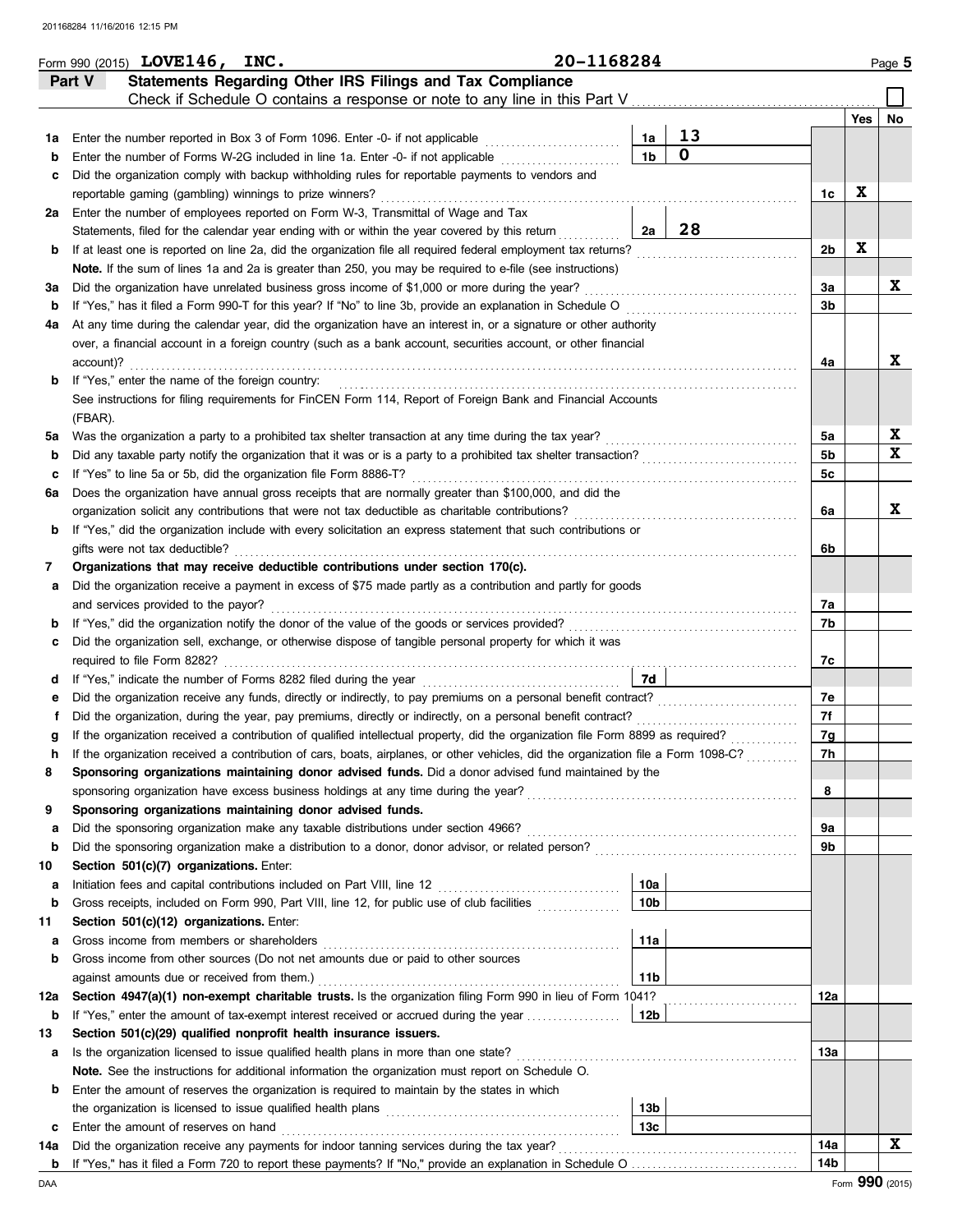|     | Form 990 (2015) LOVE146, INC.                                                                                                                      | 20-1168284      |             |                |     | Page 5      |
|-----|----------------------------------------------------------------------------------------------------------------------------------------------------|-----------------|-------------|----------------|-----|-------------|
|     | Statements Regarding Other IRS Filings and Tax Compliance<br>Part V                                                                                |                 |             |                |     |             |
|     | Check if Schedule O contains a response or note to any line in this Part V                                                                         |                 |             |                |     |             |
|     |                                                                                                                                                    |                 |             |                | Yes | No          |
| 1a  | Enter the number reported in Box 3 of Form 1096. Enter -0- if not applicable                                                                       | 1a              | 13          |                |     |             |
| b   | Enter the number of Forms W-2G included in line 1a. Enter -0- if not applicable                                                                    | 1 <sub>b</sub>  | $\mathbf 0$ |                |     |             |
| c   | Did the organization comply with backup withholding rules for reportable payments to vendors and                                                   |                 |             |                |     |             |
|     | reportable gaming (gambling) winnings to prize winners?                                                                                            |                 |             | 1c             | X   |             |
| 2a  | Enter the number of employees reported on Form W-3, Transmittal of Wage and Tax                                                                    |                 |             |                |     |             |
|     | Statements, filed for the calendar year ending with or within the year covered by this return                                                      | 2a              | 28          |                |     |             |
| b   | If at least one is reported on line 2a, did the organization file all required federal employment tax returns?                                     |                 |             | 2 <sub>b</sub> | X   |             |
|     | Note. If the sum of lines 1a and 2a is greater than 250, you may be required to e-file (see instructions)                                          |                 |             |                |     |             |
| за  | Did the organization have unrelated business gross income of \$1,000 or more during the year?                                                      |                 |             | За             |     | X           |
| b   | If "Yes," has it filed a Form 990-T for this year? If "No" to line 3b, provide an explanation in Schedule O                                        |                 |             | 3b             |     |             |
| 4a  | At any time during the calendar year, did the organization have an interest in, or a signature or other authority                                  |                 |             |                |     |             |
|     | over, a financial account in a foreign country (such as a bank account, securities account, or other financial                                     |                 |             |                |     |             |
|     | account)?                                                                                                                                          |                 |             | 4a             |     | X           |
| b   | If "Yes," enter the name of the foreign country:                                                                                                   |                 |             |                |     |             |
|     | See instructions for filing requirements for FinCEN Form 114, Report of Foreign Bank and Financial Accounts                                        |                 |             |                |     |             |
|     | (FBAR).                                                                                                                                            |                 |             |                |     |             |
| 5а  | Was the organization a party to a prohibited tax shelter transaction at any time during the tax year?                                              |                 |             | 5a             |     | X           |
| b   |                                                                                                                                                    |                 |             | 5b             |     | X           |
| c   | If "Yes" to line 5a or 5b, did the organization file Form 8886-T?                                                                                  |                 |             | 5c             |     |             |
| ба  | Does the organization have annual gross receipts that are normally greater than \$100,000, and did the                                             |                 |             |                |     |             |
|     | organization solicit any contributions that were not tax deductible as charitable contributions?                                                   |                 |             | 6a             |     | X           |
| b   | If "Yes," did the organization include with every solicitation an express statement that such contributions or                                     |                 |             |                |     |             |
|     | gifts were not tax deductible?                                                                                                                     |                 |             | 6b             |     |             |
| 7   | Organizations that may receive deductible contributions under section 170(c).                                                                      |                 |             |                |     |             |
| а   | Did the organization receive a payment in excess of \$75 made partly as a contribution and partly for goods<br>and services provided to the payor? |                 |             | 7a             |     |             |
| b   |                                                                                                                                                    |                 |             | 7b             |     |             |
| c   | Did the organization sell, exchange, or otherwise dispose of tangible personal property for which it was                                           |                 |             |                |     |             |
|     |                                                                                                                                                    |                 |             | 7c             |     |             |
| d   |                                                                                                                                                    | 7d              |             |                |     |             |
| е   | Did the organization receive any funds, directly or indirectly, to pay premiums on a personal benefit contract?                                    |                 |             | 7e             |     |             |
| t   | Did the organization, during the year, pay premiums, directly or indirectly, on a personal benefit contract?                                       |                 |             | 7f             |     |             |
| g   | If the organization received a contribution of qualified intellectual property, did the organization file Form 8899 as required?                   |                 |             | 7g             |     |             |
| h   | If the organization received a contribution of cars, boats, airplanes, or other vehicles, did the organization file a Form 1098-C?                 |                 |             | 7h             |     |             |
| 8   | Sponsoring organizations maintaining donor advised funds. Did a donor advised fund maintained by the                                               |                 |             |                |     |             |
|     |                                                                                                                                                    |                 |             | 8              |     |             |
| 9   | Sponsoring organizations maintaining donor advised funds.                                                                                          |                 |             |                |     |             |
| а   | Did the sponsoring organization make any taxable distributions under section 4966?                                                                 |                 |             | 9a             |     |             |
| b   | Did the sponsoring organization make a distribution to a donor, donor advisor, or related person?                                                  |                 |             | 9b             |     |             |
| 10  | Section 501(c)(7) organizations. Enter:                                                                                                            |                 |             |                |     |             |
| а   |                                                                                                                                                    | 10a             |             |                |     |             |
| b   | Gross receipts, included on Form 990, Part VIII, line 12, for public use of club facilities                                                        | 10 <sub>b</sub> |             |                |     |             |
| 11  | Section 501(c)(12) organizations. Enter:                                                                                                           |                 |             |                |     |             |
| а   | Gross income from members or shareholders                                                                                                          | 11a             |             |                |     |             |
| b   | Gross income from other sources (Do not net amounts due or paid to other sources                                                                   |                 |             |                |     |             |
|     | against amounts due or received from them.)                                                                                                        | 11b             |             |                |     |             |
| 12a | Section 4947(a)(1) non-exempt charitable trusts. Is the organization filing Form 990 in lieu of Form 1041?                                         |                 |             | 12a            |     |             |
| b   | If "Yes," enter the amount of tax-exempt interest received or accrued during the year                                                              | 12b             |             |                |     |             |
| 13  | Section 501(c)(29) qualified nonprofit health insurance issuers.                                                                                   |                 |             |                |     |             |
| а   | Is the organization licensed to issue qualified health plans in more than one state?                                                               |                 |             | 13а            |     |             |
|     | Note. See the instructions for additional information the organization must report on Schedule O.                                                  |                 |             |                |     |             |
| b   | Enter the amount of reserves the organization is required to maintain by the states in which                                                       |                 |             |                |     |             |
|     | the organization is licensed to issue qualified health plans [11] contains the organization is licensed to issue qualified health plans            | 13b             |             |                |     |             |
| с   | Enter the amount of reserves on hand                                                                                                               | 13c             |             |                |     |             |
| 14a |                                                                                                                                                    |                 |             | 14a            |     | $\mathbf x$ |
| b   |                                                                                                                                                    |                 |             | 14b            |     |             |

DAA Form **990** (2015)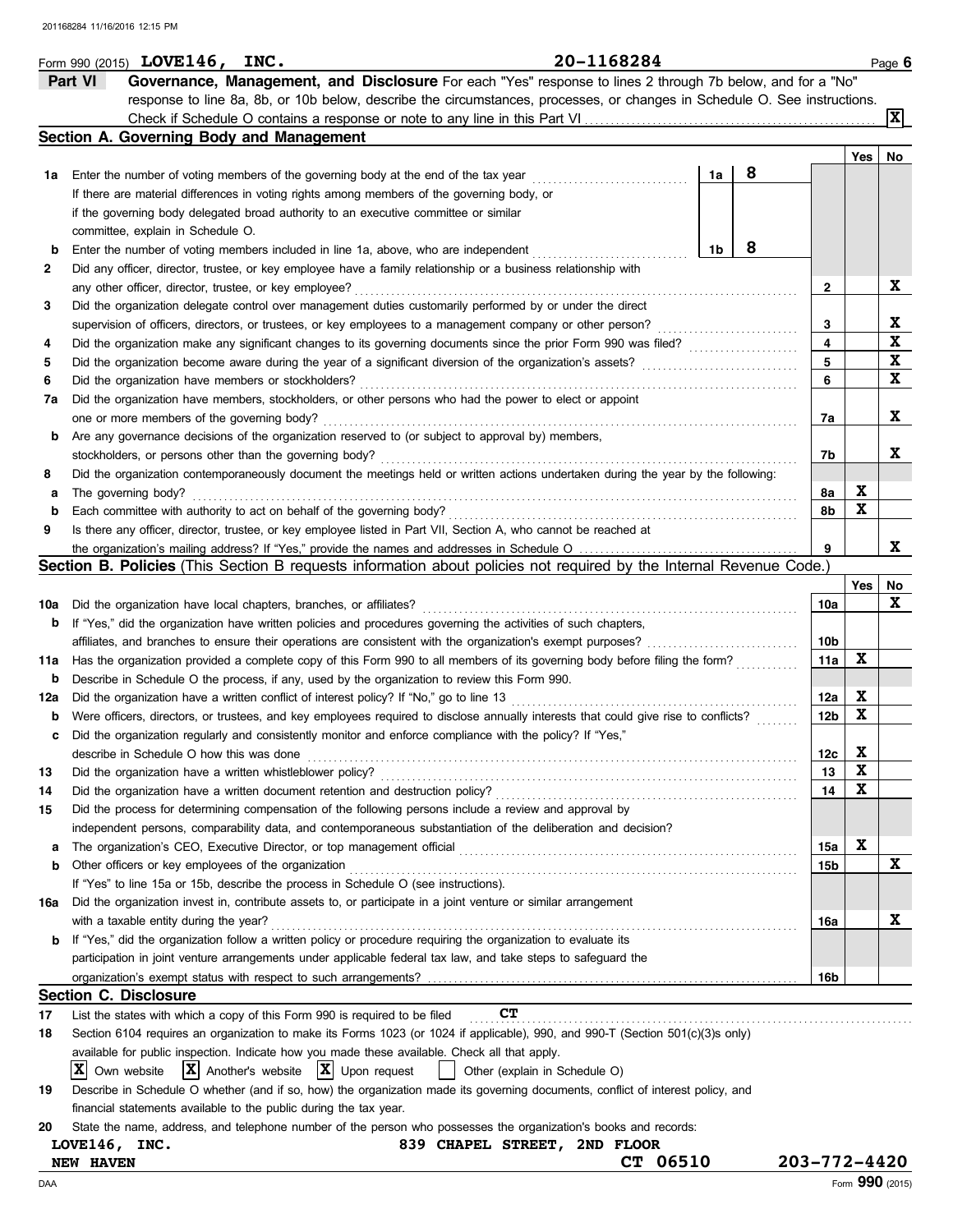|        | Form 990 (2015) LOVE146, INC.                                                                                                                                                        | 20-1168284                    |    |                                       |                        |     | Page 6          |
|--------|--------------------------------------------------------------------------------------------------------------------------------------------------------------------------------------|-------------------------------|----|---------------------------------------|------------------------|-----|-----------------|
|        | Part VI<br>Governance, Management, and Disclosure For each "Yes" response to lines 2 through 7b below, and for a "No"                                                                |                               |    |                                       |                        |     |                 |
|        | response to line 8a, 8b, or 10b below, describe the circumstances, processes, or changes in Schedule O. See instructions.                                                            |                               |    |                                       |                        |     |                 |
|        |                                                                                                                                                                                      |                               |    |                                       |                        |     | X               |
|        | Section A. Governing Body and Management                                                                                                                                             |                               |    |                                       |                        |     |                 |
|        |                                                                                                                                                                                      |                               |    |                                       |                        | Yes | No              |
|        | <b>1a</b> Enter the number of voting members of the governing body at the end of the tax year                                                                                        |                               | 1a | 8                                     |                        |     |                 |
|        | If there are material differences in voting rights among members of the governing body, or                                                                                           |                               |    |                                       |                        |     |                 |
|        | if the governing body delegated broad authority to an executive committee or similar                                                                                                 |                               |    |                                       |                        |     |                 |
|        | committee, explain in Schedule O.                                                                                                                                                    |                               |    |                                       |                        |     |                 |
| b      | Enter the number of voting members included in line 1a, above, who are independent                                                                                                   |                               | 1b | 8                                     |                        |     |                 |
| 2      | Did any officer, director, trustee, or key employee have a family relationship or a business relationship with                                                                       |                               |    |                                       |                        |     | X               |
|        | any other officer, director, trustee, or key employee?<br>Did the organization delegate control over management duties customarily performed by or under the direct                  |                               |    |                                       | 2                      |     |                 |
| 3      | supervision of officers, directors, or trustees, or key employees to a management company or other person?                                                                           |                               |    |                                       | 3                      |     | X               |
| 4      | Did the organization make any significant changes to its governing documents since the prior Form 990 was filed?                                                                     |                               |    | <u> 1999 - Johann Stoff, martin a</u> | 4                      |     | X               |
| 5      |                                                                                                                                                                                      |                               |    |                                       | 5                      |     | X               |
| 6      | Did the organization have members or stockholders?                                                                                                                                   |                               |    |                                       | 6                      |     | X               |
| 7а     | Did the organization have members, stockholders, or other persons who had the power to elect or appoint                                                                              |                               |    |                                       |                        |     |                 |
|        | one or more members of the governing body?                                                                                                                                           |                               |    |                                       | 7a                     |     | X               |
| b      | Are any governance decisions of the organization reserved to (or subject to approval by) members,                                                                                    |                               |    |                                       |                        |     |                 |
|        | stockholders, or persons other than the governing body?                                                                                                                              |                               |    |                                       | 7b                     |     | X               |
| 8      | Did the organization contemporaneously document the meetings held or written actions undertaken during the year by the following:                                                    |                               |    |                                       |                        |     |                 |
| а      | The governing body?                                                                                                                                                                  |                               |    |                                       | 8a                     | X   |                 |
| b      | Each committee with authority to act on behalf of the governing body?                                                                                                                |                               |    |                                       | 8b                     | X   |                 |
| 9      | Is there any officer, director, trustee, or key employee listed in Part VII, Section A, who cannot be reached at                                                                     |                               |    |                                       |                        |     |                 |
|        | the organization's mailing address? If "Yes," provide the names and addresses in Schedule O                                                                                          |                               |    |                                       | 9                      |     | X               |
|        | Section B. Policies (This Section B requests information about policies not required by the Internal Revenue Code.)                                                                  |                               |    |                                       |                        |     |                 |
|        |                                                                                                                                                                                      |                               |    |                                       |                        | Yes | No              |
|        | 10a Did the organization have local chapters, branches, or affiliates?                                                                                                               |                               |    |                                       | 10a                    |     | X               |
|        | <b>b</b> If "Yes," did the organization have written policies and procedures governing the activities of such chapters,                                                              |                               |    |                                       |                        |     |                 |
|        |                                                                                                                                                                                      |                               |    |                                       | 10b                    | X   |                 |
|        | 11a Has the organization provided a complete copy of this Form 990 to all members of its governing body before filing the form?                                                      |                               |    |                                       | 11a                    |     |                 |
| b      | Describe in Schedule O the process, if any, used by the organization to review this Form 990.                                                                                        |                               |    |                                       |                        | X   |                 |
| 12a    | Were officers, directors, or trustees, and key employees required to disclose annually interests that could give rise to conflicts?                                                  |                               |    |                                       | 12a<br>12 <sub>b</sub> | X   |                 |
| b<br>c | Did the organization regularly and consistently monitor and enforce compliance with the policy? If "Yes,"                                                                            |                               |    |                                       |                        |     |                 |
|        | describe in Schedule O how this was done                                                                                                                                             |                               |    |                                       | 12c                    | X   |                 |
| 13     | Did the organization have a written whistleblower policy?                                                                                                                            |                               |    |                                       | 13                     | X   |                 |
| 14     |                                                                                                                                                                                      |                               |    |                                       | 14                     | X   |                 |
| 15     | Did the process for determining compensation of the following persons include a review and approval by                                                                               |                               |    |                                       |                        |     |                 |
|        | independent persons, comparability data, and contemporaneous substantiation of the deliberation and decision?                                                                        |                               |    |                                       |                        |     |                 |
| a      |                                                                                                                                                                                      |                               |    |                                       | 15a                    | X   |                 |
| b      | Other officers or key employees of the organization                                                                                                                                  |                               |    |                                       | 15b                    |     | X               |
|        | If "Yes" to line 15a or 15b, describe the process in Schedule O (see instructions).                                                                                                  |                               |    |                                       |                        |     |                 |
| 16a    | Did the organization invest in, contribute assets to, or participate in a joint venture or similar arrangement                                                                       |                               |    |                                       |                        |     |                 |
|        | with a taxable entity during the year?                                                                                                                                               |                               |    |                                       | 16a                    |     | X               |
| b      | If "Yes," did the organization follow a written policy or procedure requiring the organization to evaluate its                                                                       |                               |    |                                       |                        |     |                 |
|        | participation in joint venture arrangements under applicable federal tax law, and take steps to safeguard the                                                                        |                               |    |                                       |                        |     |                 |
|        | organization's exempt status with respect to such arrangements?                                                                                                                      |                               |    |                                       | 16b                    |     |                 |
|        | <b>Section C. Disclosure</b>                                                                                                                                                         |                               |    |                                       |                        |     |                 |
| 17     | List the states with which a copy of this Form 990 is required to be filed                                                                                                           | CТ                            |    |                                       |                        |     |                 |
| 18     | Section 6104 requires an organization to make its Forms 1023 (or 1024 if applicable), 990, and 990-T (Section 501(c)(3)s only)                                                       |                               |    |                                       |                        |     |                 |
|        | available for public inspection. Indicate how you made these available. Check all that apply.                                                                                        |                               |    |                                       |                        |     |                 |
|        | $ \mathbf{X} $ Another's website<br>$ \mathbf{X} $ Upon request<br>IXI<br>Own website                                                                                                | Other (explain in Schedule O) |    |                                       |                        |     |                 |
| 19     | Describe in Schedule O whether (and if so, how) the organization made its governing documents, conflict of interest policy, and                                                      |                               |    |                                       |                        |     |                 |
| 20     | financial statements available to the public during the tax year.<br>State the name, address, and telephone number of the person who possesses the organization's books and records: |                               |    |                                       |                        |     |                 |
|        | LOVE146, INC.                                                                                                                                                                        | 839 CHAPEL STREET, 2ND FLOOR  |    |                                       |                        |     |                 |
|        | <b>NEW HAVEN</b>                                                                                                                                                                     | 06510<br>CТ                   |    |                                       | 203-772-4420           |     |                 |
| DAA    |                                                                                                                                                                                      |                               |    |                                       |                        |     | Form 990 (2015) |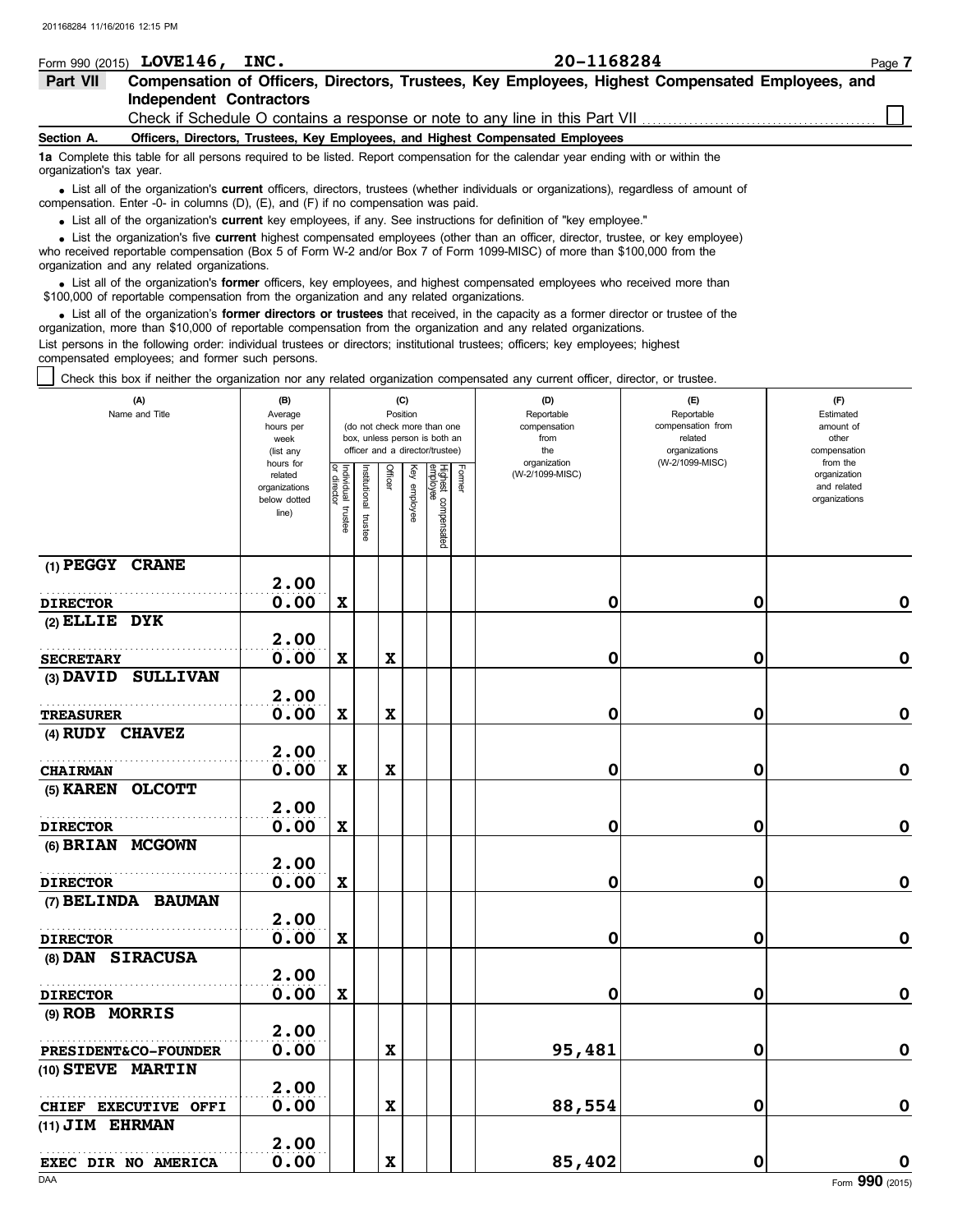|                          | Form 990 (2015) $LOVE146$ ,<br>INC. | 20-1168284                                                                                                                                                                                                                  | Page 7 |
|--------------------------|-------------------------------------|-----------------------------------------------------------------------------------------------------------------------------------------------------------------------------------------------------------------------------|--------|
| Part VII                 |                                     | Compensation of Officers, Directors, Trustees, Key Employees, Highest Compensated Employees, and                                                                                                                            |        |
|                          | Independent Contractors             |                                                                                                                                                                                                                             |        |
|                          |                                     | Check if Schedule O contains a response or note to any line in this Part VII <i>concernance</i>                                                                                                                             |        |
| Section A.               |                                     | Officers, Directors, Trustees, Key Employees, and Highest Compensated Employees                                                                                                                                             |        |
| organization's tax year. |                                     | 1a Complete this table for all persons required to be listed. Report compensation for the calendar year ending with or within the                                                                                           |        |
|                          |                                     | • List all of the organization's current officers, directors, trustees (whether individuals or organizations), regardless of amount of<br>compensation. Enter -0- in columns (D), (E), and (F) if no compensation was paid. |        |

List all of the organization's **current** key employees, if any. See instructions for definition of "key employee."

• List all of the organization's **current** key employees, if any. See instructions for definition of "key employee."<br>• List the organization's five **current** highest compensated employees (other than an officer, director,

who received reportable compensation (Box 5 of Form W-2 and/or Box 7 of Form 1099-MISC) of more than \$100,000 from the organization and any related organizations.

• List all of the organization's **former** officers, key employees, and highest compensated employees who received more than<br>00,000 of reportable compensation from the organization and any related organizations \$100,000 of reportable compensation from the organization and any related organizations.

• List all of the organization's **former directors or trustees** that received, in the capacity as a former director or trustee of the principle componention from the organization and any related organizations organization, more than \$10,000 of reportable compensation from the organization and any related organizations. List persons in the following order: individual trustees or directors; institutional trustees; officers; key employees; highest compensated employees; and former such persons.

Check this box if neither the organization nor any related organization compensated any current officer, director, or trustee.

| (A)<br>Name and Title           | (B)<br>Average<br>hours per<br>week<br>(list any               | (C)<br>Position<br>(do not check more than one<br>box, unless person is both an<br>officer and a director/trustee) |                          |             |              |                                 |        | (D)<br>Reportable<br>compensation<br>from<br>the | (E)<br>Reportable<br>compensation from<br>related<br>organizations | (F)<br>Estimated<br>amount of<br>other<br>compensation   |  |  |
|---------------------------------|----------------------------------------------------------------|--------------------------------------------------------------------------------------------------------------------|--------------------------|-------------|--------------|---------------------------------|--------|--------------------------------------------------|--------------------------------------------------------------------|----------------------------------------------------------|--|--|
|                                 | hours for<br>related<br>organizations<br>below dotted<br>line) | Individual<br>or director<br>trustee                                                                               | Institutional<br>trustee | Officer     | Key employee | Highest compensated<br>employee | Former | organization<br>(W-2/1099-MISC)                  | (W-2/1099-MISC)                                                    | from the<br>organization<br>and related<br>organizations |  |  |
| (1) PEGGY CRANE                 | 2.00                                                           |                                                                                                                    |                          |             |              |                                 |        |                                                  |                                                                    |                                                          |  |  |
| <b>DIRECTOR</b>                 | 0.00                                                           | $\mathbf x$                                                                                                        |                          |             |              |                                 |        | 0                                                | 0                                                                  | $\mathbf 0$                                              |  |  |
| $(2)$ ELLIE DYK                 | 2.00                                                           |                                                                                                                    |                          |             |              |                                 |        |                                                  |                                                                    |                                                          |  |  |
| <b>SECRETARY</b>                | 0.00                                                           | $\mathbf x$                                                                                                        |                          | $\mathbf x$ |              |                                 |        | 0                                                | 0                                                                  | $\mathbf 0$                                              |  |  |
| (3) DAVID SULLIVAN              | 2.00                                                           |                                                                                                                    |                          |             |              |                                 |        |                                                  |                                                                    |                                                          |  |  |
| <b>TREASURER</b>                | 0.00                                                           | $\mathbf x$                                                                                                        |                          | $\mathbf x$ |              |                                 |        | 0                                                | 0                                                                  | 0                                                        |  |  |
| (4) RUDY CHAVEZ                 | 2.00                                                           |                                                                                                                    |                          |             |              |                                 |        |                                                  |                                                                    |                                                          |  |  |
| <b>CHAIRMAN</b>                 | 0.00                                                           | $\mathbf x$                                                                                                        |                          | $\mathbf x$ |              |                                 |        | 0                                                | 0                                                                  | $\mathbf 0$                                              |  |  |
| $(5)$ KAREN<br><b>OLCOTT</b>    |                                                                |                                                                                                                    |                          |             |              |                                 |        |                                                  |                                                                    |                                                          |  |  |
|                                 | 2.00<br>0.00                                                   |                                                                                                                    |                          |             |              |                                 |        |                                                  | $\mathbf 0$                                                        | $\mathbf 0$                                              |  |  |
| <b>DIRECTOR</b>                 |                                                                | $\mathbf x$                                                                                                        |                          |             |              |                                 |        | 0                                                |                                                                    |                                                          |  |  |
| (6) BRIAN MCGOWN                | 2.00                                                           |                                                                                                                    |                          |             |              |                                 |        |                                                  |                                                                    |                                                          |  |  |
| <b>DIRECTOR</b>                 | 0.00                                                           | $\mathbf x$                                                                                                        |                          |             |              |                                 |        | 0                                                | $\mathbf 0$                                                        | $\pmb{0}$                                                |  |  |
| (7) BELINDA BAUMAN              | 2.00                                                           |                                                                                                                    |                          |             |              |                                 |        |                                                  |                                                                    |                                                          |  |  |
| <b>DIRECTOR</b>                 | 0.00                                                           | $\mathbf x$                                                                                                        |                          |             |              |                                 |        | 0                                                | 0                                                                  | $\pmb{0}$                                                |  |  |
| (8) DAN SIRACUSA                |                                                                |                                                                                                                    |                          |             |              |                                 |        |                                                  |                                                                    |                                                          |  |  |
|                                 | 2.00                                                           |                                                                                                                    |                          |             |              |                                 |        |                                                  |                                                                    |                                                          |  |  |
| <b>DIRECTOR</b>                 | 0.00                                                           | $\boldsymbol{\mathrm{X}}$                                                                                          |                          |             |              |                                 |        | 0                                                | 0                                                                  | $\pmb{0}$                                                |  |  |
| (9) ROB MORRIS                  |                                                                |                                                                                                                    |                          |             |              |                                 |        |                                                  |                                                                    |                                                          |  |  |
|                                 | 2.00                                                           |                                                                                                                    |                          |             |              |                                 |        |                                                  |                                                                    |                                                          |  |  |
| <b>PRESIDENT&amp;CO-FOUNDER</b> | 0.00                                                           |                                                                                                                    |                          | $\mathbf x$ |              |                                 |        | 95,481                                           | $\mathbf 0$                                                        | $\mathbf 0$                                              |  |  |
| (10) STEVE MARTIN               | 2.00                                                           |                                                                                                                    |                          |             |              |                                 |        |                                                  |                                                                    |                                                          |  |  |
| CHIEF EXECUTIVE OFFI            | 0.00                                                           |                                                                                                                    |                          | $\mathbf x$ |              |                                 |        | 88,554                                           | 0                                                                  | $\mathbf 0$                                              |  |  |
| (11) JIM EHRMAN                 | 2.00                                                           |                                                                                                                    |                          |             |              |                                 |        |                                                  |                                                                    |                                                          |  |  |
| EXEC DIR NO AMERICA             | 0.00                                                           |                                                                                                                    |                          | $\mathbf x$ |              |                                 |        | 85,402                                           | $\mathbf 0$                                                        | O                                                        |  |  |
| DAA                             |                                                                |                                                                                                                    |                          |             |              |                                 |        |                                                  |                                                                    | Form 990 (2015)                                          |  |  |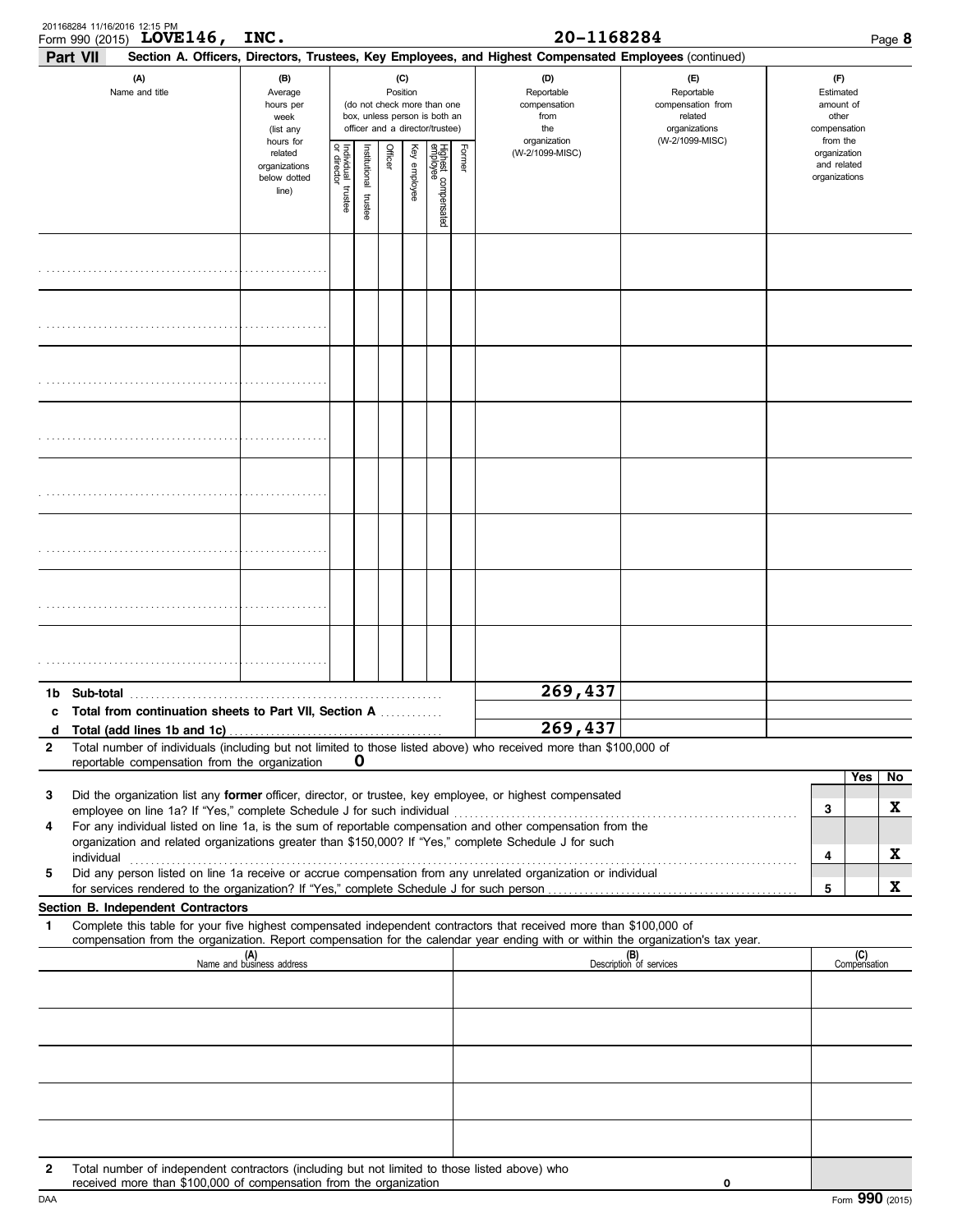|              | 201168284 11/16/2016 12:15 PM<br>Form 990 (2015) LOVE 146,                                                                                                          | INC.                                                          |                                                                                                                                                                                                                                                                                 |                         |                                                                    |              |                                 |        | 20-1168284                                                                                             |                                |  |                                              |                     | Page 8 |
|--------------|---------------------------------------------------------------------------------------------------------------------------------------------------------------------|---------------------------------------------------------------|---------------------------------------------------------------------------------------------------------------------------------------------------------------------------------------------------------------------------------------------------------------------------------|-------------------------|--------------------------------------------------------------------|--------------|---------------------------------|--------|--------------------------------------------------------------------------------------------------------|--------------------------------|--|----------------------------------------------|---------------------|--------|
|              | <b>Part VII</b>                                                                                                                                                     |                                                               |                                                                                                                                                                                                                                                                                 |                         |                                                                    |              |                                 |        | Section A. Officers, Directors, Trustees, Key Employees, and Highest Compensated Employees (continued) |                                |  |                                              |                     |        |
|              | (A)<br>Name and title                                                                                                                                               | (B)<br>Average<br>hours per<br>week<br>(list any<br>hours for | (D)<br>(C)<br>(F)<br>Position<br>Reportable<br>Reportable<br>(do not check more than one<br>compensation<br>compensation from<br>box, unless person is both an<br>from<br>related<br>officer and a director/trustee)<br>the<br>organizations<br>(W-2/1099-MISC)<br>organization |                         | (F)<br>Estimated<br>amount of<br>other<br>compensation<br>from the |              |                                 |        |                                                                                                        |                                |  |                                              |                     |        |
|              |                                                                                                                                                                     | related<br>organizations<br>below dotted<br>line)             | Individual trustee<br>or director                                                                                                                                                                                                                                               | nstitutional<br>trustee | Officer                                                            | Key employee | Highest compensated<br>employee | Former | (W-2/1099-MISC)                                                                                        |                                |  | organization<br>and related<br>organizations |                     |        |
|              |                                                                                                                                                                     |                                                               |                                                                                                                                                                                                                                                                                 |                         |                                                                    |              |                                 |        |                                                                                                        |                                |  |                                              |                     |        |
|              |                                                                                                                                                                     |                                                               |                                                                                                                                                                                                                                                                                 |                         |                                                                    |              |                                 |        |                                                                                                        |                                |  |                                              |                     |        |
|              |                                                                                                                                                                     |                                                               |                                                                                                                                                                                                                                                                                 |                         |                                                                    |              |                                 |        |                                                                                                        |                                |  |                                              |                     |        |
|              |                                                                                                                                                                     |                                                               |                                                                                                                                                                                                                                                                                 |                         |                                                                    |              |                                 |        |                                                                                                        |                                |  |                                              |                     |        |
|              |                                                                                                                                                                     |                                                               |                                                                                                                                                                                                                                                                                 |                         |                                                                    |              |                                 |        |                                                                                                        |                                |  |                                              |                     |        |
|              |                                                                                                                                                                     |                                                               |                                                                                                                                                                                                                                                                                 |                         |                                                                    |              |                                 |        |                                                                                                        |                                |  |                                              |                     |        |
|              |                                                                                                                                                                     |                                                               |                                                                                                                                                                                                                                                                                 |                         |                                                                    |              |                                 |        |                                                                                                        |                                |  |                                              |                     |        |
|              |                                                                                                                                                                     |                                                               |                                                                                                                                                                                                                                                                                 |                         |                                                                    |              |                                 |        |                                                                                                        |                                |  |                                              |                     |        |
| 1b           | Sub-total                                                                                                                                                           |                                                               |                                                                                                                                                                                                                                                                                 |                         |                                                                    |              |                                 |        | 269,437                                                                                                |                                |  |                                              |                     |        |
| c<br>d       | Total from continuation sheets to Part VII, Section A                                                                                                               |                                                               |                                                                                                                                                                                                                                                                                 |                         |                                                                    |              |                                 |        | 269,437                                                                                                |                                |  |                                              |                     |        |
| $\mathbf{2}$ | Total number of individuals (including but not limited to those listed above) who received more than \$100,000 of                                                   |                                                               |                                                                                                                                                                                                                                                                                 |                         |                                                                    |              |                                 |        |                                                                                                        |                                |  |                                              |                     |        |
|              | reportable compensation from the organization                                                                                                                       |                                                               |                                                                                                                                                                                                                                                                                 | O                       |                                                                    |              |                                 |        |                                                                                                        |                                |  |                                              | Yes                 | No     |
| 3            | Did the organization list any former officer, director, or trustee, key employee, or highest compensated                                                            |                                                               |                                                                                                                                                                                                                                                                                 |                         |                                                                    |              |                                 |        |                                                                                                        |                                |  |                                              |                     | X      |
| 4            | For any individual listed on line 1a, is the sum of reportable compensation and other compensation from the                                                         |                                                               |                                                                                                                                                                                                                                                                                 |                         |                                                                    |              |                                 |        |                                                                                                        |                                |  | 3                                            |                     |        |
|              | organization and related organizations greater than \$150,000? If "Yes," complete Schedule J for such<br>individual                                                 |                                                               |                                                                                                                                                                                                                                                                                 |                         |                                                                    |              |                                 |        |                                                                                                        |                                |  | 4                                            |                     | X      |
| 5            | Did any person listed on line 1a receive or accrue compensation from any unrelated organization or individual                                                       |                                                               |                                                                                                                                                                                                                                                                                 |                         |                                                                    |              |                                 |        |                                                                                                        |                                |  |                                              |                     |        |
|              | Section B. Independent Contractors                                                                                                                                  |                                                               |                                                                                                                                                                                                                                                                                 |                         |                                                                    |              |                                 |        |                                                                                                        |                                |  | 5                                            |                     | X      |
| $\mathbf{1}$ | Complete this table for your five highest compensated independent contractors that received more than \$100,000 of                                                  |                                                               |                                                                                                                                                                                                                                                                                 |                         |                                                                    |              |                                 |        |                                                                                                        |                                |  |                                              |                     |        |
|              | compensation from the organization. Report compensation for the calendar year ending with or within the organization's tax year.                                    | (A)<br>Name and business address                              |                                                                                                                                                                                                                                                                                 |                         |                                                                    |              |                                 |        |                                                                                                        | (B)<br>Description of services |  |                                              | (C)<br>Compensation |        |
|              |                                                                                                                                                                     |                                                               |                                                                                                                                                                                                                                                                                 |                         |                                                                    |              |                                 |        |                                                                                                        |                                |  |                                              |                     |        |
|              |                                                                                                                                                                     |                                                               |                                                                                                                                                                                                                                                                                 |                         |                                                                    |              |                                 |        |                                                                                                        |                                |  |                                              |                     |        |
|              |                                                                                                                                                                     |                                                               |                                                                                                                                                                                                                                                                                 |                         |                                                                    |              |                                 |        |                                                                                                        |                                |  |                                              |                     |        |
|              |                                                                                                                                                                     |                                                               |                                                                                                                                                                                                                                                                                 |                         |                                                                    |              |                                 |        |                                                                                                        |                                |  |                                              |                     |        |
|              |                                                                                                                                                                     |                                                               |                                                                                                                                                                                                                                                                                 |                         |                                                                    |              |                                 |        |                                                                                                        |                                |  |                                              |                     |        |
| 2            | Total number of independent contractors (including but not limited to those listed above) who<br>received more than \$100,000 of compensation from the organization |                                                               |                                                                                                                                                                                                                                                                                 |                         |                                                                    |              |                                 |        |                                                                                                        | 0                              |  |                                              |                     |        |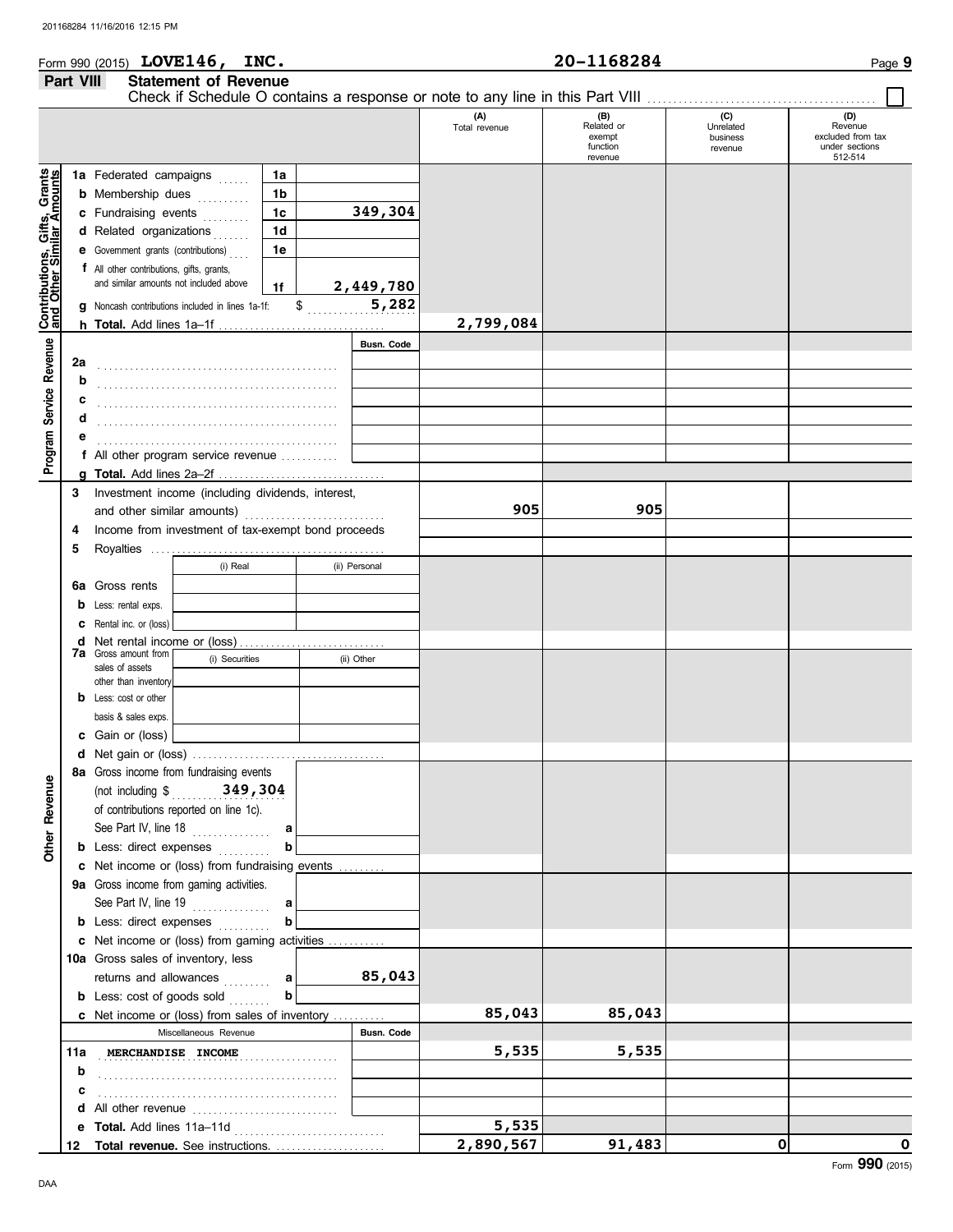|                  | Form 990 (2015) $LOVE146$ ,<br>INC. | 20-1168284 | Page 9 |
|------------------|-------------------------------------|------------|--------|
| <b>Part VIII</b> | <b>Statement of Revenue</b>         |            |        |

|                                                           |        |                                                   |                                                    |    |    |                   | Check if Schedule O contains a response or note to any line in this Part VIII |                                                    |                                         |                                                                  |
|-----------------------------------------------------------|--------|---------------------------------------------------|----------------------------------------------------|----|----|-------------------|-------------------------------------------------------------------------------|----------------------------------------------------|-----------------------------------------|------------------------------------------------------------------|
|                                                           |        |                                                   |                                                    |    |    |                   | (A)<br>Total revenue                                                          | (B)<br>Related or<br>exempt<br>function<br>revenue | (C)<br>Unrelated<br>business<br>revenue | (D)<br>Revenue<br>excluded from tax<br>under sections<br>512-514 |
|                                                           |        | 1a Federated campaigns                            |                                                    | 1a |    |                   |                                                                               |                                                    |                                         |                                                                  |
|                                                           |        | <b>b</b> Membership dues                          |                                                    | 1b |    |                   |                                                                               |                                                    |                                         |                                                                  |
|                                                           |        | c Fundraising events                              |                                                    | 1c |    | 349,304           |                                                                               |                                                    |                                         |                                                                  |
|                                                           |        | d Related organizations                           |                                                    | 1d |    |                   |                                                                               |                                                    |                                         |                                                                  |
|                                                           |        | e Government grants (contributions)               |                                                    | 1e |    |                   |                                                                               |                                                    |                                         |                                                                  |
|                                                           |        | f All other contributions, gifts, grants,         |                                                    |    |    |                   |                                                                               |                                                    |                                         |                                                                  |
|                                                           |        | and similar amounts not included above            |                                                    | 1f |    | 2,449,780         |                                                                               |                                                    |                                         |                                                                  |
|                                                           | q      |                                                   | Noncash contributions included in lines 1a-1f:     |    | \$ | 5,282             |                                                                               |                                                    |                                         |                                                                  |
| Contributions, Gifts, Grants<br>and Other Similar Amounts |        |                                                   |                                                    |    |    |                   | 2,799,084                                                                     |                                                    |                                         |                                                                  |
|                                                           |        |                                                   |                                                    |    |    | <b>Busn. Code</b> |                                                                               |                                                    |                                         |                                                                  |
| Program Service Revenue                                   | 2a     |                                                   |                                                    |    |    |                   |                                                                               |                                                    |                                         |                                                                  |
|                                                           | b      |                                                   |                                                    |    |    |                   |                                                                               |                                                    |                                         |                                                                  |
|                                                           | c      |                                                   |                                                    |    |    |                   |                                                                               |                                                    |                                         |                                                                  |
|                                                           | d      |                                                   |                                                    |    |    |                   |                                                                               |                                                    |                                         |                                                                  |
|                                                           | е      |                                                   |                                                    |    |    |                   |                                                                               |                                                    |                                         |                                                                  |
|                                                           |        |                                                   | f All other program service revenue                |    |    |                   |                                                                               |                                                    |                                         |                                                                  |
|                                                           |        |                                                   |                                                    |    |    |                   |                                                                               |                                                    |                                         |                                                                  |
|                                                           | 3      | Investment income (including dividends, interest, |                                                    |    |    |                   |                                                                               |                                                    |                                         |                                                                  |
|                                                           |        | and other similar amounts)                        |                                                    |    |    |                   | 905                                                                           | 905                                                |                                         |                                                                  |
|                                                           | 4      |                                                   | Income from investment of tax-exempt bond proceeds |    |    |                   |                                                                               |                                                    |                                         |                                                                  |
|                                                           | 5      |                                                   |                                                    |    |    |                   |                                                                               |                                                    |                                         |                                                                  |
|                                                           |        |                                                   | (i) Real                                           |    |    | (ii) Personal     |                                                                               |                                                    |                                         |                                                                  |
|                                                           | 6а     | Gross rents                                       |                                                    |    |    |                   |                                                                               |                                                    |                                         |                                                                  |
|                                                           | b      | Less: rental exps.                                |                                                    |    |    |                   |                                                                               |                                                    |                                         |                                                                  |
|                                                           | c      | Rental inc. or (loss)                             |                                                    |    |    |                   |                                                                               |                                                    |                                         |                                                                  |
|                                                           | d      | <b>7a</b> Gross amount from                       |                                                    |    |    |                   |                                                                               |                                                    |                                         |                                                                  |
|                                                           |        | sales of assets                                   | (i) Securities                                     |    |    | (ii) Other        |                                                                               |                                                    |                                         |                                                                  |
|                                                           |        | other than inventory                              |                                                    |    |    |                   |                                                                               |                                                    |                                         |                                                                  |
|                                                           | b      | Less: cost or other                               |                                                    |    |    |                   |                                                                               |                                                    |                                         |                                                                  |
|                                                           |        | basis & sales exps.                               |                                                    |    |    |                   |                                                                               |                                                    |                                         |                                                                  |
|                                                           | c<br>d | Gain or (loss)                                    |                                                    |    |    |                   |                                                                               |                                                    |                                         |                                                                  |
|                                                           |        |                                                   | 8a Gross income from fundraising events            |    |    |                   |                                                                               |                                                    |                                         |                                                                  |
| g                                                         |        |                                                   | (not including $$349,304$                          |    |    |                   |                                                                               |                                                    |                                         |                                                                  |
|                                                           |        |                                                   | of contributions reported on line 1c).             |    |    |                   |                                                                               |                                                    |                                         |                                                                  |
|                                                           |        | See Part IV, line 18                              | .                                                  | a  |    |                   |                                                                               |                                                    |                                         |                                                                  |
| Other Reven                                               |        |                                                   | <b>b</b> Less: direct expenses                     | b  |    |                   |                                                                               |                                                    |                                         |                                                                  |
|                                                           |        |                                                   | c Net income or (loss) from fundraising events     |    |    |                   |                                                                               |                                                    |                                         |                                                                  |
|                                                           |        |                                                   | 9a Gross income from gaming activities.            |    |    |                   |                                                                               |                                                    |                                         |                                                                  |
|                                                           |        |                                                   | See Part IV, line 19                               | a  |    |                   |                                                                               |                                                    |                                         |                                                                  |
|                                                           |        |                                                   | <b>b</b> Less: direct expenses                     | b  |    |                   |                                                                               |                                                    |                                         |                                                                  |
|                                                           |        |                                                   | c Net income or (loss) from gaming activities      |    |    |                   |                                                                               |                                                    |                                         |                                                                  |
|                                                           |        |                                                   | 10a Gross sales of inventory, less                 |    |    |                   |                                                                               |                                                    |                                         |                                                                  |
|                                                           |        |                                                   | returns and allowances                             | a  |    | 85,043            |                                                                               |                                                    |                                         |                                                                  |
|                                                           |        |                                                   | <b>b</b> Less: cost of goods sold                  | b  |    |                   |                                                                               |                                                    |                                         |                                                                  |
|                                                           |        |                                                   | c Net income or (loss) from sales of inventory     |    |    |                   | 85,043                                                                        | 85,043                                             |                                         |                                                                  |
|                                                           |        |                                                   | Miscellaneous Revenue                              |    |    | <b>Busn. Code</b> |                                                                               |                                                    |                                         |                                                                  |
|                                                           | 11a    | MERCHANDISE INCOME                                |                                                    |    |    |                   | 5,535                                                                         | 5,535                                              |                                         |                                                                  |
|                                                           | b      |                                                   |                                                    |    |    |                   |                                                                               |                                                    |                                         |                                                                  |
|                                                           | c      |                                                   |                                                    |    |    |                   |                                                                               |                                                    |                                         |                                                                  |
|                                                           | d      |                                                   | All other revenue                                  |    |    |                   |                                                                               |                                                    |                                         |                                                                  |
|                                                           | e      | Total. Add lines 11a-11d                          |                                                    |    |    |                   | 5,535                                                                         |                                                    |                                         |                                                                  |
|                                                           | 12     |                                                   | Total revenue. See instructions.                   |    |    |                   | 2,890,567                                                                     | 91,483                                             | $\mathbf 0$                             | O<br>Form 990 (2015)                                             |

DAA

Form **990** (2015)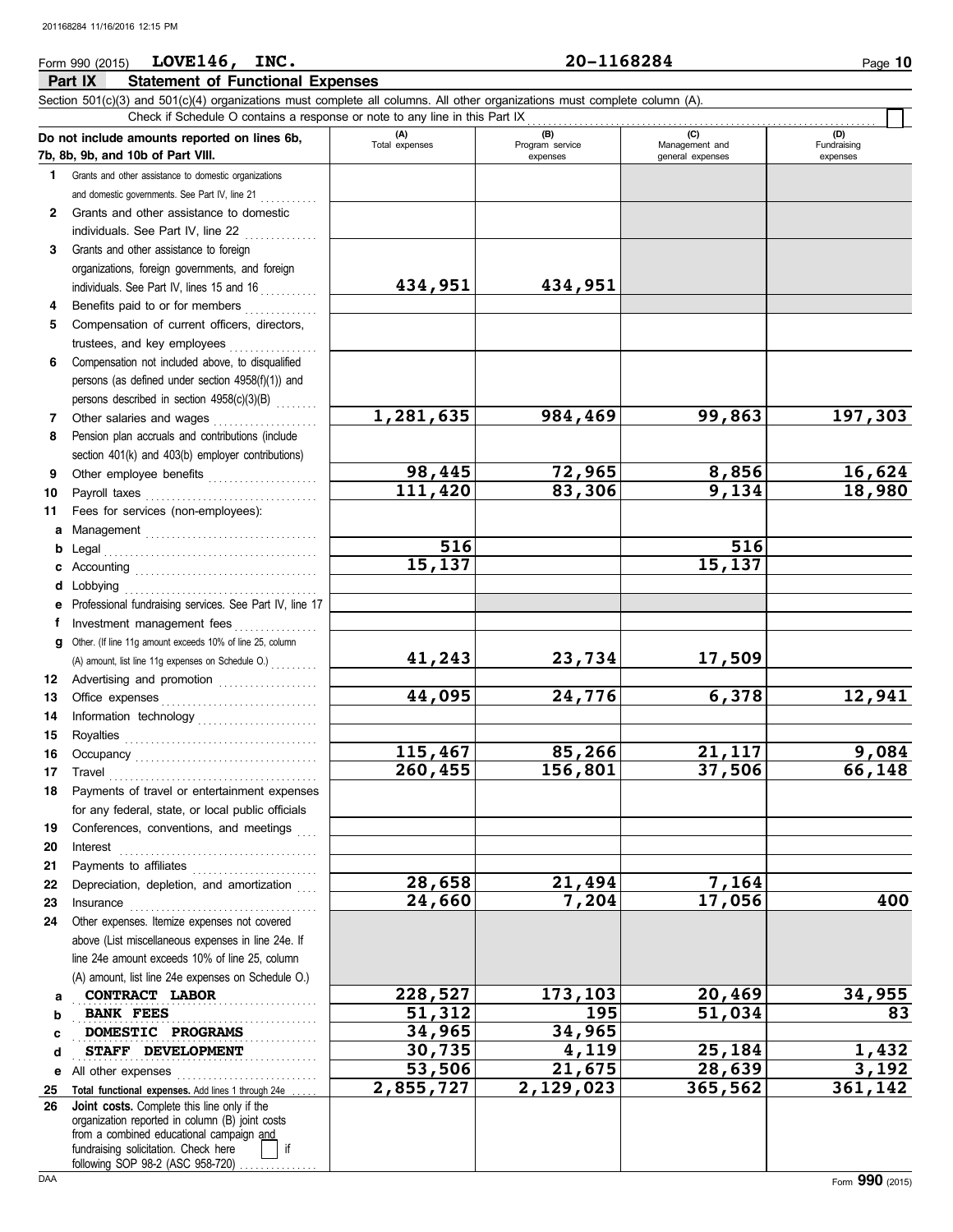## **Part IX Statement of Functional Expenses** Form 990 (2015) Page **10 LOVE146, INC. 20-1168284**

|     | Section 501(c)(3) and 501(c)(4) organizations must complete all columns. All other organizations must complete column (A).<br>Check if Schedule O contains a response or note to any line in this Part IX                                                                                                                                                                                                                                                                                                                   |                |                 |                  |             |
|-----|-----------------------------------------------------------------------------------------------------------------------------------------------------------------------------------------------------------------------------------------------------------------------------------------------------------------------------------------------------------------------------------------------------------------------------------------------------------------------------------------------------------------------------|----------------|-----------------|------------------|-------------|
|     |                                                                                                                                                                                                                                                                                                                                                                                                                                                                                                                             | (A)            | (B)             | (C)              | (D)         |
|     | Do not include amounts reported on lines 6b,<br>7b, 8b, 9b, and 10b of Part VIII.                                                                                                                                                                                                                                                                                                                                                                                                                                           | Total expenses | Program service | Management and   | Fundraising |
|     |                                                                                                                                                                                                                                                                                                                                                                                                                                                                                                                             |                | expenses        | general expenses | expenses    |
| 1.  | Grants and other assistance to domestic organizations                                                                                                                                                                                                                                                                                                                                                                                                                                                                       |                |                 |                  |             |
|     | and domestic governments. See Part IV, line 21                                                                                                                                                                                                                                                                                                                                                                                                                                                                              |                |                 |                  |             |
| 2   | Grants and other assistance to domestic                                                                                                                                                                                                                                                                                                                                                                                                                                                                                     |                |                 |                  |             |
|     | individuals. See Part IV, line 22                                                                                                                                                                                                                                                                                                                                                                                                                                                                                           |                |                 |                  |             |
| 3   | Grants and other assistance to foreign                                                                                                                                                                                                                                                                                                                                                                                                                                                                                      |                |                 |                  |             |
|     | organizations, foreign governments, and foreign                                                                                                                                                                                                                                                                                                                                                                                                                                                                             |                |                 |                  |             |
|     | individuals. See Part IV, lines 15 and 16                                                                                                                                                                                                                                                                                                                                                                                                                                                                                   | 434,951        | 434,951         |                  |             |
| 4   | Benefits paid to or for members                                                                                                                                                                                                                                                                                                                                                                                                                                                                                             |                |                 |                  |             |
| 5   | Compensation of current officers, directors,                                                                                                                                                                                                                                                                                                                                                                                                                                                                                |                |                 |                  |             |
|     | trustees, and key employees                                                                                                                                                                                                                                                                                                                                                                                                                                                                                                 |                |                 |                  |             |
| 6   | Compensation not included above, to disqualified                                                                                                                                                                                                                                                                                                                                                                                                                                                                            |                |                 |                  |             |
|     | persons (as defined under section 4958(f)(1)) and                                                                                                                                                                                                                                                                                                                                                                                                                                                                           |                |                 |                  |             |
|     | persons described in section 4958(c)(3)(B)                                                                                                                                                                                                                                                                                                                                                                                                                                                                                  |                |                 |                  |             |
| 7   | Other salaries and wages                                                                                                                                                                                                                                                                                                                                                                                                                                                                                                    | 1,281,635      | 984,469         | 99,863           | 197,303     |
| 8   | Pension plan accruals and contributions (include                                                                                                                                                                                                                                                                                                                                                                                                                                                                            |                |                 |                  |             |
|     | section 401(k) and 403(b) employer contributions)                                                                                                                                                                                                                                                                                                                                                                                                                                                                           |                |                 |                  |             |
| 9   | Other employee benefits                                                                                                                                                                                                                                                                                                                                                                                                                                                                                                     | 98,445         | 72,965          | 8,856            | 16,624      |
| 10  | Payroll taxes                                                                                                                                                                                                                                                                                                                                                                                                                                                                                                               | 111,420        | 83,306          | 9,134            | 18,980      |
| 11  | Fees for services (non-employees):                                                                                                                                                                                                                                                                                                                                                                                                                                                                                          |                |                 |                  |             |
|     |                                                                                                                                                                                                                                                                                                                                                                                                                                                                                                                             |                |                 |                  |             |
| а   |                                                                                                                                                                                                                                                                                                                                                                                                                                                                                                                             | 516            |                 | 516              |             |
| b   | Legal                                                                                                                                                                                                                                                                                                                                                                                                                                                                                                                       | 15, 137        |                 | 15, 137          |             |
| c   |                                                                                                                                                                                                                                                                                                                                                                                                                                                                                                                             |                |                 |                  |             |
| d   | Lobbying                                                                                                                                                                                                                                                                                                                                                                                                                                                                                                                    |                |                 |                  |             |
| е   | Professional fundraising services. See Part IV, line 17                                                                                                                                                                                                                                                                                                                                                                                                                                                                     |                |                 |                  |             |
| f   | Investment management fees                                                                                                                                                                                                                                                                                                                                                                                                                                                                                                  |                |                 |                  |             |
| a   | Other. (If line 11g amount exceeds 10% of line 25, column                                                                                                                                                                                                                                                                                                                                                                                                                                                                   |                |                 |                  |             |
|     | (A) amount, list line 11g expenses on Schedule O.)                                                                                                                                                                                                                                                                                                                                                                                                                                                                          | 41,243         | 23,734          | 17,509           |             |
| 12  | Advertising and promotion [11] [11] Advertising and promotion                                                                                                                                                                                                                                                                                                                                                                                                                                                               |                |                 |                  |             |
| 13  |                                                                                                                                                                                                                                                                                                                                                                                                                                                                                                                             | 44,095         | 24,776          | 6,378            | 12,941      |
| 14  |                                                                                                                                                                                                                                                                                                                                                                                                                                                                                                                             |                |                 |                  |             |
| 15  |                                                                                                                                                                                                                                                                                                                                                                                                                                                                                                                             |                |                 |                  |             |
| 16  |                                                                                                                                                                                                                                                                                                                                                                                                                                                                                                                             | 115,467        | 85,266          | 21,117           | 9,084       |
| 17  | $\begin{minipage}[c]{0.9\linewidth} \begin{tabular}{l} \textbf{Travel} \end{tabular} \end{minipage} \end{minipage} \begin{minipage}[c]{0.9\linewidth} \begin{tabular}{l} \textbf{True} \end{tabular} \end{minipage} \end{minipage} \begin{minipage}[c]{0.9\linewidth} \begin{tabular}{l} \textbf{True} \end{tabular} \end{minipage} \end{minipage} \begin{minipage}[c]{0.9\linewidth} \begin{tabular}{l} \textbf{True} \end{tabular} \end{minipage} \end{minipage} \begin{minipage}[c]{0.9\linewidth} \begin{tabular}{l} \$ | 260, 455       | 156,801         | 37,506           | 66,148      |
| 18. | Payments of travel or entertainment expenses                                                                                                                                                                                                                                                                                                                                                                                                                                                                                |                |                 |                  |             |
|     | for any federal, state, or local public officials                                                                                                                                                                                                                                                                                                                                                                                                                                                                           |                |                 |                  |             |
| 19  | Conferences, conventions, and meetings                                                                                                                                                                                                                                                                                                                                                                                                                                                                                      |                |                 |                  |             |
|     |                                                                                                                                                                                                                                                                                                                                                                                                                                                                                                                             |                |                 |                  |             |
| 20  | Interest                                                                                                                                                                                                                                                                                                                                                                                                                                                                                                                    |                |                 |                  |             |
| 21  |                                                                                                                                                                                                                                                                                                                                                                                                                                                                                                                             | 28,658         | 21,494          | 7,164            |             |
| 22  | Depreciation, depletion, and amortization                                                                                                                                                                                                                                                                                                                                                                                                                                                                                   |                |                 |                  |             |
| 23  | Insurance                                                                                                                                                                                                                                                                                                                                                                                                                                                                                                                   | 24,660         | 7,204           | 17,056           | 400         |
| 24  | Other expenses. Itemize expenses not covered                                                                                                                                                                                                                                                                                                                                                                                                                                                                                |                |                 |                  |             |
|     | above (List miscellaneous expenses in line 24e. If                                                                                                                                                                                                                                                                                                                                                                                                                                                                          |                |                 |                  |             |
|     | line 24e amount exceeds 10% of line 25, column                                                                                                                                                                                                                                                                                                                                                                                                                                                                              |                |                 |                  |             |
|     | (A) amount, list line 24e expenses on Schedule O.)                                                                                                                                                                                                                                                                                                                                                                                                                                                                          |                |                 |                  |             |
| а   | CONTRACT LABOR                                                                                                                                                                                                                                                                                                                                                                                                                                                                                                              | 228,527        | 173,103         | 20,469           | 34,955      |
| b   | <b>BANK FEES</b>                                                                                                                                                                                                                                                                                                                                                                                                                                                                                                            | 51,312         | 195             | 51,034           | 83          |
| c   | DOMESTIC PROGRAMS                                                                                                                                                                                                                                                                                                                                                                                                                                                                                                           | 34,965         | 34,965          |                  |             |
| d   | STAFF DEVELOPMENT                                                                                                                                                                                                                                                                                                                                                                                                                                                                                                           | 30,735         | 4,119           | 25,184           | 1,432       |
| е   | All other expenses                                                                                                                                                                                                                                                                                                                                                                                                                                                                                                          | 53,506         | 21,675          | 28,639           | 3,192       |
| 25  | Total functional expenses. Add lines 1 through 24e                                                                                                                                                                                                                                                                                                                                                                                                                                                                          | 2,855,727      | 2,129,023       | 365,562          | 361,142     |
| 26  | Joint costs. Complete this line only if the                                                                                                                                                                                                                                                                                                                                                                                                                                                                                 |                |                 |                  |             |
|     | organization reported in column (B) joint costs                                                                                                                                                                                                                                                                                                                                                                                                                                                                             |                |                 |                  |             |
|     | from a combined educational campaign and<br>fundraising solicitation. Check here<br>if                                                                                                                                                                                                                                                                                                                                                                                                                                      |                |                 |                  |             |
|     |                                                                                                                                                                                                                                                                                                                                                                                                                                                                                                                             |                |                 |                  |             |

following SOP 98-2 (ASC 958-720) ................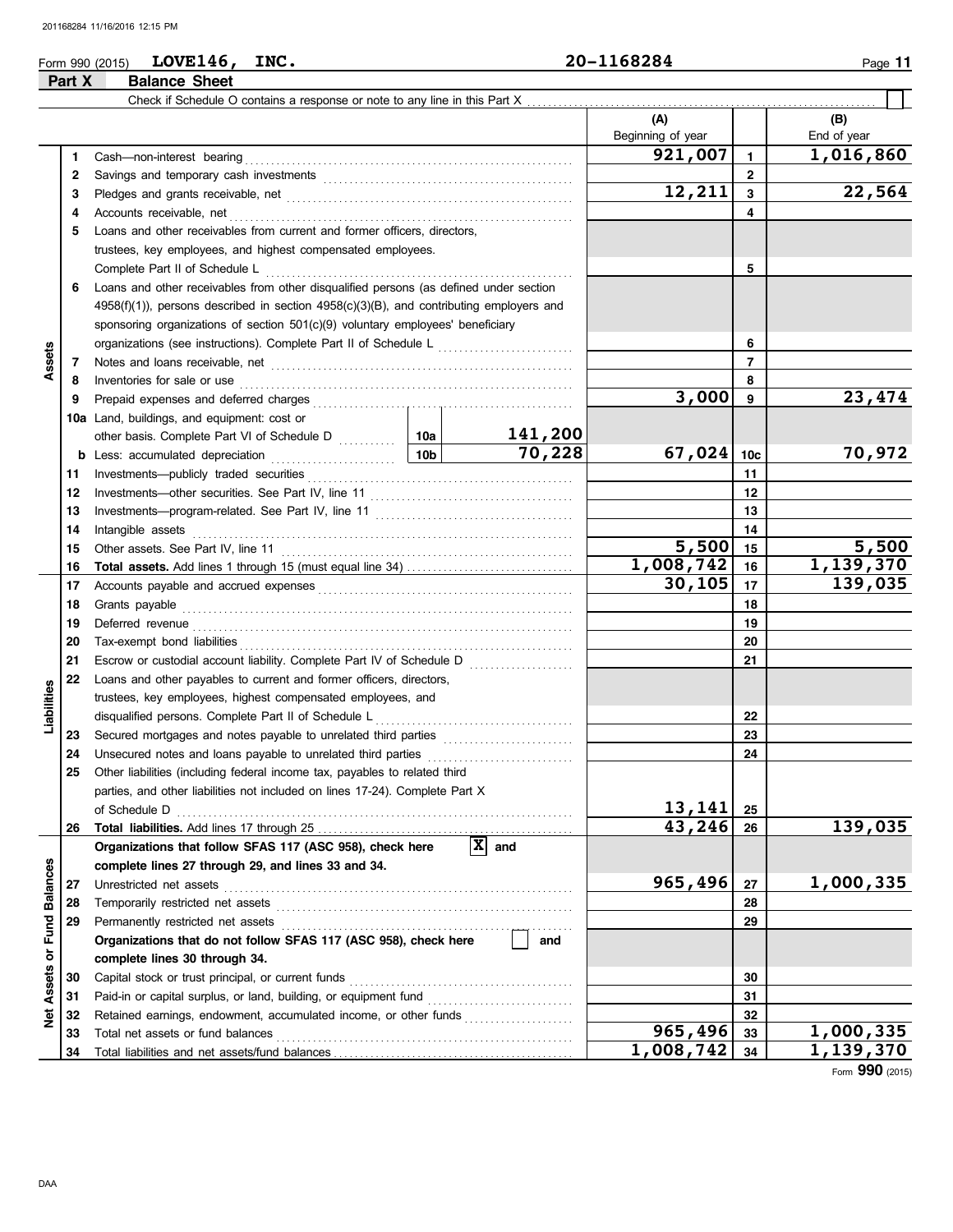| Form 990 (2015) | <b>LOVE146</b>       | <b>INC.</b> | 20-1168284 | Page |
|-----------------|----------------------|-------------|------------|------|
| Part X          | <b>Balance Sheet</b> |             |            |      |

|                  |          | Check if Schedule O contains a response or note to any line in this Part X                                                                                                                                                          |           |                       |                   |                |             |
|------------------|----------|-------------------------------------------------------------------------------------------------------------------------------------------------------------------------------------------------------------------------------------|-----------|-----------------------|-------------------|----------------|-------------|
|                  |          |                                                                                                                                                                                                                                     |           |                       | (A)               |                | (B)         |
|                  |          |                                                                                                                                                                                                                                     |           |                       | Beginning of year |                | End of year |
|                  | 1.       |                                                                                                                                                                                                                                     |           |                       | 921,007           | $\mathbf{1}$   | 1,016,860   |
|                  | 2        |                                                                                                                                                                                                                                     |           |                       |                   | $\overline{2}$ |             |
|                  | 3        |                                                                                                                                                                                                                                     |           |                       | 12,211            | 3              | 22,564      |
|                  | 4        | Accounts receivable, net                                                                                                                                                                                                            |           |                       |                   | 4              |             |
|                  | 5        | Loans and other receivables from current and former officers, directors,                                                                                                                                                            |           |                       |                   |                |             |
|                  |          | trustees, key employees, and highest compensated employees.                                                                                                                                                                         |           |                       |                   |                |             |
|                  |          | Complete Part II of Schedule L                                                                                                                                                                                                      |           |                       |                   | 5              |             |
|                  | 6        | Loans and other receivables from other disqualified persons (as defined under section                                                                                                                                               |           |                       |                   |                |             |
|                  |          | 4958(f)(1)), persons described in section 4958(c)(3)(B), and contributing employers and                                                                                                                                             |           |                       |                   |                |             |
| Assets           |          | sponsoring organizations of section 501(c)(9) voluntary employees' beneficiary                                                                                                                                                      |           |                       |                   |                |             |
|                  |          | organizations (see instructions). Complete Part II of Schedule L [1111111111111111111111111111111111                                                                                                                                |           |                       |                   | 6              |             |
|                  | 7        |                                                                                                                                                                                                                                     |           | 7                     |                   |                |             |
|                  | 8        | Inventories for sale or use <i>communication</i> and the contract of the contract of the contract of the contract of the contract of the contract of the contract of the contract of the contract of the contract of the contract o |           |                       |                   | 8              |             |
|                  | 9        |                                                                                                                                                                                                                                     |           |                       | 3,000             | 9              | 23,474      |
|                  |          | 10a Land, buildings, and equipment: cost or                                                                                                                                                                                         |           |                       |                   |                |             |
|                  |          | other basis. Complete Part VI of Schedule D<br>10a                                                                                                                                                                                  |           | 141,200               |                   |                |             |
|                  |          | b Less: accumulated depreciation [1] [1] Less: accumulated depreciation                                                                                                                                                             | 10b       | 70,228                | 67,024            | 10c            | 70,972      |
|                  | 11       |                                                                                                                                                                                                                                     |           |                       |                   | 11             |             |
|                  | 12       |                                                                                                                                                                                                                                     |           |                       |                   | 12             |             |
|                  | 13       |                                                                                                                                                                                                                                     |           |                       | 13                |                |             |
|                  | 14       | Intangible assets                                                                                                                                                                                                                   |           | 14                    |                   |                |             |
|                  | 15       | Other assets. See Part IV, line 11                                                                                                                                                                                                  | 5,500     | 15                    | 5,500             |                |             |
|                  | 16       |                                                                                                                                                                                                                                     | 1,008,742 | 16                    | 1,139,370         |                |             |
|                  | 17       |                                                                                                                                                                                                                                     |           |                       | 30, 105           | 17             | 139,035     |
|                  | 18       | Grants payable                                                                                                                                                                                                                      |           |                       | 18                |                |             |
|                  | 19       | Deferred revenue communications and contain a series of the contact of the contact of the contact of the contact of the contact of the contact of the contact of the contact of the contact of the contact of the contact of t      |           |                       |                   | 19             |             |
|                  | 20       |                                                                                                                                                                                                                                     |           |                       |                   | 20             |             |
|                  | 21       |                                                                                                                                                                                                                                     |           |                       |                   | 21             |             |
|                  | 22       | Loans and other payables to current and former officers, directors,                                                                                                                                                                 |           |                       |                   |                |             |
| Liabilities      |          | trustees, key employees, highest compensated employees, and                                                                                                                                                                         |           |                       |                   |                |             |
|                  |          | disqualified persons. Complete Part II of Schedule L                                                                                                                                                                                |           |                       |                   | 22             |             |
|                  | 23       |                                                                                                                                                                                                                                     |           |                       |                   | 23<br>24       |             |
|                  | 24<br>25 | Other liabilities (including federal income tax, payables to related third                                                                                                                                                          |           |                       |                   |                |             |
|                  |          | parties, and other liabilities not included on lines 17-24). Complete Part X                                                                                                                                                        |           |                       |                   |                |             |
|                  |          |                                                                                                                                                                                                                                     |           |                       | 13,141            | 25             |             |
|                  | 26       |                                                                                                                                                                                                                                     |           |                       | 43,246            | 26             | 139,035     |
|                  |          | Organizations that follow SFAS 117 (ASC 958), check here                                                                                                                                                                            |           | $ \mathbf{x} $<br>and |                   |                |             |
|                  |          | complete lines 27 through 29, and lines 33 and 34.                                                                                                                                                                                  |           |                       |                   |                |             |
|                  | 27       | Unrestricted net assets                                                                                                                                                                                                             |           |                       | 965,496           | 27             | 1,000,335   |
|                  | 28       |                                                                                                                                                                                                                                     |           |                       |                   | 28             |             |
|                  | 29       | Permanently restricted net assets                                                                                                                                                                                                   |           |                       |                   | 29             |             |
| or Fund Balances |          | Organizations that do not follow SFAS 117 (ASC 958), check here                                                                                                                                                                     |           | and                   |                   |                |             |
|                  |          | complete lines 30 through 34.                                                                                                                                                                                                       |           |                       |                   |                |             |
| <b>Assets</b>    | 30       | Capital stock or trust principal, or current funds                                                                                                                                                                                  |           |                       |                   | 30             |             |
|                  | 31       |                                                                                                                                                                                                                                     |           |                       |                   | 31             |             |
| Net              | 32       | Retained earnings, endowment, accumulated income, or other funds                                                                                                                                                                    |           |                       |                   | 32             |             |
|                  | 33       | Total net assets or fund balances                                                                                                                                                                                                   |           |                       | 965,496           | 33             | 1,000,335   |
|                  | 34       |                                                                                                                                                                                                                                     |           | 1,008,742             | 34                | 1,139,370      |             |

Form **990** (2015)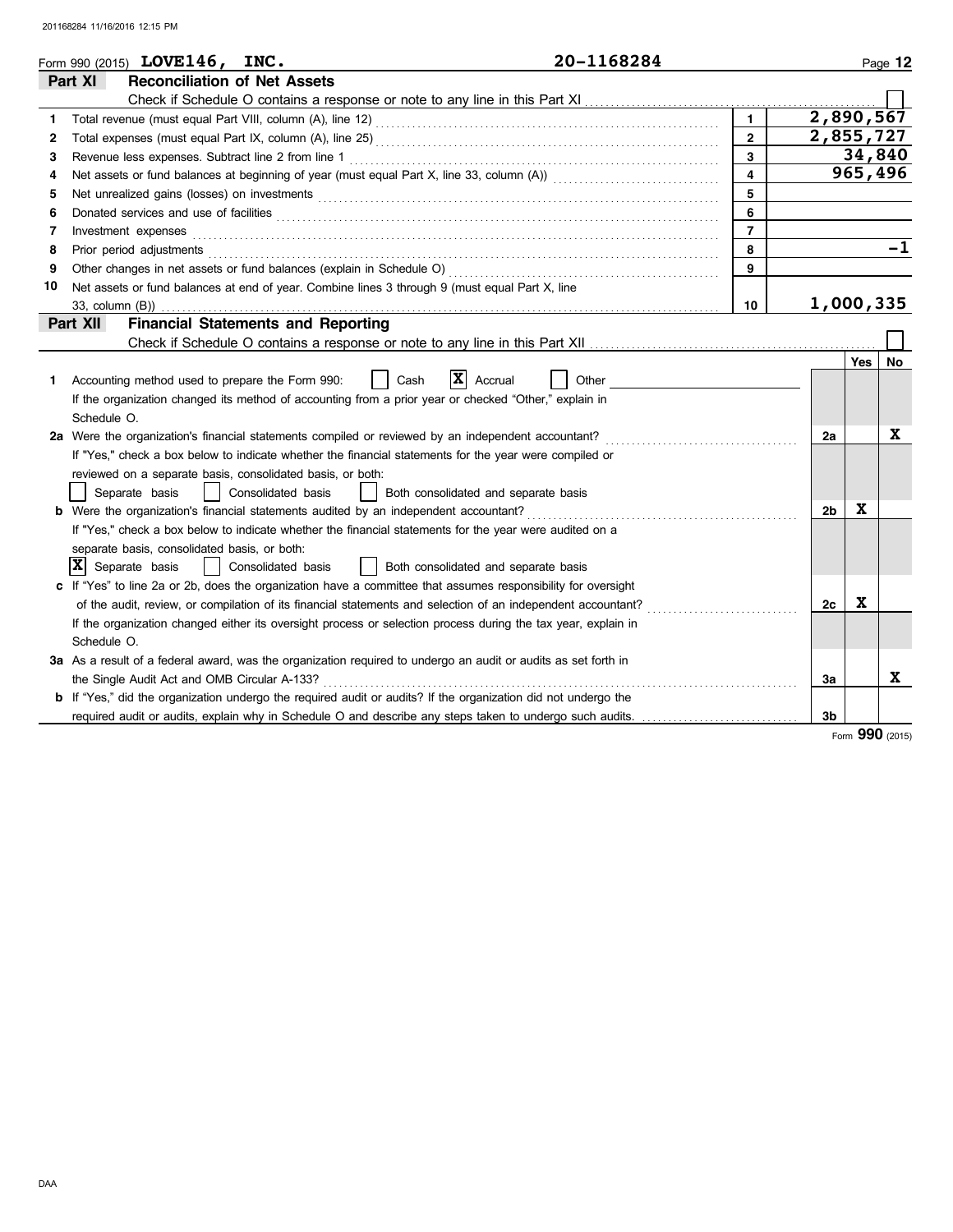|    | 20-1168284<br>Form 990 (2015) LOVE146, INC.                                                                                                                                                                                    |                         |                |     | Page 12   |  |
|----|--------------------------------------------------------------------------------------------------------------------------------------------------------------------------------------------------------------------------------|-------------------------|----------------|-----|-----------|--|
|    | Part XI<br><b>Reconciliation of Net Assets</b>                                                                                                                                                                                 |                         |                |     |           |  |
|    |                                                                                                                                                                                                                                |                         |                |     |           |  |
| 1. |                                                                                                                                                                                                                                | $\mathbf{1}$            | 2,890,567      |     |           |  |
| 2  | $\mathbf{2}$                                                                                                                                                                                                                   |                         |                |     |           |  |
| 3  | Revenue less expenses. Subtract line 2 from line 1                                                                                                                                                                             | 3                       |                |     | 34,840    |  |
| 4  | Net assets or fund balances at beginning of year (must equal Part X, line 33, column (A)) [[[[[[[[[[[[[[[[[[[                                                                                                                  | $\overline{\mathbf{4}}$ |                |     | 965,496   |  |
| 5  |                                                                                                                                                                                                                                | 5                       |                |     |           |  |
| 6  | Donated services and use of facilities <b>constants and interview of facilities</b>                                                                                                                                            | 6                       |                |     |           |  |
| 7  | Investment expenses                                                                                                                                                                                                            | $\overline{7}$          |                |     |           |  |
| 8  | Prior period adjustments entertainments and a statement of the statement of the statement of the statement of the statement of the statement of the statement of the statement of the statement of the statement of the statem | 8                       |                |     | $-1$      |  |
| 9  |                                                                                                                                                                                                                                | 9                       |                |     |           |  |
| 10 | Net assets or fund balances at end of year. Combine lines 3 through 9 (must equal Part X, line                                                                                                                                 |                         |                |     |           |  |
|    |                                                                                                                                                                                                                                | 10                      | 1,000,335      |     |           |  |
|    | <b>Financial Statements and Reporting</b><br>Part XII                                                                                                                                                                          |                         |                |     |           |  |
|    |                                                                                                                                                                                                                                |                         |                |     |           |  |
|    |                                                                                                                                                                                                                                |                         |                | Yes | <b>No</b> |  |
| 1. | X <br>Accounting method used to prepare the Form 990:<br>Cash<br>Accrual<br>Other                                                                                                                                              |                         |                |     |           |  |
|    | If the organization changed its method of accounting from a prior year or checked "Other," explain in                                                                                                                          |                         |                |     |           |  |
|    | Schedule O.                                                                                                                                                                                                                    |                         |                |     |           |  |
|    | 2a Were the organization's financial statements compiled or reviewed by an independent accountant?                                                                                                                             |                         | 2a             |     | X         |  |
|    | If "Yes," check a box below to indicate whether the financial statements for the year were compiled or                                                                                                                         |                         |                |     |           |  |
|    | reviewed on a separate basis, consolidated basis, or both:                                                                                                                                                                     |                         |                |     |           |  |
|    | Separate basis<br>Consolidated basis<br>Both consolidated and separate basis                                                                                                                                                   |                         |                |     |           |  |
|    | <b>b</b> Were the organization's financial statements audited by an independent accountant?                                                                                                                                    |                         | 2 <sub>b</sub> | X   |           |  |
|    | If "Yes," check a box below to indicate whether the financial statements for the year were audited on a                                                                                                                        |                         |                |     |           |  |
|    | separate basis, consolidated basis, or both:                                                                                                                                                                                   |                         |                |     |           |  |
|    | x <br>Separate basis<br>Consolidated basis<br>Both consolidated and separate basis                                                                                                                                             |                         |                |     |           |  |
|    | c If "Yes" to line 2a or 2b, does the organization have a committee that assumes responsibility for oversight                                                                                                                  |                         |                |     |           |  |
|    | of the audit, review, or compilation of its financial statements and selection of an independent accountant?                                                                                                                   |                         | 2с             | X   |           |  |
|    | If the organization changed either its oversight process or selection process during the tax year, explain in                                                                                                                  |                         |                |     |           |  |
|    | Schedule O.                                                                                                                                                                                                                    |                         |                |     |           |  |
|    | 3a As a result of a federal award, was the organization required to undergo an audit or audits as set forth in                                                                                                                 |                         |                |     |           |  |
|    | the Single Audit Act and OMB Circular A-133?                                                                                                                                                                                   |                         | За             |     | X         |  |
|    | <b>b</b> If "Yes," did the organization undergo the required audit or audits? If the organization did not undergo the                                                                                                          |                         |                |     |           |  |
|    |                                                                                                                                                                                                                                |                         | 3b             |     |           |  |

Form **990** (2015)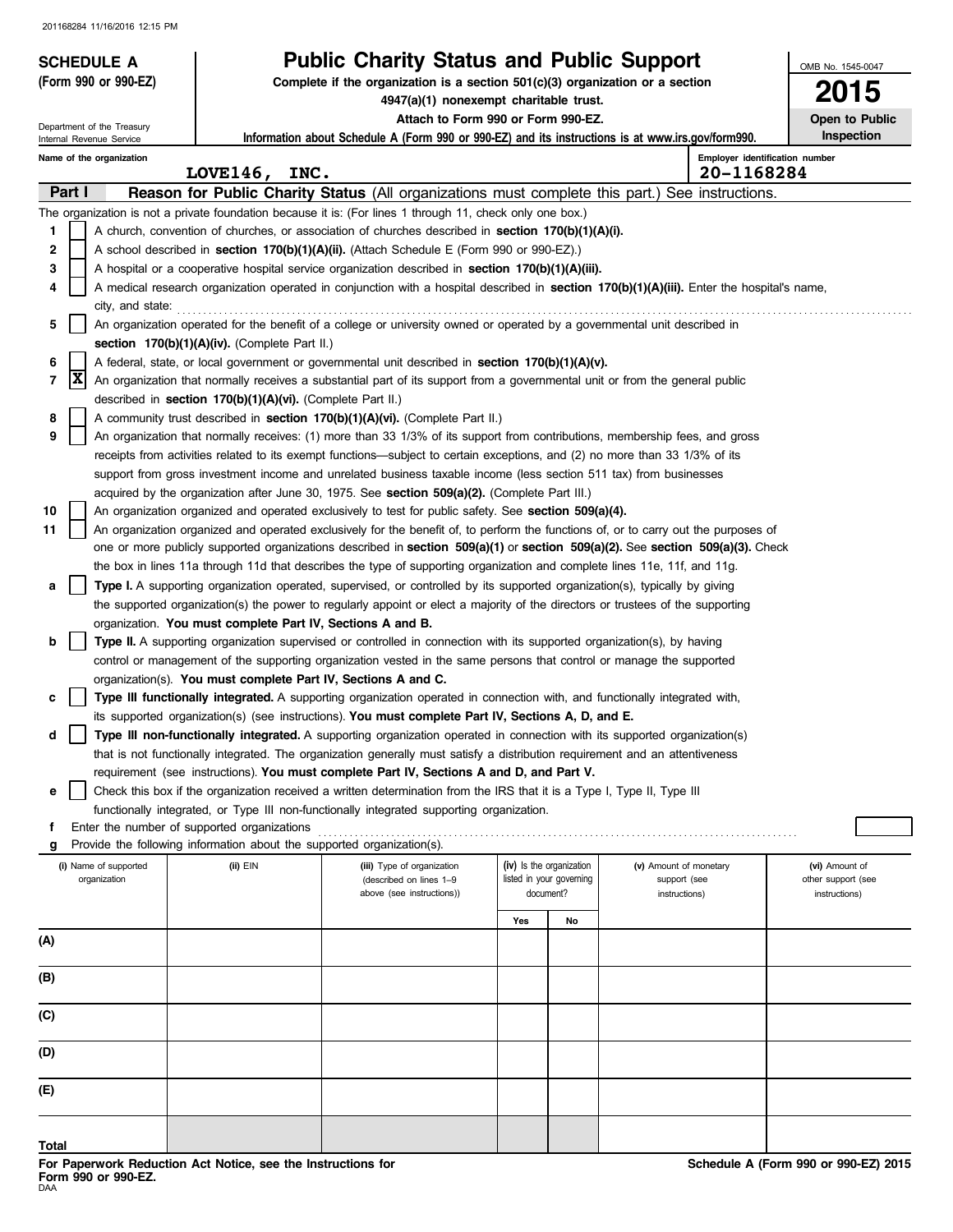| <b>SCHEDULE A</b>                                      |                                                                                                                       | <b>Public Charity Status and Public Support</b>                                                                                                                                                                                                                               |                |                          |                        | OMB No. 1545-0047              |
|--------------------------------------------------------|-----------------------------------------------------------------------------------------------------------------------|-------------------------------------------------------------------------------------------------------------------------------------------------------------------------------------------------------------------------------------------------------------------------------|----------------|--------------------------|------------------------|--------------------------------|
| (Form 990 or 990-EZ)                                   |                                                                                                                       | Complete if the organization is a section $501(c)(3)$ organization or a section                                                                                                                                                                                               |                | 5                        |                        |                                |
|                                                        |                                                                                                                       | 4947(a)(1) nonexempt charitable trust.<br>Attach to Form 990 or Form 990-EZ.                                                                                                                                                                                                  | Open to Public |                          |                        |                                |
| Department of the Treasury<br>Internal Revenue Service |                                                                                                                       | Information about Schedule A (Form 990 or 990-EZ) and its instructions is at www.irs.gov/form990.                                                                                                                                                                             |                |                          |                        | Inspection                     |
| Name of the organization                               |                                                                                                                       |                                                                                                                                                                                                                                                                               |                |                          |                        | Employer identification number |
| Part I                                                 | LOVE146, INC.                                                                                                         |                                                                                                                                                                                                                                                                               |                |                          | 20-1168284             |                                |
|                                                        |                                                                                                                       | Reason for Public Charity Status (All organizations must complete this part.) See instructions.<br>The organization is not a private foundation because it is: (For lines 1 through 11, check only one box.)                                                                  |                |                          |                        |                                |
| 1                                                      |                                                                                                                       | A church, convention of churches, or association of churches described in section 170(b)(1)(A)(i).                                                                                                                                                                            |                |                          |                        |                                |
| 2                                                      |                                                                                                                       | A school described in <b>section 170(b)(1)(A)(ii).</b> (Attach Schedule E (Form 990 or 990-EZ).)                                                                                                                                                                              |                |                          |                        |                                |
| 3                                                      |                                                                                                                       | A hospital or a cooperative hospital service organization described in section $170(b)(1)(A)(iii)$ .                                                                                                                                                                          |                |                          |                        |                                |
| 4                                                      |                                                                                                                       | A medical research organization operated in conjunction with a hospital described in section 170(b)(1)(A)(iii). Enter the hospital's name,                                                                                                                                    |                |                          |                        |                                |
| city, and state:                                       |                                                                                                                       |                                                                                                                                                                                                                                                                               |                |                          |                        |                                |
| 5                                                      |                                                                                                                       | An organization operated for the benefit of a college or university owned or operated by a governmental unit described in                                                                                                                                                     |                |                          |                        |                                |
|                                                        | section 170(b)(1)(A)(iv). (Complete Part II.)                                                                         |                                                                                                                                                                                                                                                                               |                |                          |                        |                                |
| 6<br> X<br>7                                           |                                                                                                                       | A federal, state, or local government or governmental unit described in section 170(b)(1)(A)(v).<br>An organization that normally receives a substantial part of its support from a governmental unit or from the general public                                              |                |                          |                        |                                |
|                                                        | described in section 170(b)(1)(A)(vi). (Complete Part II.)                                                            |                                                                                                                                                                                                                                                                               |                |                          |                        |                                |
| 8                                                      |                                                                                                                       | A community trust described in section 170(b)(1)(A)(vi). (Complete Part II.)                                                                                                                                                                                                  |                |                          |                        |                                |
| 9                                                      |                                                                                                                       | An organization that normally receives: (1) more than 33 1/3% of its support from contributions, membership fees, and gross                                                                                                                                                   |                |                          |                        |                                |
|                                                        |                                                                                                                       | receipts from activities related to its exempt functions—subject to certain exceptions, and (2) no more than 33 1/3% of its                                                                                                                                                   |                |                          |                        |                                |
|                                                        |                                                                                                                       | support from gross investment income and unrelated business taxable income (less section 511 tax) from businesses                                                                                                                                                             |                |                          |                        |                                |
|                                                        |                                                                                                                       | acquired by the organization after June 30, 1975. See section 509(a)(2). (Complete Part III.)                                                                                                                                                                                 |                |                          |                        |                                |
| 10<br>11                                               |                                                                                                                       | An organization organized and operated exclusively to test for public safety. See section 509(a)(4).                                                                                                                                                                          |                |                          |                        |                                |
|                                                        |                                                                                                                       | An organization organized and operated exclusively for the benefit of, to perform the functions of, or to carry out the purposes of<br>one or more publicly supported organizations described in section $509(a)(1)$ or section $509(a)(2)$ . See section $509(a)(3)$ . Check |                |                          |                        |                                |
|                                                        |                                                                                                                       | the box in lines 11a through 11d that describes the type of supporting organization and complete lines 11e, 11f, and 11g.                                                                                                                                                     |                |                          |                        |                                |
| a                                                      |                                                                                                                       | Type I. A supporting organization operated, supervised, or controlled by its supported organization(s), typically by giving                                                                                                                                                   |                |                          |                        |                                |
|                                                        |                                                                                                                       | the supported organization(s) the power to regularly appoint or elect a majority of the directors or trustees of the supporting                                                                                                                                               |                |                          |                        |                                |
|                                                        | organization. You must complete Part IV, Sections A and B.                                                            |                                                                                                                                                                                                                                                                               |                |                          |                        |                                |
| $\mathbf b$                                            |                                                                                                                       | <b>Type II.</b> A supporting organization supervised or controlled in connection with its supported organization(s), by having                                                                                                                                                |                |                          |                        |                                |
|                                                        |                                                                                                                       | control or management of the supporting organization vested in the same persons that control or manage the supported                                                                                                                                                          |                |                          |                        |                                |
| c                                                      | organization(s). You must complete Part IV, Sections A and C.                                                         | Type III functionally integrated. A supporting organization operated in connection with, and functionally integrated with,                                                                                                                                                    |                |                          |                        |                                |
|                                                        |                                                                                                                       | its supported organization(s) (see instructions). You must complete Part IV, Sections A, D, and E.                                                                                                                                                                            |                |                          |                        |                                |
| d                                                      |                                                                                                                       | Type III non-functionally integrated. A supporting organization operated in connection with its supported organization(s)                                                                                                                                                     |                |                          |                        |                                |
|                                                        |                                                                                                                       | that is not functionally integrated. The organization generally must satisfy a distribution requirement and an attentiveness                                                                                                                                                  |                |                          |                        |                                |
|                                                        |                                                                                                                       | requirement (see instructions). You must complete Part IV, Sections A and D, and Part V.                                                                                                                                                                                      |                |                          |                        |                                |
| е                                                      |                                                                                                                       | Check this box if the organization received a written determination from the IRS that it is a Type I, Type II, Type III                                                                                                                                                       |                |                          |                        |                                |
|                                                        |                                                                                                                       | functionally integrated, or Type III non-functionally integrated supporting organization.                                                                                                                                                                                     |                |                          |                        |                                |
| f<br>g                                                 | Enter the number of supported organizations<br>Provide the following information about the supported organization(s). |                                                                                                                                                                                                                                                                               |                |                          |                        |                                |
| (i) Name of supported                                  | (ii) EIN                                                                                                              | (iii) Type of organization                                                                                                                                                                                                                                                    |                | (iv) Is the organization | (v) Amount of monetary | (vi) Amount of                 |
| organization                                           |                                                                                                                       | (described on lines 1-9                                                                                                                                                                                                                                                       |                | listed in your governing | support (see           | other support (see             |
|                                                        |                                                                                                                       | above (see instructions))                                                                                                                                                                                                                                                     |                | document?                | instructions)          | instructions)                  |
|                                                        |                                                                                                                       |                                                                                                                                                                                                                                                                               | Yes            | No                       |                        |                                |
| (A)                                                    |                                                                                                                       |                                                                                                                                                                                                                                                                               |                |                          |                        |                                |
| (B)                                                    |                                                                                                                       |                                                                                                                                                                                                                                                                               |                |                          |                        |                                |
|                                                        |                                                                                                                       |                                                                                                                                                                                                                                                                               |                |                          |                        |                                |
| (C)                                                    |                                                                                                                       |                                                                                                                                                                                                                                                                               |                |                          |                        |                                |
| (D)                                                    |                                                                                                                       |                                                                                                                                                                                                                                                                               |                |                          |                        |                                |
| (E)                                                    |                                                                                                                       |                                                                                                                                                                                                                                                                               |                |                          |                        |                                |
|                                                        |                                                                                                                       |                                                                                                                                                                                                                                                                               |                |                          |                        |                                |
| Total                                                  |                                                                                                                       |                                                                                                                                                                                                                                                                               |                |                          |                        |                                |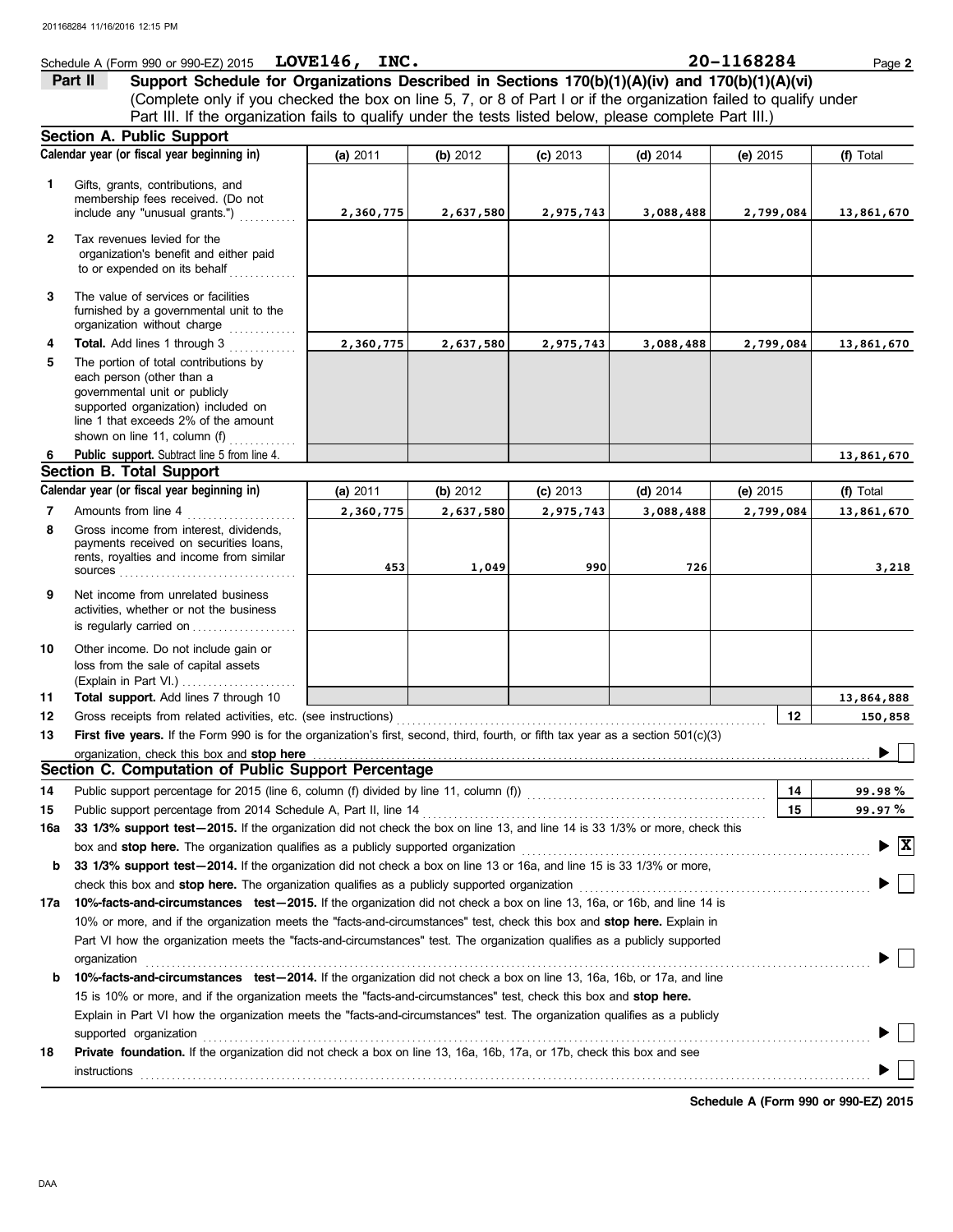### **Schedule A (Form 990 or 990-EZ) 2015 LOVE146, INC.** 20 120 - 1168284 Page 2 (Complete only if you checked the box on line 5, 7, or 8 of Part I or if the organization failed to qualify under **Part II Support Schedule for Organizations Described in Sections 170(b)(1)(A)(iv) and 170(b)(1)(A)(vi)** Part III. If the organization fails to qualify under the tests listed below, please complete Part III.)

|              | <b>Section A. Public Support</b>                                                                                                                                                                                                                                                                                                                        |                 |           |            |            |            |                                        |
|--------------|---------------------------------------------------------------------------------------------------------------------------------------------------------------------------------------------------------------------------------------------------------------------------------------------------------------------------------------------------------|-----------------|-----------|------------|------------|------------|----------------------------------------|
|              | Calendar year (or fiscal year beginning in)                                                                                                                                                                                                                                                                                                             | <b>(a)</b> 2011 | (b) 2012  | $(c)$ 2013 | (d) $2014$ | $(e)$ 2015 | (f) Total                              |
| 1            | Gifts, grants, contributions, and<br>membership fees received. (Do not<br>include any "unusual grants.")                                                                                                                                                                                                                                                | 2,360,775       | 2,637,580 | 2,975,743  | 3,088,488  | 2,799,084  | 13,861,670                             |
| $\mathbf{2}$ | Tax revenues levied for the<br>organization's benefit and either paid<br>to or expended on its behalf                                                                                                                                                                                                                                                   |                 |           |            |            |            |                                        |
| 3            | The value of services or facilities<br>furnished by a governmental unit to the<br>organization without charge                                                                                                                                                                                                                                           |                 |           |            |            |            |                                        |
| 4            | Total. Add lines 1 through 3                                                                                                                                                                                                                                                                                                                            | 2,360,775       | 2,637,580 | 2,975,743  | 3,088,488  | 2,799,084  | 13,861,670                             |
| 5            | The portion of total contributions by<br>each person (other than a<br>governmental unit or publicly<br>supported organization) included on<br>line 1 that exceeds 2% of the amount<br>shown on line 11, column (f) $\ldots$                                                                                                                             |                 |           |            |            |            |                                        |
| 6            | Public support. Subtract line 5 from line 4.                                                                                                                                                                                                                                                                                                            |                 |           |            |            |            | 13,861,670                             |
|              | <b>Section B. Total Support</b>                                                                                                                                                                                                                                                                                                                         |                 |           |            |            |            |                                        |
|              | Calendar year (or fiscal year beginning in)                                                                                                                                                                                                                                                                                                             | (a) 2011        | (b) 2012  | $(c)$ 2013 | (d) $2014$ | (e) $2015$ | (f) Total                              |
| 7            | Amounts from line 4                                                                                                                                                                                                                                                                                                                                     | 2,360,775       | 2,637,580 | 2,975,743  | 3,088,488  | 2,799,084  | 13,861,670                             |
| 8            | Gross income from interest, dividends,<br>payments received on securities loans,<br>rents, royalties and income from similar                                                                                                                                                                                                                            | 453             | 1,049     | 990        | 726        |            | 3,218                                  |
| 9            | Net income from unrelated business<br>activities, whether or not the business<br>is regularly carried on $\ldots$ $\ldots$ $\ldots$ $\ldots$                                                                                                                                                                                                            |                 |           |            |            |            |                                        |
| 10           | Other income. Do not include gain or<br>loss from the sale of capital assets<br>(Explain in Part VI.)                                                                                                                                                                                                                                                   |                 |           |            |            |            |                                        |
| 11           | Total support. Add lines 7 through 10                                                                                                                                                                                                                                                                                                                   |                 |           |            |            |            | 13,864,888                             |
| 12           |                                                                                                                                                                                                                                                                                                                                                         |                 |           |            |            | 12         | 150,858                                |
| 13           | First five years. If the Form 990 is for the organization's first, second, third, fourth, or fifth tax year as a section 501(c)(3)                                                                                                                                                                                                                      |                 |           |            |            |            |                                        |
|              | organization, check this box and stop here                                                                                                                                                                                                                                                                                                              |                 |           |            |            |            |                                        |
|              | Section C. Computation of Public Support Percentage                                                                                                                                                                                                                                                                                                     |                 |           |            |            |            |                                        |
| 14           | Public support percentage for 2015 (line 6, column (f) divided by line 11, column (f)) [[[[[[[[[[[[[[[[[[[[[[                                                                                                                                                                                                                                           |                 |           |            |            | 14         | 99.98%                                 |
| 15           | Public support percentage from 2014 Schedule A, Part II, line 14 [2010] [2010] [2010] [2010] [2010] [2010] [2010] [2010] [2010] [2010] [2010] [2010] [2010] [2010] [2010] [2010] [2010] [2010] [2010] [2010] [2010] [2010] [20                                                                                                                          |                 |           |            |            | 15         | 99.97%                                 |
| 16а          | 33 1/3% support test-2015. If the organization did not check the box on line 13, and line 14 is 33 1/3% or more, check this                                                                                                                                                                                                                             |                 |           |            |            |            |                                        |
|              |                                                                                                                                                                                                                                                                                                                                                         |                 |           |            |            |            | $\blacktriangleright \boxed{\text{X}}$ |
| b            | 33 1/3% support test-2014. If the organization did not check a box on line 13 or 16a, and line 15 is 33 1/3% or more,                                                                                                                                                                                                                                   |                 |           |            |            |            |                                        |
|              | check this box and stop here. The organization qualifies as a publicly supported organization <b>contract the state of state of state</b>                                                                                                                                                                                                               |                 |           |            |            |            |                                        |
| 17a          | 10%-facts-and-circumstances test-2015. If the organization did not check a box on line 13, 16a, or 16b, and line 14 is                                                                                                                                                                                                                                  |                 |           |            |            |            |                                        |
|              | 10% or more, and if the organization meets the "facts-and-circumstances" test, check this box and stop here. Explain in<br>Part VI how the organization meets the "facts-and-circumstances" test. The organization qualifies as a publicly supported                                                                                                    |                 |           |            |            |            |                                        |
|              |                                                                                                                                                                                                                                                                                                                                                         |                 |           |            |            |            |                                        |
| b            | 10%-facts-and-circumstances test-2014. If the organization did not check a box on line 13, 16a, 16b, or 17a, and line                                                                                                                                                                                                                                   |                 |           |            |            |            |                                        |
|              | 15 is 10% or more, and if the organization meets the "facts-and-circumstances" test, check this box and stop here.<br>Explain in Part VI how the organization meets the "facts-and-circumstances" test. The organization qualifies as a publicly                                                                                                        |                 |           |            |            |            |                                        |
|              | supported organization contains and contains a subsequent of the contact of the contact of the contact of the contact of the contact of the contact of the contact of the contact of the contact of the contact of the contact<br>Private foundation. If the organization did not check a box on line 13, 16a, 16b, 17a, or 17b, check this box and see |                 |           |            |            |            |                                        |
| 18           | <b>instructions</b>                                                                                                                                                                                                                                                                                                                                     |                 |           |            |            |            |                                        |
|              |                                                                                                                                                                                                                                                                                                                                                         |                 |           |            |            |            |                                        |

**Schedule A (Form 990 or 990-EZ) 2015**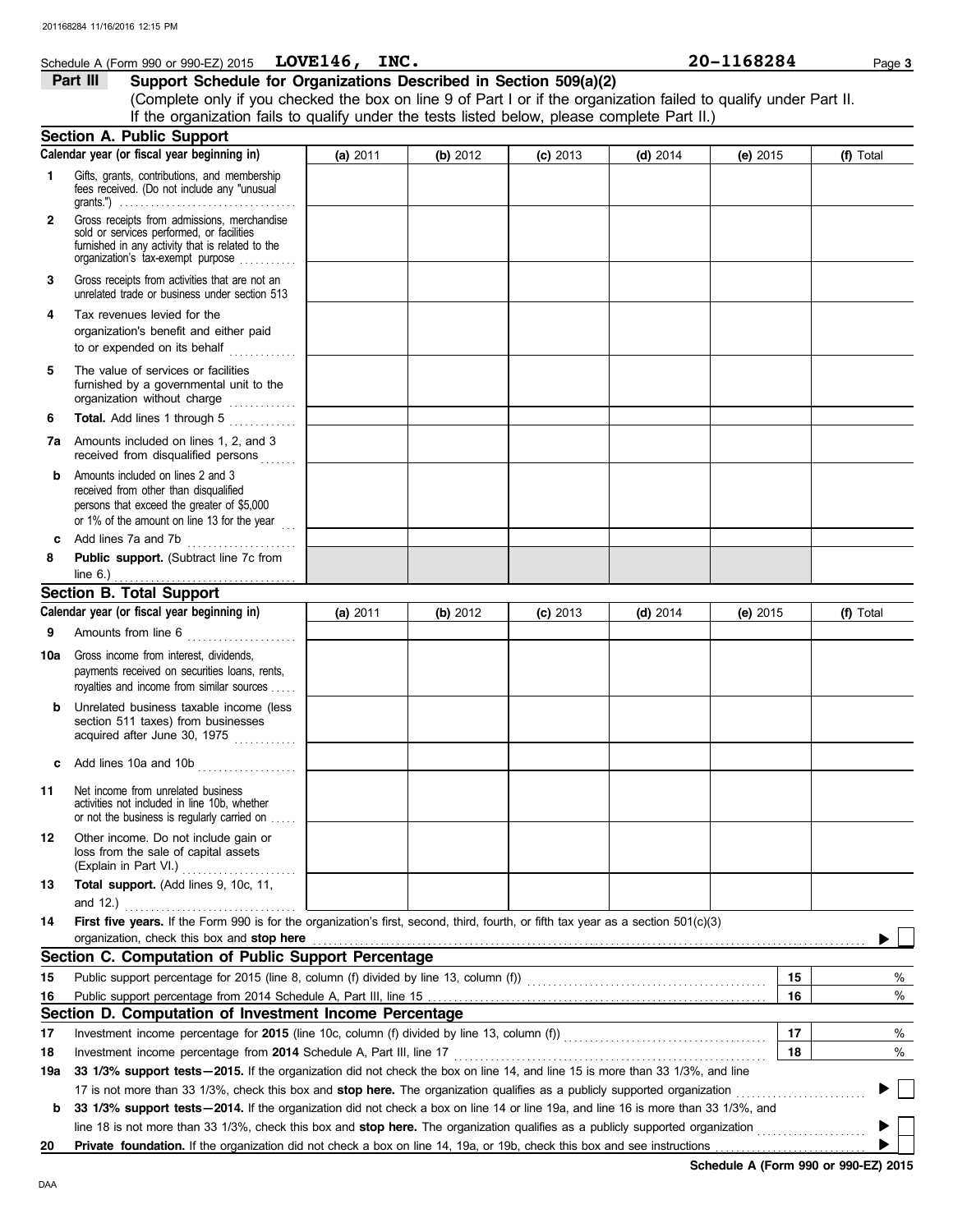|              | 201168284 11/16/2016 12:15 PM                                                                                                                                                                                                                                                                      |          |          |            |            |            |           |
|--------------|----------------------------------------------------------------------------------------------------------------------------------------------------------------------------------------------------------------------------------------------------------------------------------------------------|----------|----------|------------|------------|------------|-----------|
|              | Schedule A (Form 990 or 990-EZ) 2015 $LOVE146$ , INC.                                                                                                                                                                                                                                              |          |          |            |            | 20-1168284 | Page 3    |
|              | Support Schedule for Organizations Described in Section 509(a)(2)<br>Part III<br>(Complete only if you checked the box on line 9 of Part I or if the organization failed to qualify under Part II.<br>If the organization fails to qualify under the tests listed below, please complete Part II.) |          |          |            |            |            |           |
|              | <b>Section A. Public Support</b>                                                                                                                                                                                                                                                                   |          |          |            |            |            |           |
|              | Calendar year (or fiscal year beginning in)                                                                                                                                                                                                                                                        | (a) 2011 | (b) 2012 | $(c)$ 2013 | $(d)$ 2014 | (e) $2015$ | (f) Total |
| 1.           | Gifts, grants, contributions, and membership<br>fees received. (Do not include any "unusual<br>grants.") $\ldots \ldots \ldots \ldots \ldots \ldots \ldots \ldots \ldots \ldots \ldots \ldots$                                                                                                     |          |          |            |            |            |           |
| $\mathbf{2}$ | Gross receipts from admissions, merchandise<br>sold or services performed, or facilities<br>furnished in any activity that is related to the<br>organization's tax-exempt purpose                                                                                                                  |          |          |            |            |            |           |
| 3            | Gross receipts from activities that are not an<br>unrelated trade or business under section 513                                                                                                                                                                                                    |          |          |            |            |            |           |
| 4            | Tax revenues levied for the<br>organization's benefit and either paid<br>to or expended on its behalf $\ldots$                                                                                                                                                                                     |          |          |            |            |            |           |
| 5            | The value of services or facilities<br>furnished by a governmental unit to the<br>organization without charge                                                                                                                                                                                      |          |          |            |            |            |           |
| 6            | Total. Add lines 1 through 5                                                                                                                                                                                                                                                                       |          |          |            |            |            |           |
|              | 7a Amounts included on lines 1, 2, and 3<br>received from disqualified persons                                                                                                                                                                                                                     |          |          |            |            |            |           |
| b            | Amounts included on lines 2 and 3<br>received from other than disqualified<br>persons that exceed the greater of \$5,000<br>or 1% of the amount on line 13 for the year                                                                                                                            |          |          |            |            |            |           |
| c            |                                                                                                                                                                                                                                                                                                    |          |          |            |            |            |           |
| 8            | Public support. (Subtract line 7c from                                                                                                                                                                                                                                                             |          |          |            |            |            |           |
|              | <b>Section B. Total Support</b>                                                                                                                                                                                                                                                                    |          |          |            |            |            |           |
|              | Calendar year (or fiscal year beginning in)                                                                                                                                                                                                                                                        | (a) 2011 | (b) 2012 | $(c)$ 2013 | $(d)$ 2014 | (e) $2015$ | (f) Total |
| 9            | Amounts from line 6                                                                                                                                                                                                                                                                                |          |          |            |            |            |           |
|              | 10a Gross income from interest, dividends,<br>payments received on securities loans, rents,<br>royalties and income from similar sources.                                                                                                                                                          |          |          |            |            |            |           |
| b            | Unrelated business taxable income (less<br>section 511 taxes) from businesses<br>acquired after June 30, 1975                                                                                                                                                                                      |          |          |            |            |            |           |
| c            |                                                                                                                                                                                                                                                                                                    |          |          |            |            |            |           |
| 11           | Net income from unrelated business<br>activities not included in line 10b, whether<br>or not the business is regularly carried on                                                                                                                                                                  |          |          |            |            |            |           |
| 12           | Other income. Do not include gain or<br>loss from the sale of capital assets                                                                                                                                                                                                                       |          |          |            |            |            |           |
| 13           | Total support. (Add lines 9, 10c, 11,                                                                                                                                                                                                                                                              |          |          |            |            |            |           |

| 14  | First five years. If the Form 990 is for the organization's first, second, third, fourth, or fifth tax year as a section 501(c)(3)                                                                                                   |    |      |  |  |  |
|-----|--------------------------------------------------------------------------------------------------------------------------------------------------------------------------------------------------------------------------------------|----|------|--|--|--|
|     | organization, check this box and stop here <b>constant and the constant of the state of the constant of the state of the state of the state of the state of the state of the state of the state of the state of the state of the</b> |    |      |  |  |  |
|     | Section C. Computation of Public Support Percentage                                                                                                                                                                                  |    |      |  |  |  |
| 15  | Public support percentage for 2015 (line 8, column (f) divided by line 13, column (f))                                                                                                                                               | 15 | $\%$ |  |  |  |
| 16  |                                                                                                                                                                                                                                      | 16 | %    |  |  |  |
|     | Section D. Computation of Investment Income Percentage                                                                                                                                                                               |    |      |  |  |  |
| 17  | Investment income percentage for 2015 (line 10c, column (f) divided by line 13, column (f))                                                                                                                                          | 17 | $\%$ |  |  |  |
| 18  | Investment income percentage from 2014 Schedule A, Part III, line 17                                                                                                                                                                 | 18 | $\%$ |  |  |  |
| 19a | 33 1/3% support tests-2015. If the organization did not check the box on line 14, and line 15 is more than 33 1/3%, and line                                                                                                         |    |      |  |  |  |
|     | 17 is not more than 33 1/3%, check this box and stop here. The organization qualifies as a publicly supported organization                                                                                                           |    |      |  |  |  |

**b 33 1/3% support tests—2014.** If the organization did not check a box on line 14 or line 19a, and line 16 is more than 33 1/3%, and line 18 is not more than 33 1/3%, check this box and **stop here.** The organization qualifies as a publicly supported organization . . . . . . . . . . . . . . . . . . . . .

20 Private foundation. If the organization did not check a box on line 14, 19a, or 19b, check this box and see instructions

**Schedule A (Form 990 or 990-EZ) 2015**

Þ ь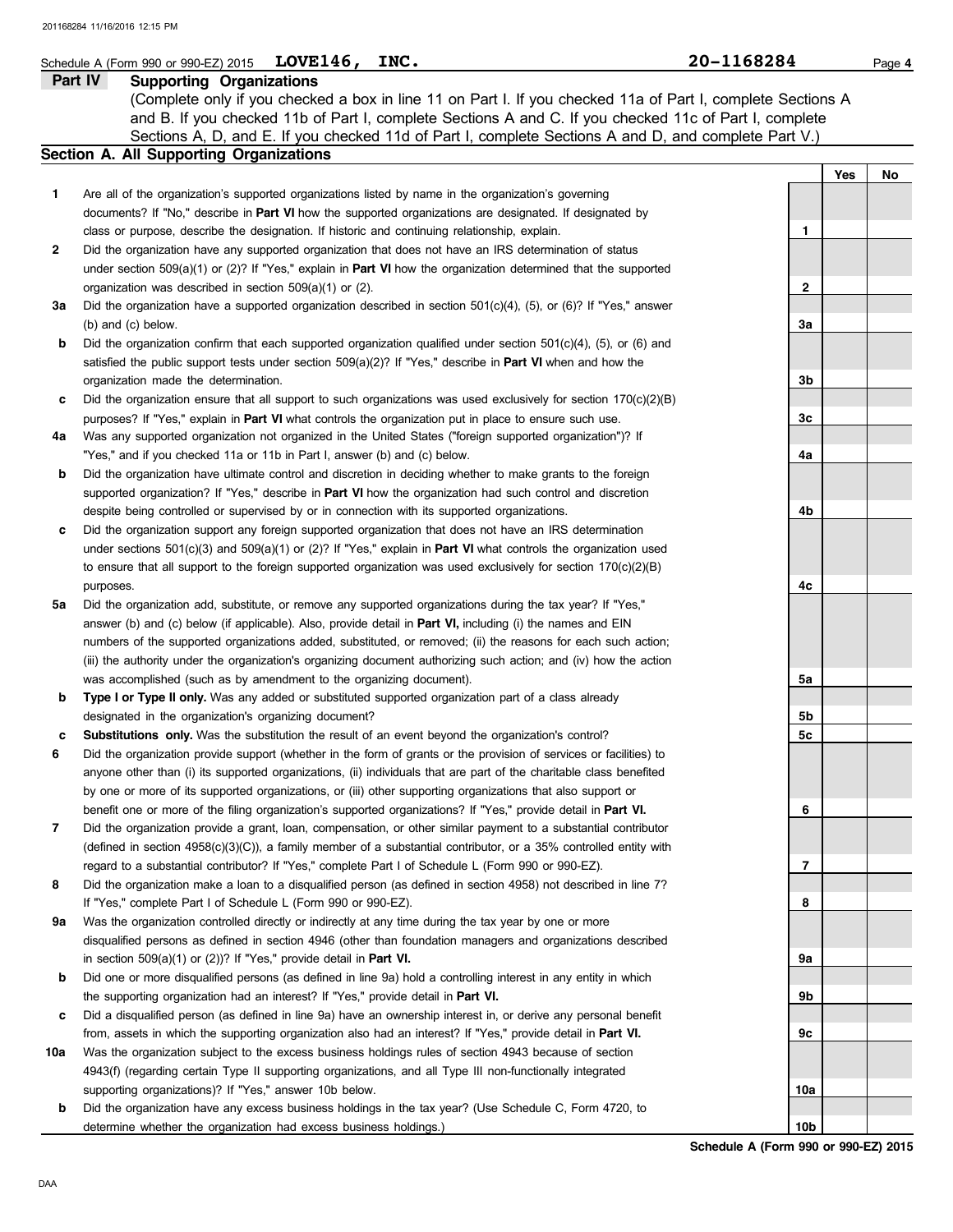## **Schedule A (Form 990 or 990-EZ) 2015 LOVE146, INC.** 20 1168284 Page 4

**Part IV Supporting Organizations** Sections A, D, and E. If you checked 11d of Part I, complete Sections A and D, and complete Part V.) (Complete only if you checked a box in line 11 on Part I. If you checked 11a of Part I, complete Sections A and B. If you checked 11b of Part I, complete Sections A and C. If you checked 11c of Part I, complete

## **Section A. All Supporting Organizations**

|              |                                                                                                                                                                                                                         |                 | Yes | No |
|--------------|-------------------------------------------------------------------------------------------------------------------------------------------------------------------------------------------------------------------------|-----------------|-----|----|
| $\mathbf{1}$ | Are all of the organization's supported organizations listed by name in the organization's governing                                                                                                                    |                 |     |    |
|              | documents? If "No," describe in Part VI how the supported organizations are designated. If designated by                                                                                                                |                 |     |    |
|              | class or purpose, describe the designation. If historic and continuing relationship, explain.                                                                                                                           | 1               |     |    |
| 2            | Did the organization have any supported organization that does not have an IRS determination of status                                                                                                                  |                 |     |    |
|              | under section 509(a)(1) or (2)? If "Yes," explain in <b>Part VI</b> how the organization determined that the supported                                                                                                  |                 |     |    |
|              | organization was described in section 509(a)(1) or (2).                                                                                                                                                                 | 2               |     |    |
| За           | Did the organization have a supported organization described in section $501(c)(4)$ , (5), or (6)? If "Yes," answer                                                                                                     |                 |     |    |
|              | (b) and (c) below.                                                                                                                                                                                                      | 3a              |     |    |
| b            | Did the organization confirm that each supported organization qualified under section $501(c)(4)$ , (5), or (6) and                                                                                                     |                 |     |    |
|              | satisfied the public support tests under section $509(a)(2)$ ? If "Yes," describe in <b>Part VI</b> when and how the                                                                                                    |                 |     |    |
|              | organization made the determination.                                                                                                                                                                                    | 3b              |     |    |
| c            | Did the organization ensure that all support to such organizations was used exclusively for section $170(c)(2)(B)$                                                                                                      |                 |     |    |
|              | purposes? If "Yes," explain in Part VI what controls the organization put in place to ensure such use.                                                                                                                  | 3c              |     |    |
| 4a           | Was any supported organization not organized in the United States ("foreign supported organization")? If<br>"Yes," and if you checked 11a or 11b in Part I, answer (b) and (c) below.                                   | 4a              |     |    |
| b            | Did the organization have ultimate control and discretion in deciding whether to make grants to the foreign                                                                                                             |                 |     |    |
|              | supported organization? If "Yes," describe in Part VI how the organization had such control and discretion                                                                                                              |                 |     |    |
|              | despite being controlled or supervised by or in connection with its supported organizations.                                                                                                                            | 4b              |     |    |
| c            | Did the organization support any foreign supported organization that does not have an IRS determination                                                                                                                 |                 |     |    |
|              | under sections $501(c)(3)$ and $509(a)(1)$ or (2)? If "Yes," explain in <b>Part VI</b> what controls the organization used                                                                                              |                 |     |    |
|              | to ensure that all support to the foreign supported organization was used exclusively for section $170(c)(2)(B)$                                                                                                        |                 |     |    |
|              | purposes.                                                                                                                                                                                                               | 4c              |     |    |
| 5a           | Did the organization add, substitute, or remove any supported organizations during the tax year? If "Yes,"                                                                                                              |                 |     |    |
|              | answer (b) and (c) below (if applicable). Also, provide detail in <b>Part VI</b> , including (i) the names and EIN                                                                                                      |                 |     |    |
|              | numbers of the supported organizations added, substituted, or removed; (ii) the reasons for each such action;                                                                                                           |                 |     |    |
|              | (iii) the authority under the organization's organizing document authorizing such action; and (iv) how the action                                                                                                       |                 |     |    |
|              | was accomplished (such as by amendment to the organizing document).                                                                                                                                                     | 5a              |     |    |
| b            | Type I or Type II only. Was any added or substituted supported organization part of a class already                                                                                                                     |                 |     |    |
|              | designated in the organization's organizing document?                                                                                                                                                                   | 5b              |     |    |
| c            | Substitutions only. Was the substitution the result of an event beyond the organization's control?                                                                                                                      | 5c              |     |    |
| 6            | Did the organization provide support (whether in the form of grants or the provision of services or facilities) to                                                                                                      |                 |     |    |
|              | anyone other than (i) its supported organizations, (ii) individuals that are part of the charitable class benefited                                                                                                     |                 |     |    |
|              | by one or more of its supported organizations, or (iii) other supporting organizations that also support or                                                                                                             |                 |     |    |
|              | benefit one or more of the filing organization's supported organizations? If "Yes," provide detail in Part VI.                                                                                                          | 6               |     |    |
| 7            | Did the organization provide a grant, loan, compensation, or other similar payment to a substantial contributor                                                                                                         |                 |     |    |
|              | (defined in section 4958(c)(3)(C)), a family member of a substantial contributor, or a 35% controlled entity with<br>regard to a substantial contributor? If "Yes," complete Part I of Schedule L (Form 990 or 990-EZ). | 7               |     |    |
| 8            | Did the organization make a loan to a disqualified person (as defined in section 4958) not described in line 7?                                                                                                         |                 |     |    |
|              | If "Yes," complete Part I of Schedule L (Form 990 or 990-EZ).                                                                                                                                                           | 8               |     |    |
| 9a           | Was the organization controlled directly or indirectly at any time during the tax year by one or more                                                                                                                   |                 |     |    |
|              | disqualified persons as defined in section 4946 (other than foundation managers and organizations described                                                                                                             |                 |     |    |
|              | in section $509(a)(1)$ or $(2)$ ? If "Yes," provide detail in <b>Part VI.</b>                                                                                                                                           | <b>9a</b>       |     |    |
| b            | Did one or more disqualified persons (as defined in line 9a) hold a controlling interest in any entity in which                                                                                                         |                 |     |    |
|              | the supporting organization had an interest? If "Yes," provide detail in Part VI.                                                                                                                                       | 9b              |     |    |
| c            | Did a disqualified person (as defined in line 9a) have an ownership interest in, or derive any personal benefit                                                                                                         |                 |     |    |
|              | from, assets in which the supporting organization also had an interest? If "Yes," provide detail in Part VI.                                                                                                            | 9с              |     |    |
| 10a          | Was the organization subject to the excess business holdings rules of section 4943 because of section                                                                                                                   |                 |     |    |
|              | 4943(f) (regarding certain Type II supporting organizations, and all Type III non-functionally integrated                                                                                                               |                 |     |    |
|              | supporting organizations)? If "Yes," answer 10b below.                                                                                                                                                                  | 10a             |     |    |
| b            | Did the organization have any excess business holdings in the tax year? (Use Schedule C, Form 4720, to                                                                                                                  |                 |     |    |
|              | determine whether the organization had excess business holdings.)                                                                                                                                                       | 10 <sub>b</sub> |     |    |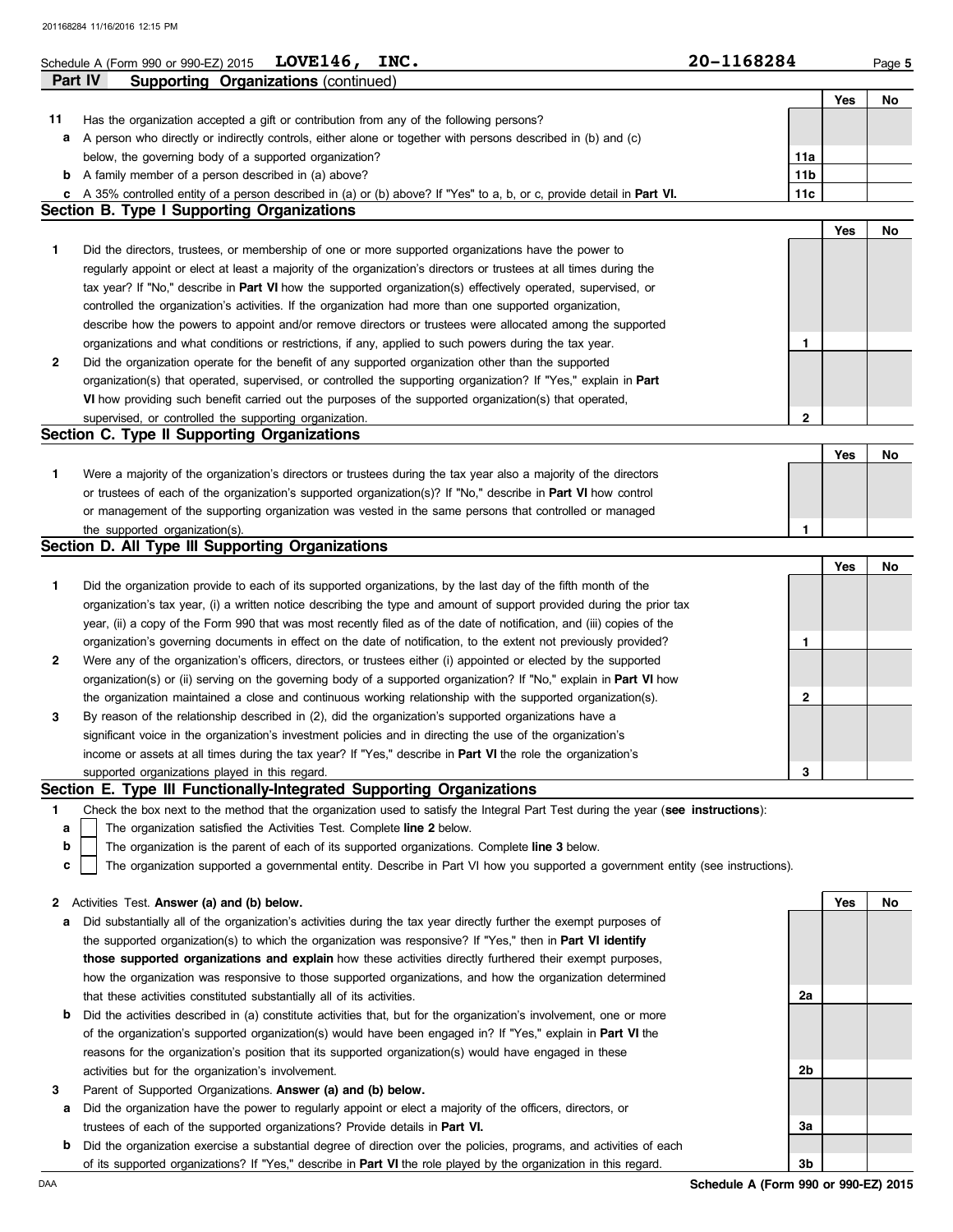## Schedule A (Form 990 or 990-EZ) 2015  $L$ OVE146, INC.  $20-1168284$  Page 5

|    | Part IV<br><b>Supporting Organizations (continued)</b>                                                                    |                 |     |    |
|----|---------------------------------------------------------------------------------------------------------------------------|-----------------|-----|----|
|    |                                                                                                                           |                 | Yes | No |
| 11 | Has the organization accepted a gift or contribution from any of the following persons?                                   |                 |     |    |
| a  | A person who directly or indirectly controls, either alone or together with persons described in (b) and (c)              |                 |     |    |
|    | below, the governing body of a supported organization?                                                                    | 11a             |     |    |
| b  | A family member of a person described in (a) above?                                                                       | 11 <sub>b</sub> |     |    |
|    | c A 35% controlled entity of a person described in (a) or (b) above? If "Yes" to a, b, or c, provide detail in Part VI.   | 11c             |     |    |
|    | <b>Section B. Type I Supporting Organizations</b>                                                                         |                 |     |    |
|    |                                                                                                                           |                 | Yes | No |
| 1. | Did the directors, trustees, or membership of one or more supported organizations have the power to                       |                 |     |    |
|    | regularly appoint or elect at least a majority of the organization's directors or trustees at all times during the        |                 |     |    |
|    | tax year? If "No," describe in Part VI how the supported organization(s) effectively operated, supervised, or             |                 |     |    |
|    | controlled the organization's activities. If the organization had more than one supported organization,                   |                 |     |    |
|    | describe how the powers to appoint and/or remove directors or trustees were allocated among the supported                 |                 |     |    |
|    | organizations and what conditions or restrictions, if any, applied to such powers during the tax year.                    | 1               |     |    |
| 2  | Did the organization operate for the benefit of any supported organization other than the supported                       |                 |     |    |
|    | organization(s) that operated, supervised, or controlled the supporting organization? If "Yes," explain in Part           |                 |     |    |
|    | VI how providing such benefit carried out the purposes of the supported organization(s) that operated,                    |                 |     |    |
|    | supervised, or controlled the supporting organization.                                                                    | $\mathbf{2}$    |     |    |
|    | Section C. Type II Supporting Organizations                                                                               |                 |     |    |
|    |                                                                                                                           |                 | Yes | No |
| 1. | Were a majority of the organization's directors or trustees during the tax year also a majority of the directors          |                 |     |    |
|    | or trustees of each of the organization's supported organization(s)? If "No," describe in Part VI how control             |                 |     |    |
|    | or management of the supporting organization was vested in the same persons that controlled or managed                    |                 |     |    |
|    | the supported organization(s).                                                                                            | 1               |     |    |
|    | Section D. All Type III Supporting Organizations                                                                          |                 |     |    |
|    |                                                                                                                           |                 | Yes | No |
| 1. | Did the organization provide to each of its supported organizations, by the last day of the fifth month of the            |                 |     |    |
|    | organization's tax year, (i) a written notice describing the type and amount of support provided during the prior tax     |                 |     |    |
|    | year, (ii) a copy of the Form 990 that was most recently filed as of the date of notification, and (iii) copies of the    |                 |     |    |
|    | organization's governing documents in effect on the date of notification, to the extent not previously provided?          | 1               |     |    |
| 2  | Were any of the organization's officers, directors, or trustees either (i) appointed or elected by the supported          |                 |     |    |
|    | organization(s) or (ii) serving on the governing body of a supported organization? If "No," explain in <b>Part VI</b> how |                 |     |    |
|    | the organization maintained a close and continuous working relationship with the supported organization(s).               | 2               |     |    |
| 3  | By reason of the relationship described in (2), did the organization's supported organizations have a                     |                 |     |    |

### supported organizations played in this regard. income or assets at all times during the tax year? If "Yes," describe in **Part VI** the role the organization's significant voice in the organization's investment policies and in directing the use of the organization's **3**

### **Section E. Type III Functionally-Integrated Supporting Organizations**

**1** Check the box next to the method that the organization used to satisfy the Integral Part Test during the year (**see instructions**):

The organization satisfied the Activities Test. Complete **line 2** below. **a**

The organization is the parent of each of its supported organizations. Complete **line 3** below.

The organization supported a governmental entity. Describe in Part VI how you supported a government entity (see instructions). **c**

|  | 2 Activities Test. Answer (a) and (b) below. |  |  |  |  |  |  |  |
|--|----------------------------------------------|--|--|--|--|--|--|--|
|--|----------------------------------------------|--|--|--|--|--|--|--|

- **a** Did substantially all of the organization's activities during the tax year directly further the exempt purposes of the supported organization(s) to which the organization was responsive? If "Yes," then in **Part VI identify those supported organizations and explain** how these activities directly furthered their exempt purposes, how the organization was responsive to those supported organizations, and how the organization determined that these activities constituted substantially all of its activities.
- **b** Did the activities described in (a) constitute activities that, but for the organization's involvement, one or more of the organization's supported organization(s) would have been engaged in? If "Yes," explain in **Part VI** the reasons for the organization's position that its supported organization(s) would have engaged in these activities but for the organization's involvement.
- **3** Parent of Supported Organizations. **Answer (a) and (b) below.**
	- **a** Did the organization have the power to regularly appoint or elect a majority of the officers, directors, or trustees of each of the supported organizations? Provide details in **Part VI.**
	- **b** Did the organization exercise a substantial degree of direction over the policies, programs, and activities of each of its supported organizations? If "Yes," describe in **Part VI** the role played by the organization in this regard.

**Yes No 2a 2b 3a 3b**

**b**

**LOVE146, INC. 20-1168284**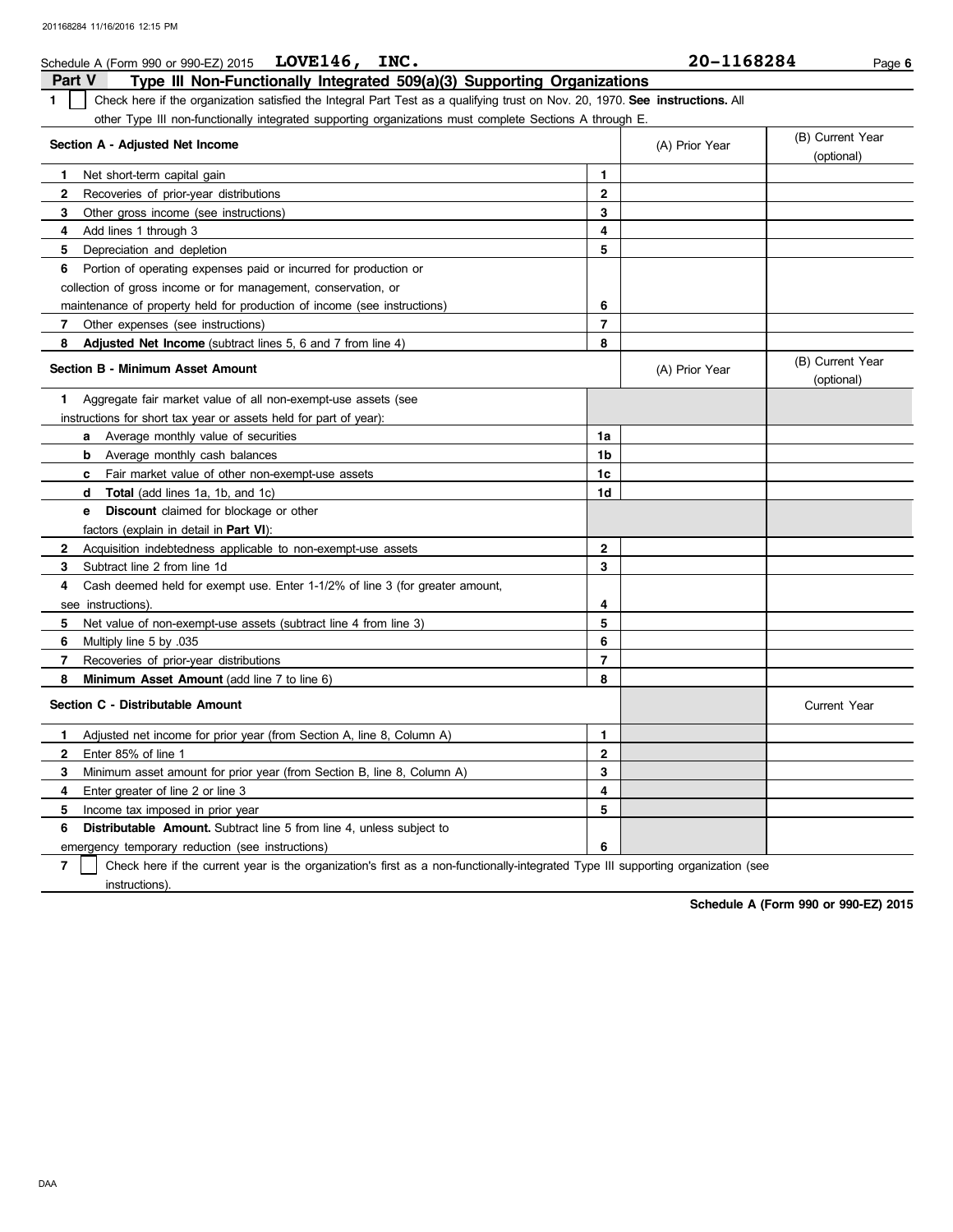| Schedule A (Form 990 or 990-EZ) 2015 LOVE146,<br>INC.                                                                               |                | 20-1168284     | Page 6                         |
|-------------------------------------------------------------------------------------------------------------------------------------|----------------|----------------|--------------------------------|
| <b>Part V</b><br>Type III Non-Functionally Integrated 509(a)(3) Supporting Organizations                                            |                |                |                                |
| Check here if the organization satisfied the Integral Part Test as a qualifying trust on Nov. 20, 1970. See instructions. All<br>1. |                |                |                                |
| other Type III non-functionally integrated supporting organizations must complete Sections A through E.                             |                |                |                                |
| Section A - Adjusted Net Income                                                                                                     |                | (A) Prior Year | (B) Current Year               |
|                                                                                                                                     |                |                | (optional)                     |
| Net short-term capital gain<br>$\mathbf{1}$                                                                                         | 1              |                |                                |
| $\mathbf{2}$<br>Recoveries of prior-year distributions                                                                              | $\mathbf{2}$   |                |                                |
| 3<br>Other gross income (see instructions)                                                                                          | $\mathbf{3}$   |                |                                |
| 4<br>Add lines 1 through 3                                                                                                          | 4              |                |                                |
| 5<br>Depreciation and depletion                                                                                                     | 5              |                |                                |
| 6<br>Portion of operating expenses paid or incurred for production or                                                               |                |                |                                |
| collection of gross income or for management, conservation, or                                                                      |                |                |                                |
| maintenance of property held for production of income (see instructions)                                                            | 6              |                |                                |
| 7<br>Other expenses (see instructions)                                                                                              | $\overline{7}$ |                |                                |
| 8<br>Adjusted Net Income (subtract lines 5, 6 and 7 from line 4)                                                                    | 8              |                |                                |
| Section B - Minimum Asset Amount                                                                                                    |                | (A) Prior Year | (B) Current Year<br>(optional) |
| Aggregate fair market value of all non-exempt-use assets (see<br>1                                                                  |                |                |                                |
| instructions for short tax year or assets held for part of year):                                                                   |                |                |                                |
| <b>a</b> Average monthly value of securities                                                                                        | 1a             |                |                                |
| Average monthly cash balances<br>b                                                                                                  | 1b             |                |                                |
| Fair market value of other non-exempt-use assets<br>c.                                                                              | 1c             |                |                                |
| Total (add lines 1a, 1b, and 1c)<br>d                                                                                               | 1d             |                |                                |
| <b>Discount</b> claimed for blockage or other<br>e                                                                                  |                |                |                                |
| factors (explain in detail in <b>Part VI)</b> :                                                                                     |                |                |                                |
| Acquisition indebtedness applicable to non-exempt-use assets<br>2                                                                   | $\overline{2}$ |                |                                |
| 3<br>Subtract line 2 from line 1d                                                                                                   | 3              |                |                                |
| 4<br>Cash deemed held for exempt use. Enter 1-1/2% of line 3 (for greater amount,                                                   |                |                |                                |
| see instructions)                                                                                                                   | 4              |                |                                |
| 5<br>Net value of non-exempt-use assets (subtract line 4 from line 3)                                                               | 5              |                |                                |
| 6<br>Multiply line 5 by 035                                                                                                         | 6              |                |                                |
| $\overline{7}$<br>Recoveries of prior-year distributions                                                                            | $\overline{7}$ |                |                                |
| 8<br>Minimum Asset Amount (add line 7 to line 6)                                                                                    | 8              |                |                                |
| Section C - Distributable Amount                                                                                                    |                |                | <b>Current Year</b>            |
| Adjusted net income for prior year (from Section A, line 8, Column A)<br>$\mathbf{1}$                                               | $\mathbf{1}$   |                |                                |
| $\overline{2}$<br>Enter 85% of line 1                                                                                               | $\mathbf{2}$   |                |                                |
| 3<br>Minimum asset amount for prior year (from Section B, line 8, Column A)                                                         | 3              |                |                                |
| 4<br>Enter greater of line 2 or line 3                                                                                              | 4              |                |                                |
| 5<br>Income tax imposed in prior year                                                                                               | 5              |                |                                |
| <b>Distributable Amount.</b> Subtract line 5 from line 4, unless subject to<br>6                                                    |                |                |                                |
| emergency temporary reduction (see instructions)                                                                                    | 6              |                |                                |

**7** Check here if the current year is the organization's first as a non-functionally-integrated Type III supporting organization (see instructions).

**Schedule A (Form 990 or 990-EZ) 2015**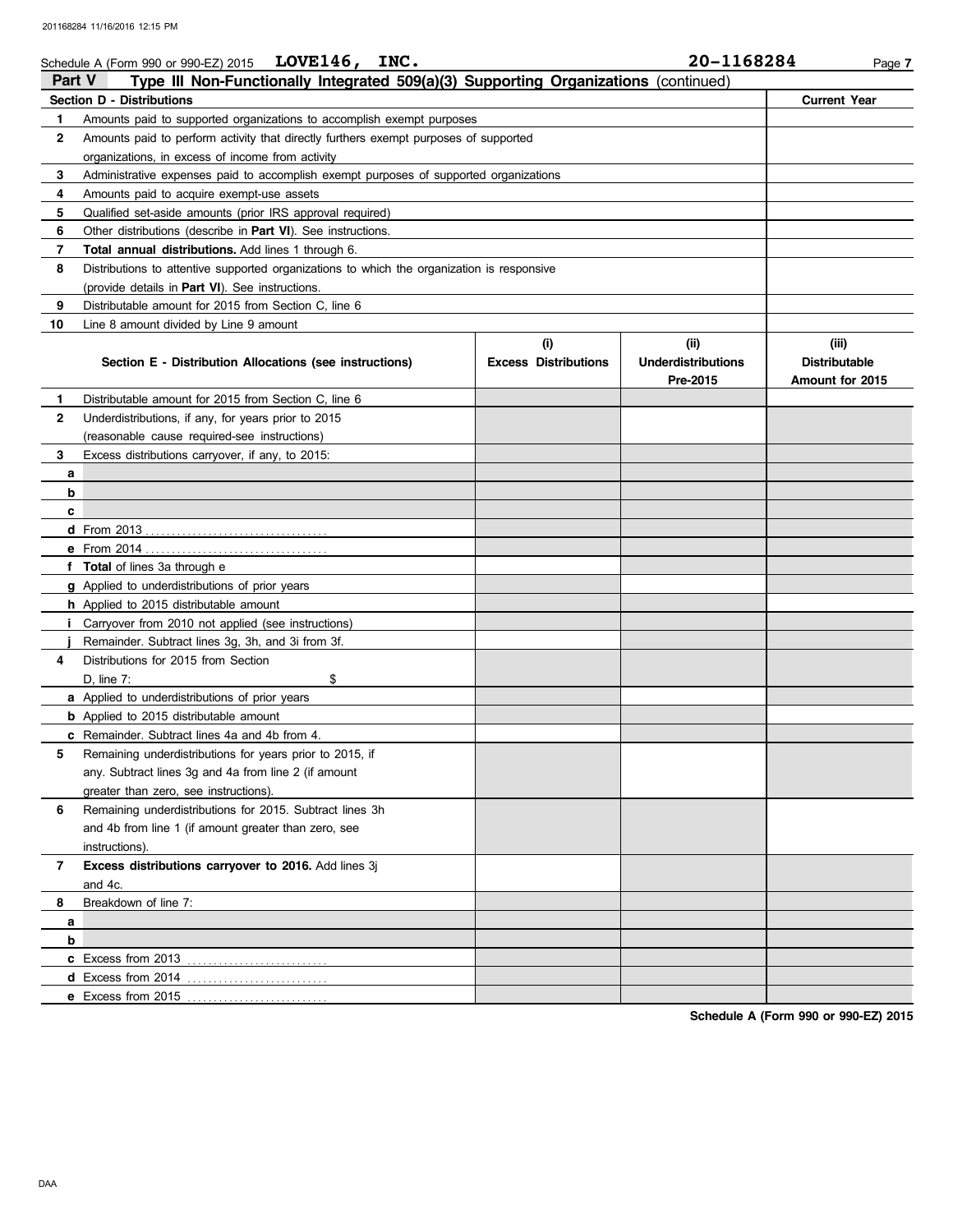|               | Schedule A (Form 990 or 990-EZ) 2015 $LOVE146, INC.$                                       |                             | 20-1168284                            | Page 7                                  |
|---------------|--------------------------------------------------------------------------------------------|-----------------------------|---------------------------------------|-----------------------------------------|
| <b>Part V</b> | Type III Non-Functionally Integrated 509(a)(3) Supporting Organizations (continued)        |                             |                                       |                                         |
|               | <b>Section D - Distributions</b>                                                           |                             |                                       | <b>Current Year</b>                     |
| 1.            | Amounts paid to supported organizations to accomplish exempt purposes                      |                             |                                       |                                         |
| 2             | Amounts paid to perform activity that directly furthers exempt purposes of supported       |                             |                                       |                                         |
|               |                                                                                            |                             |                                       |                                         |
| 3             | Administrative expenses paid to accomplish exempt purposes of supported organizations      |                             |                                       |                                         |
| 4             | Amounts paid to acquire exempt-use assets                                                  |                             |                                       |                                         |
| 5             | Qualified set-aside amounts (prior IRS approval required)                                  |                             |                                       |                                         |
| 6             | Other distributions (describe in <b>Part VI</b> ). See instructions.                       |                             |                                       |                                         |
| 7             | <b>Total annual distributions.</b> Add lines 1 through 6.                                  |                             |                                       |                                         |
| 8             | Distributions to attentive supported organizations to which the organization is responsive |                             |                                       |                                         |
|               | (provide details in <b>Part VI</b> ). See instructions.                                    |                             |                                       |                                         |
| 9             | Distributable amount for 2015 from Section C, line 6                                       |                             |                                       |                                         |
| 10            | Line 8 amount divided by Line 9 amount                                                     |                             |                                       |                                         |
|               |                                                                                            | (i)                         | (ii)                                  | (iii)                                   |
|               | Section E - Distribution Allocations (see instructions)                                    | <b>Excess Distributions</b> | <b>Underdistributions</b><br>Pre-2015 | <b>Distributable</b><br>Amount for 2015 |
| 1.            | Distributable amount for 2015 from Section C. line 6                                       |                             |                                       |                                         |
| 2             | Underdistributions, if any, for years prior to 2015                                        |                             |                                       |                                         |
|               | (reasonable cause required-see instructions)                                               |                             |                                       |                                         |
| 3             | Excess distributions carryover, if any, to 2015:                                           |                             |                                       |                                         |
| a             |                                                                                            |                             |                                       |                                         |
| b             |                                                                                            |                             |                                       |                                         |
| c             |                                                                                            |                             |                                       |                                         |
|               |                                                                                            |                             |                                       |                                         |
|               |                                                                                            |                             |                                       |                                         |
|               | f Total of lines 3a through e                                                              |                             |                                       |                                         |
|               | g Applied to underdistributions of prior years                                             |                             |                                       |                                         |
|               | <b>h</b> Applied to 2015 distributable amount                                              |                             |                                       |                                         |
|               | <i>i</i> Carryover from 2010 not applied (see instructions)                                |                             |                                       |                                         |
|               | Remainder. Subtract lines 3g, 3h, and 3i from 3f.                                          |                             |                                       |                                         |
| 4             | Distributions for 2015 from Section                                                        |                             |                                       |                                         |
|               | $D$ , line $7$ :<br>\$                                                                     |                             |                                       |                                         |
|               | <b>a</b> Applied to underdistributions of prior years                                      |                             |                                       |                                         |
|               | <b>b</b> Applied to 2015 distributable amount                                              |                             |                                       |                                         |
|               | <b>c</b> Remainder. Subtract lines 4a and 4b from 4.                                       |                             |                                       |                                         |
| 5             | Remaining underdistributions for years prior to 2015, if                                   |                             |                                       |                                         |
|               | any. Subtract lines 3g and 4a from line 2 (if amount                                       |                             |                                       |                                         |
|               | greater than zero, see instructions).                                                      |                             |                                       |                                         |
| 6             | Remaining underdistributions for 2015. Subtract lines 3h                                   |                             |                                       |                                         |
|               | and 4b from line 1 (if amount greater than zero, see                                       |                             |                                       |                                         |
|               | instructions).                                                                             |                             |                                       |                                         |
| 7             | Excess distributions carryover to 2016. Add lines 3j                                       |                             |                                       |                                         |
|               | and 4c.                                                                                    |                             |                                       |                                         |
| 8             | Breakdown of line 7:                                                                       |                             |                                       |                                         |
| a             |                                                                                            |                             |                                       |                                         |
| b             |                                                                                            |                             |                                       |                                         |
|               |                                                                                            |                             |                                       |                                         |
|               |                                                                                            |                             |                                       |                                         |
|               |                                                                                            |                             |                                       |                                         |

**Schedule A (Form 990 or 990-EZ) 2015**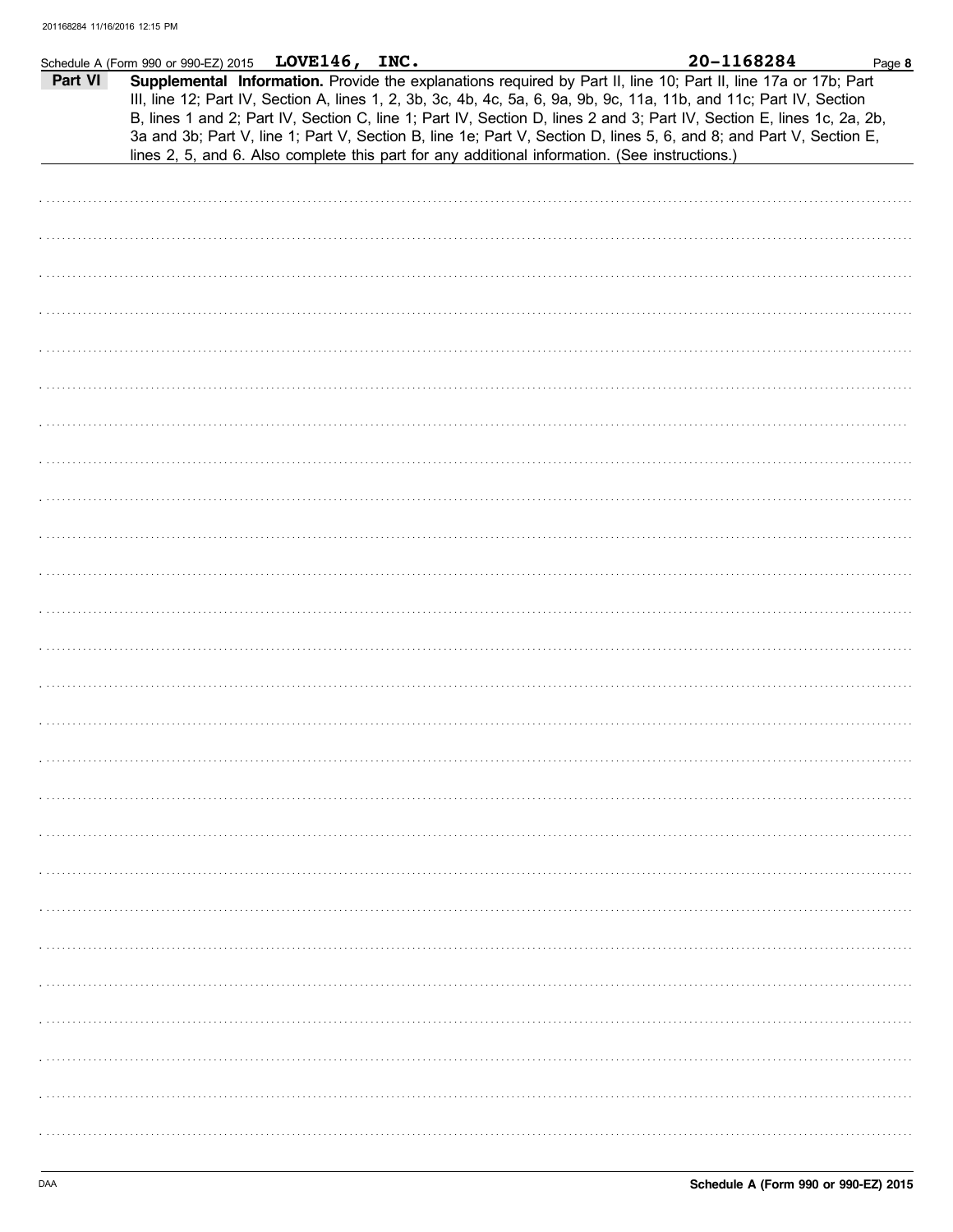|         | Schedule A (Form 990 or 990-EZ) 2015 LOVE146, INC. |  |                                                                                                                                                                                                                                                                                                                                                                                                                                                                                                                                                                                            | 20-1168284 | Page 8 |
|---------|----------------------------------------------------|--|--------------------------------------------------------------------------------------------------------------------------------------------------------------------------------------------------------------------------------------------------------------------------------------------------------------------------------------------------------------------------------------------------------------------------------------------------------------------------------------------------------------------------------------------------------------------------------------------|------------|--------|
| Part VI |                                                    |  | Supplemental Information. Provide the explanations required by Part II, line 10; Part II, line 17a or 17b; Part<br>III, line 12; Part IV, Section A, lines 1, 2, 3b, 3c, 4b, 4c, 5a, 6, 9a, 9b, 9c, 11a, 11b, and 11c; Part IV, Section<br>B, lines 1 and 2; Part IV, Section C, line 1; Part IV, Section D, lines 2 and 3; Part IV, Section E, lines 1c, 2a, 2b,<br>3a and 3b; Part V, line 1; Part V, Section B, line 1e; Part V, Section D, lines 5, 6, and 8; and Part V, Section E,<br>lines 2, 5, and 6. Also complete this part for any additional information. (See instructions.) |            |        |
|         |                                                    |  |                                                                                                                                                                                                                                                                                                                                                                                                                                                                                                                                                                                            |            |        |
|         |                                                    |  |                                                                                                                                                                                                                                                                                                                                                                                                                                                                                                                                                                                            |            |        |
|         |                                                    |  |                                                                                                                                                                                                                                                                                                                                                                                                                                                                                                                                                                                            |            |        |
|         |                                                    |  |                                                                                                                                                                                                                                                                                                                                                                                                                                                                                                                                                                                            |            |        |
|         |                                                    |  |                                                                                                                                                                                                                                                                                                                                                                                                                                                                                                                                                                                            |            |        |
|         |                                                    |  |                                                                                                                                                                                                                                                                                                                                                                                                                                                                                                                                                                                            |            |        |
|         |                                                    |  |                                                                                                                                                                                                                                                                                                                                                                                                                                                                                                                                                                                            |            |        |
|         |                                                    |  |                                                                                                                                                                                                                                                                                                                                                                                                                                                                                                                                                                                            |            |        |
|         |                                                    |  |                                                                                                                                                                                                                                                                                                                                                                                                                                                                                                                                                                                            |            |        |
|         |                                                    |  |                                                                                                                                                                                                                                                                                                                                                                                                                                                                                                                                                                                            |            |        |
|         |                                                    |  |                                                                                                                                                                                                                                                                                                                                                                                                                                                                                                                                                                                            |            |        |
|         |                                                    |  |                                                                                                                                                                                                                                                                                                                                                                                                                                                                                                                                                                                            |            |        |
|         |                                                    |  |                                                                                                                                                                                                                                                                                                                                                                                                                                                                                                                                                                                            |            |        |
|         |                                                    |  |                                                                                                                                                                                                                                                                                                                                                                                                                                                                                                                                                                                            |            |        |
|         |                                                    |  |                                                                                                                                                                                                                                                                                                                                                                                                                                                                                                                                                                                            |            |        |
|         |                                                    |  |                                                                                                                                                                                                                                                                                                                                                                                                                                                                                                                                                                                            |            |        |
|         |                                                    |  |                                                                                                                                                                                                                                                                                                                                                                                                                                                                                                                                                                                            |            |        |
|         |                                                    |  |                                                                                                                                                                                                                                                                                                                                                                                                                                                                                                                                                                                            |            |        |
|         |                                                    |  |                                                                                                                                                                                                                                                                                                                                                                                                                                                                                                                                                                                            |            |        |
|         |                                                    |  |                                                                                                                                                                                                                                                                                                                                                                                                                                                                                                                                                                                            |            |        |
|         |                                                    |  |                                                                                                                                                                                                                                                                                                                                                                                                                                                                                                                                                                                            |            |        |
|         |                                                    |  |                                                                                                                                                                                                                                                                                                                                                                                                                                                                                                                                                                                            |            |        |
|         |                                                    |  |                                                                                                                                                                                                                                                                                                                                                                                                                                                                                                                                                                                            |            |        |
|         |                                                    |  |                                                                                                                                                                                                                                                                                                                                                                                                                                                                                                                                                                                            |            |        |
|         |                                                    |  |                                                                                                                                                                                                                                                                                                                                                                                                                                                                                                                                                                                            |            |        |
|         |                                                    |  |                                                                                                                                                                                                                                                                                                                                                                                                                                                                                                                                                                                            |            |        |
|         |                                                    |  |                                                                                                                                                                                                                                                                                                                                                                                                                                                                                                                                                                                            |            |        |
|         |                                                    |  |                                                                                                                                                                                                                                                                                                                                                                                                                                                                                                                                                                                            |            |        |
|         |                                                    |  |                                                                                                                                                                                                                                                                                                                                                                                                                                                                                                                                                                                            |            |        |
|         |                                                    |  |                                                                                                                                                                                                                                                                                                                                                                                                                                                                                                                                                                                            |            |        |
|         |                                                    |  |                                                                                                                                                                                                                                                                                                                                                                                                                                                                                                                                                                                            |            |        |
|         |                                                    |  |                                                                                                                                                                                                                                                                                                                                                                                                                                                                                                                                                                                            |            |        |
|         |                                                    |  |                                                                                                                                                                                                                                                                                                                                                                                                                                                                                                                                                                                            |            |        |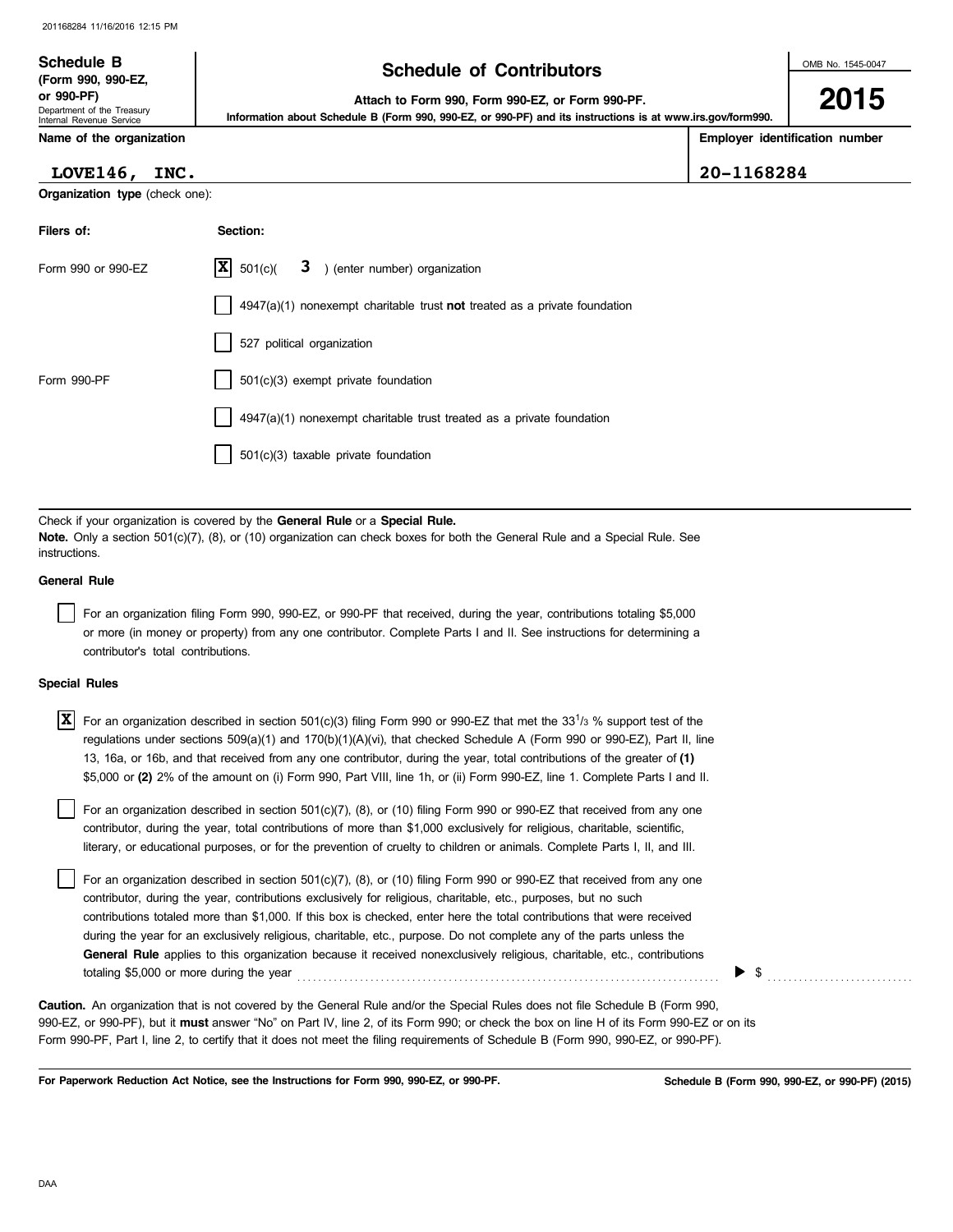| <b>Schedule B</b><br>(Form 990, 990-EZ,                              | <b>Schedule of Contributors</b>                                                                                                                                | OMB No. 1545-0047              |
|----------------------------------------------------------------------|----------------------------------------------------------------------------------------------------------------------------------------------------------------|--------------------------------|
| or 990-PF)<br>Department of the Treasury<br>Internal Revenue Service | Attach to Form 990, Form 990-EZ, or Form 990-PF.<br>Information about Schedule B (Form 990, 990-EZ, or 990-PF) and its instructions is at www.irs.gov/form990. | 2015                           |
| Name of the organization                                             |                                                                                                                                                                | Employer identification number |

## **LOVE146, INC. 20-1168284**

**Organization type** (check one):

**Filers of: Section:**

|                      | Form 990 or 990-EZ                 | X<br>3 ) (enter number) organization<br>501(c)                                                                                                                                                                                                                                                                                                                                                                                                                                                                                                                                                                              |
|----------------------|------------------------------------|-----------------------------------------------------------------------------------------------------------------------------------------------------------------------------------------------------------------------------------------------------------------------------------------------------------------------------------------------------------------------------------------------------------------------------------------------------------------------------------------------------------------------------------------------------------------------------------------------------------------------------|
|                      |                                    | $4947(a)(1)$ nonexempt charitable trust <b>not</b> treated as a private foundation                                                                                                                                                                                                                                                                                                                                                                                                                                                                                                                                          |
|                      |                                    | 527 political organization                                                                                                                                                                                                                                                                                                                                                                                                                                                                                                                                                                                                  |
| Form 990-PF          |                                    | $501(c)(3)$ exempt private foundation                                                                                                                                                                                                                                                                                                                                                                                                                                                                                                                                                                                       |
|                      |                                    | 4947(a)(1) nonexempt charitable trust treated as a private foundation                                                                                                                                                                                                                                                                                                                                                                                                                                                                                                                                                       |
|                      |                                    | $501(c)(3)$ taxable private foundation                                                                                                                                                                                                                                                                                                                                                                                                                                                                                                                                                                                      |
|                      |                                    |                                                                                                                                                                                                                                                                                                                                                                                                                                                                                                                                                                                                                             |
| instructions.        |                                    | Check if your organization is covered by the General Rule or a Special Rule.<br>Note. Only a section 501(c)(7), (8), or (10) organization can check boxes for both the General Rule and a Special Rule. See                                                                                                                                                                                                                                                                                                                                                                                                                 |
| <b>General Rule</b>  |                                    |                                                                                                                                                                                                                                                                                                                                                                                                                                                                                                                                                                                                                             |
|                      | contributor's total contributions. | For an organization filing Form 990, 990-EZ, or 990-PF that received, during the year, contributions totaling \$5,000<br>or more (in money or property) from any one contributor. Complete Parts I and II. See instructions for determining a                                                                                                                                                                                                                                                                                                                                                                               |
| <b>Special Rules</b> |                                    |                                                                                                                                                                                                                                                                                                                                                                                                                                                                                                                                                                                                                             |
| X                    |                                    | For an organization described in section $501(c)(3)$ filing Form 990 or 990-EZ that met the 33 <sup>1</sup> / <sub>3</sub> % support test of the<br>regulations under sections 509(a)(1) and 170(b)(1)(A)(vi), that checked Schedule A (Form 990 or 990-EZ), Part II, line<br>13, 16a, or 16b, and that received from any one contributor, during the year, total contributions of the greater of (1)<br>\$5,000 or (2) 2% of the amount on (i) Form 990, Part VIII, line 1h, or (ii) Form 990-EZ, line 1. Complete Parts I and II.                                                                                         |
|                      |                                    | For an organization described in section 501(c)(7), (8), or (10) filing Form 990 or 990-EZ that received from any one<br>contributor, during the year, total contributions of more than \$1,000 exclusively for religious, charitable, scientific,<br>literary, or educational purposes, or for the prevention of cruelty to children or animals. Complete Parts I, II, and III.                                                                                                                                                                                                                                            |
|                      |                                    | For an organization described in section 501(c)(7), (8), or (10) filing Form 990 or 990-EZ that received from any one<br>contributor, during the year, contributions exclusively for religious, charitable, etc., purposes, but no such<br>contributions totaled more than \$1,000. If this box is checked, enter here the total contributions that were received<br>during the year for an exclusively religious, charitable, etc., purpose. Do not complete any of the parts unless the<br><b>General Rule</b> applies to this organization because it received nonexclusively religious, charitable, etc., contributions |

totaling \$5,000 or more during the year  $\ldots$   $\ldots$   $\ldots$   $\ldots$   $\ldots$   $\ldots$   $\ldots$   $\ldots$   $\ldots$   $\ldots$   $\ldots$ 

990-EZ, or 990-PF), but it **must** answer "No" on Part IV, line 2, of its Form 990; or check the box on line H of its Form 990-EZ or on its Form 990-PF, Part I, line 2, to certify that it does not meet the filing requirements of Schedule B (Form 990, 990-EZ, or 990-PF). **Caution.** An organization that is not covered by the General Rule and/or the Special Rules does not file Schedule B (Form 990,

**For Paperwork Reduction Act Notice, see the Instructions for Form 990, 990-EZ, or 990-PF.**

**Schedule B (Form 990, 990-EZ, or 990-PF) (2015)**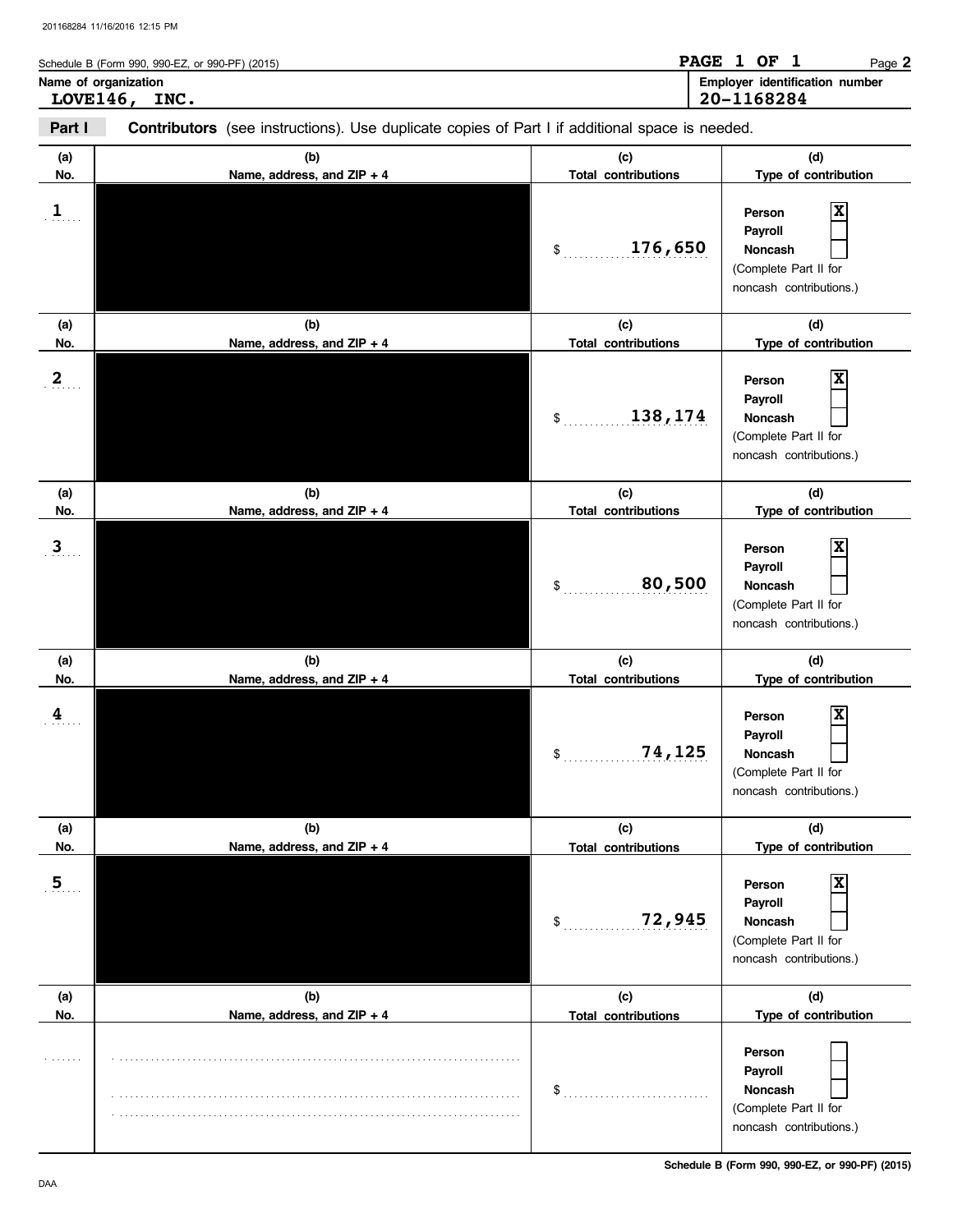| Schedule B (Form 990, 990-EZ, or 990-PF) (2015) | <b>PAGE</b><br>OF<br>Page 2                         |
|-------------------------------------------------|-----------------------------------------------------|
| Name of organization<br><b>LOVE146,</b><br>INC. | <b>Employer identification number</b><br>20-1168284 |

| Part I                | Contributors (see instructions). Use duplicate copies of Part I if additional space is needed. |                                                       |                                                                                                               |  |  |  |
|-----------------------|------------------------------------------------------------------------------------------------|-------------------------------------------------------|---------------------------------------------------------------------------------------------------------------|--|--|--|
| (a)<br>No.            | (b)<br>Name, address, and ZIP + 4                                                              | (c)<br><b>Total contributions</b>                     | (d)<br>Type of contribution                                                                                   |  |  |  |
| $\mathbf{1}$          |                                                                                                | 176,650<br>\$                                         | X<br>Person<br>Payroll<br>Noncash<br>(Complete Part II for<br>noncash contributions.)                         |  |  |  |
| (a)<br>No.            | (b)<br>Name, address, and ZIP + 4                                                              | (c)<br><b>Total contributions</b>                     | (d)<br>Type of contribution                                                                                   |  |  |  |
| $\mathbf{2}$          |                                                                                                | 138,174<br>\$                                         | X<br>Person<br>Payroll<br>Noncash<br>(Complete Part II for<br>noncash contributions.)                         |  |  |  |
| (a)                   | (b)                                                                                            | (c)                                                   | (d)                                                                                                           |  |  |  |
| No.<br>$\overline{3}$ | Name, address, and ZIP + 4                                                                     | <b>Total contributions</b><br>80,500<br>\$            | Type of contribution<br>X<br>Person<br>Payroll<br>Noncash<br>(Complete Part II for<br>noncash contributions.) |  |  |  |
| (a)                   | (b)                                                                                            | (c)                                                   | (d)                                                                                                           |  |  |  |
| No.<br>$\frac{4}{3}$  | Name, address, and ZIP + 4                                                                     | <b>Total contributions</b><br>74,125<br>$\mathsf{\$}$ | Type of contribution<br>Person<br>Payroll<br>Noncash<br>(Complete Part II for<br>noncash contributions.)      |  |  |  |
| (a)<br>No.            | (b)<br>Name, address, and ZIP + 4                                                              | (c)<br><b>Total contributions</b>                     | (d)<br>Type of contribution                                                                                   |  |  |  |
| 5 <sub>1</sub>        |                                                                                                | 72,945<br>\$                                          | Person<br>Payroll<br>Noncash<br>(Complete Part II for<br>noncash contributions.)                              |  |  |  |
| (a)<br>No.            | (b)<br>Name, address, and ZIP + 4                                                              | (c)<br><b>Total contributions</b>                     | (d)<br>Type of contribution                                                                                   |  |  |  |
|                       |                                                                                                | \$                                                    | Person<br>Payroll<br>Noncash<br>(Complete Part II for<br>noncash contributions.)                              |  |  |  |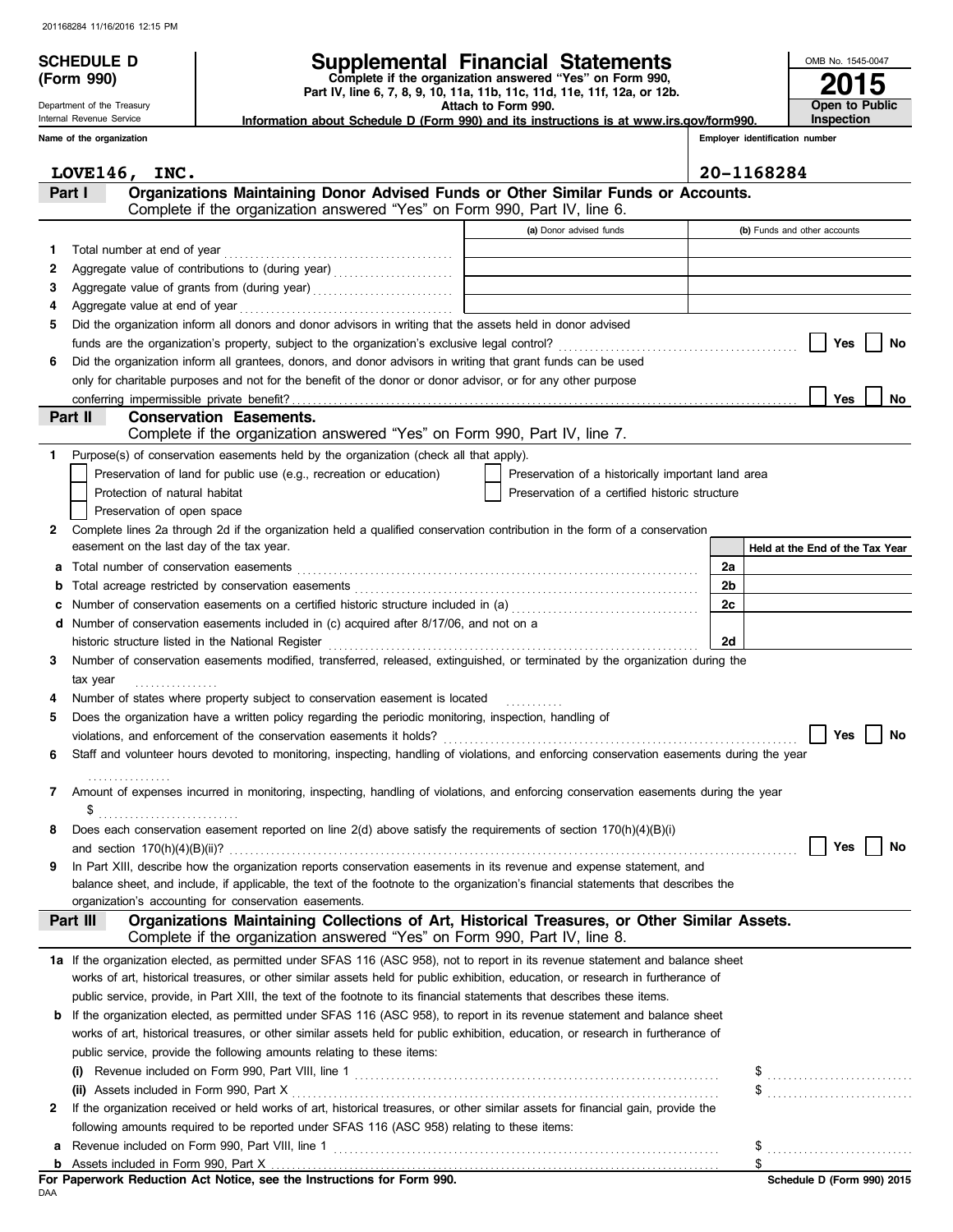**(Form 990)**

Department of the Treasury Internal Revenue Service

# **SCHEDULE D Supplemental Financial Statements**

 **Attach to Form 990. Part IV, line 6, 7, 8, 9, 10, 11a, 11b, 11c, 11d, 11e, 11f, 12a, or 12b. Complete if the organization answered "Yes" on Form 990,**

 **Information about Schedule D (Form 990) and its instructions is at www.irs.gov/form990.**

**Employer identification** 

**2015**

**Open to Public Inspection**

OMB No. 1545-0047

|    | Name of the organization                                                                                                                                                 |                                                    |    | Employer identification number  |
|----|--------------------------------------------------------------------------------------------------------------------------------------------------------------------------|----------------------------------------------------|----|---------------------------------|
|    | LOVE146, INC.                                                                                                                                                            |                                                    |    | 20-1168284                      |
|    | Organizations Maintaining Donor Advised Funds or Other Similar Funds or Accounts.<br>Part I<br>Complete if the organization answered "Yes" on Form 990, Part IV, line 6. |                                                    |    |                                 |
|    |                                                                                                                                                                          | (a) Donor advised funds                            |    |                                 |
|    |                                                                                                                                                                          |                                                    |    | (b) Funds and other accounts    |
| 1. | Total number at end of year                                                                                                                                              |                                                    |    |                                 |
| 2  |                                                                                                                                                                          |                                                    |    |                                 |
| З  |                                                                                                                                                                          |                                                    |    |                                 |
| 4  |                                                                                                                                                                          |                                                    |    |                                 |
| 5  | Did the organization inform all donors and donor advisors in writing that the assets held in donor advised                                                               |                                                    |    |                                 |
|    | funds are the organization's property, subject to the organization's exclusive legal control?                                                                            |                                                    |    | Yes<br>No                       |
| 6  | Did the organization inform all grantees, donors, and donor advisors in writing that grant funds can be used                                                             |                                                    |    |                                 |
|    | only for charitable purposes and not for the benefit of the donor or donor advisor, or for any other purpose                                                             |                                                    |    |                                 |
|    | conferring impermissible private benefit?                                                                                                                                |                                                    |    | <b>Yes</b><br>No                |
|    | Part II<br><b>Conservation Easements.</b><br>Complete if the organization answered "Yes" on Form 990, Part IV, line 7.                                                   |                                                    |    |                                 |
| 1  | Purpose(s) of conservation easements held by the organization (check all that apply).                                                                                    |                                                    |    |                                 |
|    | Preservation of land for public use (e.g., recreation or education)                                                                                                      | Preservation of a historically important land area |    |                                 |
|    | Protection of natural habitat                                                                                                                                            | Preservation of a certified historic structure     |    |                                 |
|    | Preservation of open space                                                                                                                                               |                                                    |    |                                 |
| 2  | Complete lines 2a through 2d if the organization held a qualified conservation contribution in the form of a conservation                                                |                                                    |    |                                 |
|    | easement on the last day of the tax year.                                                                                                                                |                                                    |    | Held at the End of the Tax Year |
| а  |                                                                                                                                                                          |                                                    | 2a |                                 |
| b  |                                                                                                                                                                          |                                                    | 2b |                                 |
|    | Number of conservation easements on a certified historic structure included in (a) [[[[[[[[[[[[[[[[[[[[[[[[[[]]]]]]]                                                     | 2c                                                 |    |                                 |
|    | Number of conservation easements included in (c) acquired after 8/17/06, and not on a                                                                                    |                                                    |    |                                 |
|    | historic structure listed in the National Register                                                                                                                       |                                                    | 2d |                                 |
| 3  | Number of conservation easements modified, transferred, released, extinguished, or terminated by the organization during the                                             |                                                    |    |                                 |
|    | tax year                                                                                                                                                                 |                                                    |    |                                 |
|    | Number of states where property subject to conservation easement is located                                                                                              |                                                    |    |                                 |
| 5  | Does the organization have a written policy regarding the periodic monitoring, inspection, handling of                                                                   |                                                    |    |                                 |
|    |                                                                                                                                                                          |                                                    |    | <b>Yes</b><br>No                |
|    | Staff and volunteer hours devoted to monitoring, inspecting, handling of violations, and enforcing conservation easements during the year                                |                                                    |    |                                 |
|    |                                                                                                                                                                          |                                                    |    |                                 |
| 7  | Amount of expenses incurred in monitoring, inspecting, handling of violations, and enforcing conservation easements during the year                                      |                                                    |    |                                 |
|    | \$                                                                                                                                                                       |                                                    |    |                                 |
|    | Does each conservation easement reported on line 2(d) above satisfy the requirements of section 170(h)(4)(B)(i)                                                          |                                                    |    |                                 |
|    | and section $170(h)(4)(B)(ii)$ ?                                                                                                                                         |                                                    |    | Yes<br>No                       |
| 9  | In Part XIII, describe how the organization reports conservation easements in its revenue and expense statement, and                                                     |                                                    |    |                                 |
|    | balance sheet, and include, if applicable, the text of the footnote to the organization's financial statements that describes the                                        |                                                    |    |                                 |
|    | organization's accounting for conservation easements.                                                                                                                    |                                                    |    |                                 |
|    | Organizations Maintaining Collections of Art, Historical Treasures, or Other Similar Assets.<br>Part III                                                                 |                                                    |    |                                 |
|    | Complete if the organization answered "Yes" on Form 990, Part IV, line 8.                                                                                                |                                                    |    |                                 |
|    | 1a If the organization elected, as permitted under SFAS 116 (ASC 958), not to report in its revenue statement and balance sheet                                          |                                                    |    |                                 |
|    | works of art, historical treasures, or other similar assets held for public exhibition, education, or research in furtherance of                                         |                                                    |    |                                 |
|    | public service, provide, in Part XIII, the text of the footnote to its financial statements that describes these items.                                                  |                                                    |    |                                 |
| b  | If the organization elected, as permitted under SFAS 116 (ASC 958), to report in its revenue statement and balance sheet                                                 |                                                    |    |                                 |
|    | works of art, historical treasures, or other similar assets held for public exhibition, education, or research in furtherance of                                         |                                                    |    |                                 |
|    | public service, provide the following amounts relating to these items:                                                                                                   |                                                    |    |                                 |
|    |                                                                                                                                                                          |                                                    |    |                                 |
|    | (ii) Assets included in Form 990, Part X                                                                                                                                 |                                                    |    |                                 |
| 2  | If the organization received or held works of art, historical treasures, or other similar assets for financial gain, provide the                                         |                                                    |    |                                 |
|    | following amounts required to be reported under SFAS 116 (ASC 958) relating to these items:                                                                              |                                                    |    |                                 |
| а  | Revenue included on Form 990, Part VIII, line 1                                                                                                                          |                                                    |    | \$                              |
|    |                                                                                                                                                                          |                                                    |    | \$                              |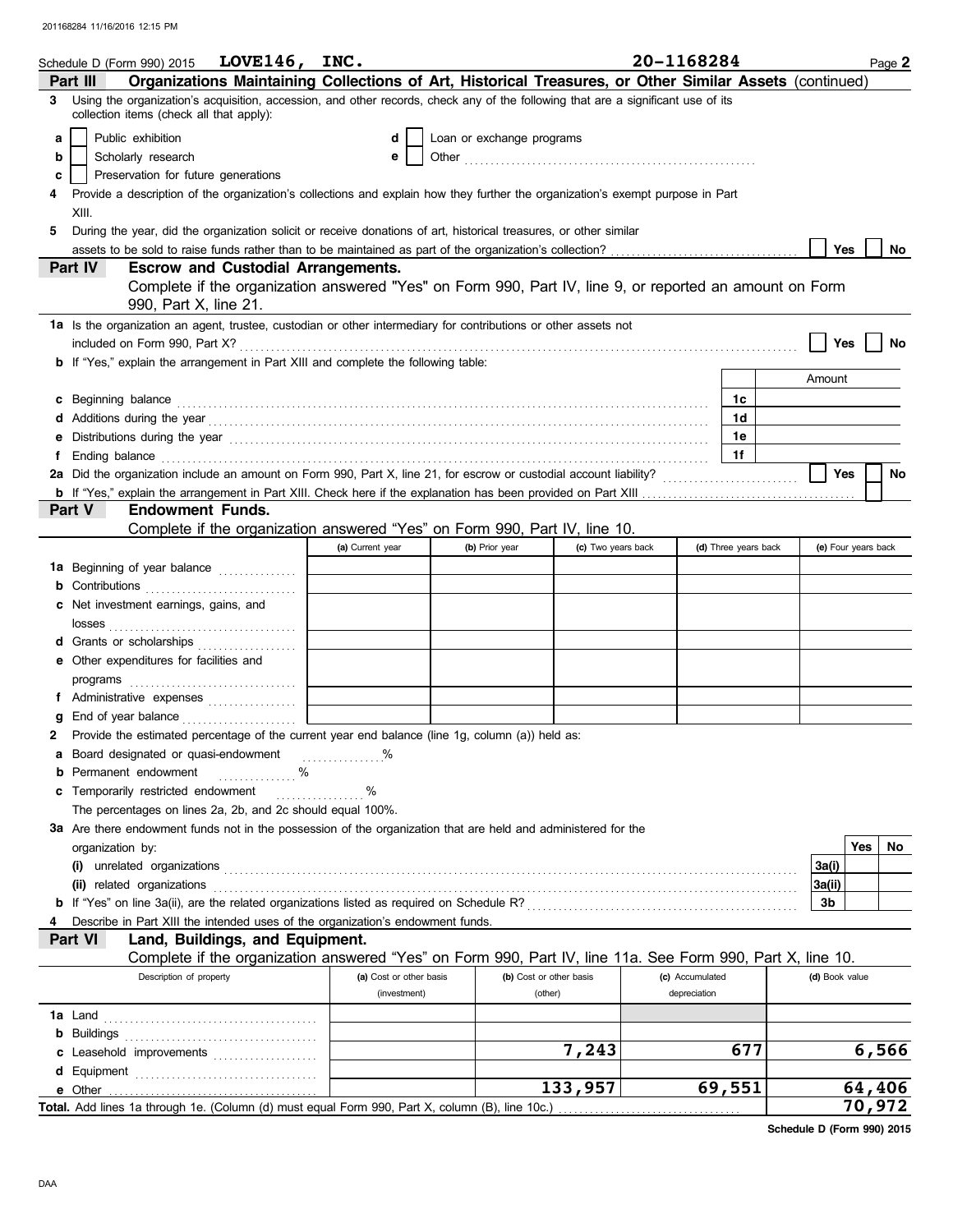|   | Schedule D (Form 990) 2015 $LOVE146$ , INC.                                                                                                                                                                                    |                         |                           |                    | 20-1168284      |                      | Page 2                  |
|---|--------------------------------------------------------------------------------------------------------------------------------------------------------------------------------------------------------------------------------|-------------------------|---------------------------|--------------------|-----------------|----------------------|-------------------------|
|   | Organizations Maintaining Collections of Art, Historical Treasures, or Other Similar Assets (continued)<br>Part III                                                                                                            |                         |                           |                    |                 |                      |                         |
| 3 | Using the organization's acquisition, accession, and other records, check any of the following that are a significant use of its<br>collection items (check all that apply):                                                   |                         |                           |                    |                 |                      |                         |
| a | Public exhibition                                                                                                                                                                                                              | d                       | Loan or exchange programs |                    |                 |                      |                         |
| b | Scholarly research                                                                                                                                                                                                             | е                       |                           |                    |                 |                      |                         |
| c | Preservation for future generations                                                                                                                                                                                            |                         |                           |                    |                 |                      |                         |
|   | Provide a description of the organization's collections and explain how they further the organization's exempt purpose in Part                                                                                                 |                         |                           |                    |                 |                      |                         |
|   | XIII.                                                                                                                                                                                                                          |                         |                           |                    |                 |                      |                         |
| 5 | During the year, did the organization solicit or receive donations of art, historical treasures, or other similar                                                                                                              |                         |                           |                    |                 |                      |                         |
|   |                                                                                                                                                                                                                                |                         |                           |                    |                 |                      | Yes<br>No               |
|   | <b>Escrow and Custodial Arrangements.</b><br><b>Part IV</b>                                                                                                                                                                    |                         |                           |                    |                 |                      |                         |
|   | Complete if the organization answered "Yes" on Form 990, Part IV, line 9, or reported an amount on Form                                                                                                                        |                         |                           |                    |                 |                      |                         |
|   | 990, Part X, line 21.                                                                                                                                                                                                          |                         |                           |                    |                 |                      |                         |
|   | 1a Is the organization an agent, trustee, custodian or other intermediary for contributions or other assets not                                                                                                                |                         |                           |                    |                 |                      |                         |
|   | included on Form 990, Part X?                                                                                                                                                                                                  |                         |                           |                    |                 |                      | Yes<br>No               |
|   | <b>b</b> If "Yes," explain the arrangement in Part XIII and complete the following table:                                                                                                                                      |                         |                           |                    |                 |                      |                         |
|   |                                                                                                                                                                                                                                |                         |                           |                    |                 |                      | Amount                  |
| c | Beginning balance                                                                                                                                                                                                              |                         |                           |                    |                 | 1c                   |                         |
| d |                                                                                                                                                                                                                                |                         |                           |                    |                 | 1d                   |                         |
| е | Distributions during the year manufactured and contact the year manufactured with the set of the set of the set of the set of the set of the set of the set of the set of the set of the set of the set of the set of the set  |                         |                           |                    |                 | 1е                   |                         |
| f | Ending balance with a construction of the construction of the construction of the construction of the construction of the construction of the construction of the construction of the construction of the construction of the  |                         |                           |                    |                 | 1f                   |                         |
|   | 2a Did the organization include an amount on Form 990, Part X, line 21, for escrow or custodial account liability?                                                                                                             |                         |                           |                    |                 |                      | <b>Yes</b><br><b>No</b> |
|   |                                                                                                                                                                                                                                |                         |                           |                    |                 |                      |                         |
|   | <b>Endowment Funds.</b><br>Part V                                                                                                                                                                                              |                         |                           |                    |                 |                      |                         |
|   | Complete if the organization answered "Yes" on Form 990, Part IV, line 10.                                                                                                                                                     |                         |                           |                    |                 |                      |                         |
|   |                                                                                                                                                                                                                                | (a) Current year        | (b) Prior year            | (c) Two years back |                 | (d) Three years back | (e) Four years back     |
|   | 1a Beginning of year balance                                                                                                                                                                                                   |                         |                           |                    |                 |                      |                         |
|   | <b>b</b> Contributions $\ldots$                                                                                                                                                                                                |                         |                           |                    |                 |                      |                         |
|   | c Net investment earnings, gains, and                                                                                                                                                                                          |                         |                           |                    |                 |                      |                         |
|   |                                                                                                                                                                                                                                |                         |                           |                    |                 |                      |                         |
|   | d Grants or scholarships                                                                                                                                                                                                       |                         |                           |                    |                 |                      |                         |
|   | e Other expenditures for facilities and                                                                                                                                                                                        |                         |                           |                    |                 |                      |                         |
|   |                                                                                                                                                                                                                                |                         |                           |                    |                 |                      |                         |
|   | f Administrative expenses                                                                                                                                                                                                      |                         |                           |                    |                 |                      |                         |
|   |                                                                                                                                                                                                                                |                         |                           |                    |                 |                      |                         |
| 2 | Provide the estimated percentage of the current year end balance (line 1g, column (a)) held as:                                                                                                                                |                         |                           |                    |                 |                      |                         |
| а | Board designated or quasi-endowment                                                                                                                                                                                            | %                       |                           |                    |                 |                      |                         |
| b | Permanent endowment<br>.                                                                                                                                                                                                       |                         |                           |                    |                 |                      |                         |
| c | Temporarily restricted endowment                                                                                                                                                                                               | %<br>.                  |                           |                    |                 |                      |                         |
|   | The percentages on lines 2a, 2b, and 2c should equal 100%.                                                                                                                                                                     |                         |                           |                    |                 |                      |                         |
|   | 3a Are there endowment funds not in the possession of the organization that are held and administered for the                                                                                                                  |                         |                           |                    |                 |                      |                         |
|   | organization by:                                                                                                                                                                                                               |                         |                           |                    |                 |                      | Yes<br>No               |
|   |                                                                                                                                                                                                                                |                         |                           |                    |                 |                      | 3a(i)                   |
|   | (ii) related organizations entity and contact the contact of the contact of the contact or contact or contact or contact or contact or contact or contact or contact or contact or contact or contact or contact or contact or |                         |                           |                    |                 |                      | 3a(ii)<br>3b            |
|   | Describe in Part XIII the intended uses of the organization's endowment funds.                                                                                                                                                 |                         |                           |                    |                 |                      |                         |
|   | Land, Buildings, and Equipment.<br>Part VI                                                                                                                                                                                     |                         |                           |                    |                 |                      |                         |
|   | Complete if the organization answered "Yes" on Form 990, Part IV, line 11a. See Form 990, Part X, line 10.                                                                                                                     |                         |                           |                    |                 |                      |                         |
|   | Description of property                                                                                                                                                                                                        | (a) Cost or other basis | (b) Cost or other basis   |                    | (c) Accumulated |                      | (d) Book value          |
|   |                                                                                                                                                                                                                                | (investment)            | (other)                   |                    | depreciation    |                      |                         |
|   |                                                                                                                                                                                                                                |                         |                           |                    |                 |                      |                         |
|   |                                                                                                                                                                                                                                |                         |                           |                    |                 |                      |                         |
|   | c Leasehold improvements                                                                                                                                                                                                       |                         |                           | 7,243              |                 | 677                  | 6,566                   |
| d |                                                                                                                                                                                                                                |                         |                           |                    |                 |                      |                         |
|   | e Other                                                                                                                                                                                                                        |                         |                           | 133,957            |                 | 69,551               | 64,406                  |
|   | Total. Add lines 1a through 1e. (Column (d) must equal Form 990, Part X, column (B), line 10c.)                                                                                                                                |                         |                           |                    |                 |                      | 70,972                  |
|   |                                                                                                                                                                                                                                |                         |                           |                    |                 |                      |                         |

**Schedule D (Form 990) 2015**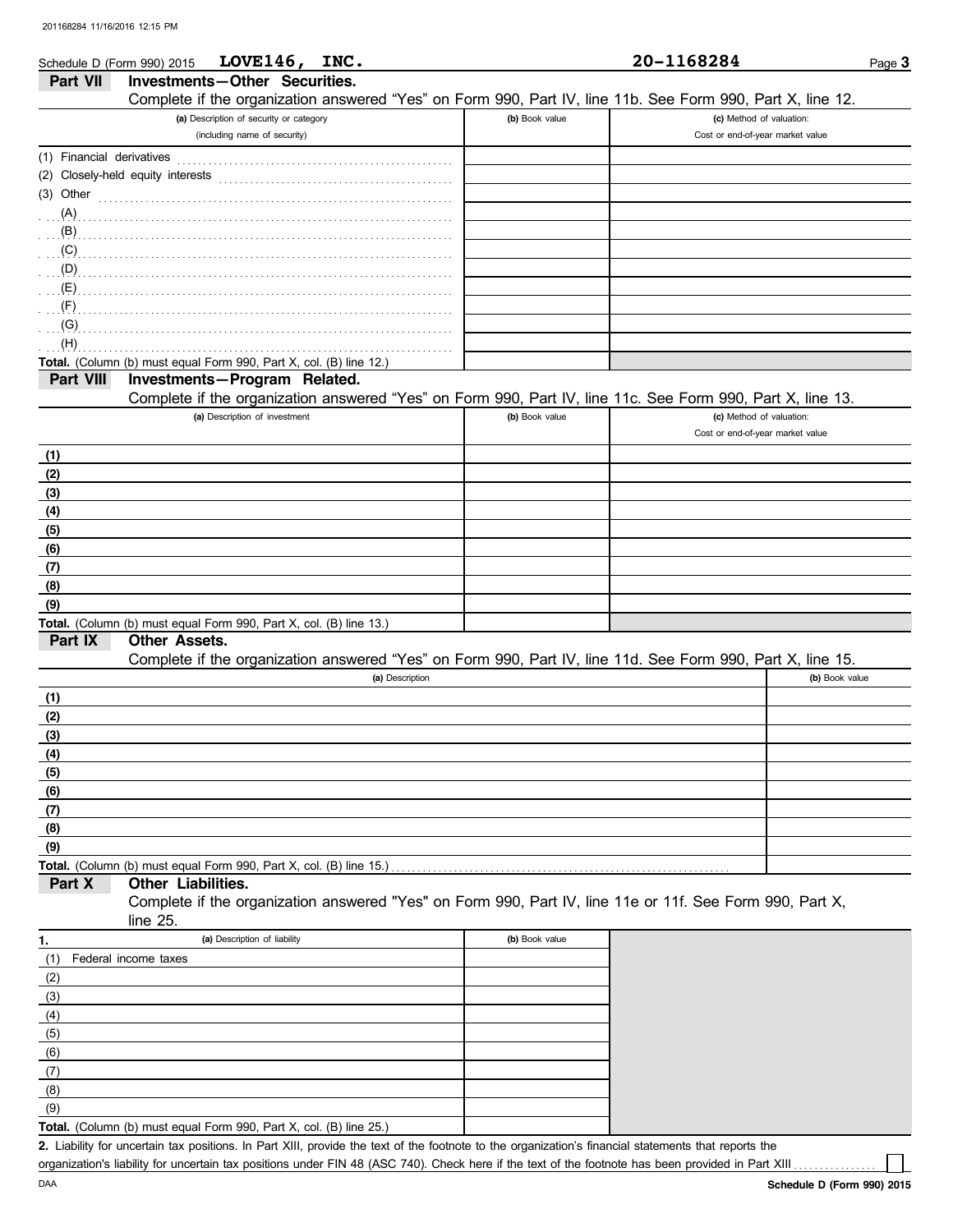| Schedule D (Form 990) 2015 | LOVE $146,$<br>INC.                                                                                                                                                                                                                       |                | 20-1168284                       | Page $3$ |
|----------------------------|-------------------------------------------------------------------------------------------------------------------------------------------------------------------------------------------------------------------------------------------|----------------|----------------------------------|----------|
| Part VII                   | Investments-Other Securities.                                                                                                                                                                                                             |                |                                  |          |
|                            | Complete if the organization answered "Yes" on Form 990, Part IV, line 11b. See Form 990, Part X, line 12.                                                                                                                                |                |                                  |          |
|                            | (a) Description of security or category                                                                                                                                                                                                   | (b) Book value | (c) Method of valuation:         |          |
|                            | (including name of security)                                                                                                                                                                                                              |                | Cost or end-of-year market value |          |
| (1) Financial derivatives  |                                                                                                                                                                                                                                           |                |                                  |          |
|                            |                                                                                                                                                                                                                                           |                |                                  |          |
| $(3)$ Other                |                                                                                                                                                                                                                                           |                |                                  |          |
| (A)                        |                                                                                                                                                                                                                                           |                |                                  |          |
|                            | $\mathbf{B}$ (B)                                                                                                                                                                                                                          |                |                                  |          |
| (C)                        |                                                                                                                                                                                                                                           |                |                                  |          |
|                            | $\overline{p}$ (D) $\overline{p}$ . The contract of the contract of the contract of the contract of the contract of the contract of the contract of the contract of the contract of the contract of the contract of the contract of the c |                |                                  |          |
|                            |                                                                                                                                                                                                                                           |                |                                  |          |
| (F)                        |                                                                                                                                                                                                                                           |                |                                  |          |
| (G)                        |                                                                                                                                                                                                                                           |                |                                  |          |
| (H)                        |                                                                                                                                                                                                                                           |                |                                  |          |
|                            | Total. (Column (b) must equal Form 990, Part X, col. (B) line 12.)                                                                                                                                                                        |                |                                  |          |
| Part VIII                  | Investments-Program Related.                                                                                                                                                                                                              |                |                                  |          |
|                            | Complete if the organization answered "Yes" on Form 990, Part IV, line 11c. See Form 990, Part X, line 13.                                                                                                                                |                |                                  |          |
|                            | (a) Description of investment                                                                                                                                                                                                             | (b) Book value | (c) Method of valuation:         |          |
|                            |                                                                                                                                                                                                                                           |                | Cost or end-of-year market value |          |
| (1)                        |                                                                                                                                                                                                                                           |                |                                  |          |
| (2)                        |                                                                                                                                                                                                                                           |                |                                  |          |
| (3)                        |                                                                                                                                                                                                                                           |                |                                  |          |
| (4)                        |                                                                                                                                                                                                                                           |                |                                  |          |
| (5)                        |                                                                                                                                                                                                                                           |                |                                  |          |
| (6)                        |                                                                                                                                                                                                                                           |                |                                  |          |
| (7)                        |                                                                                                                                                                                                                                           |                |                                  |          |
| (8)                        |                                                                                                                                                                                                                                           |                |                                  |          |
| (9)                        |                                                                                                                                                                                                                                           |                |                                  |          |
|                            | Total. (Column (b) must equal Form 990, Part X, col. (B) line 13.)                                                                                                                                                                        |                |                                  |          |
| Part IX                    | <b>Other Assets.</b>                                                                                                                                                                                                                      |                |                                  |          |
|                            | Complete if the organization answered "Yes" on Form 990, Part IV, line 11d. See Form 990, Part X, line 15.                                                                                                                                |                |                                  |          |
|                            | (a) Description                                                                                                                                                                                                                           |                | (b) Book value                   |          |
| (1)                        |                                                                                                                                                                                                                                           |                |                                  |          |
| (2)                        |                                                                                                                                                                                                                                           |                |                                  |          |
| (3)                        |                                                                                                                                                                                                                                           |                |                                  |          |
| (4)                        |                                                                                                                                                                                                                                           |                |                                  |          |
| (5)                        |                                                                                                                                                                                                                                           |                |                                  |          |
| (6)                        |                                                                                                                                                                                                                                           |                |                                  |          |
| (7)                        |                                                                                                                                                                                                                                           |                |                                  |          |
| (8)                        |                                                                                                                                                                                                                                           |                |                                  |          |
| (9)                        |                                                                                                                                                                                                                                           |                |                                  |          |
|                            | Total. (Column (b) must equal Form 990, Part X, col. (B) line 15.)                                                                                                                                                                        |                |                                  |          |
| Part X                     | Other Liabilities.                                                                                                                                                                                                                        |                |                                  |          |
|                            | Complete if the organization answered "Yes" on Form 990, Part IV, line 11e or 11f. See Form 990, Part X,                                                                                                                                  |                |                                  |          |
|                            | line 25.                                                                                                                                                                                                                                  |                |                                  |          |
| 1.                         | (a) Description of liability                                                                                                                                                                                                              | (b) Book value |                                  |          |
| (1)                        | Federal income taxes                                                                                                                                                                                                                      |                |                                  |          |
| (2)                        |                                                                                                                                                                                                                                           |                |                                  |          |
| (3)                        |                                                                                                                                                                                                                                           |                |                                  |          |
| (4)                        |                                                                                                                                                                                                                                           |                |                                  |          |
| (5)                        |                                                                                                                                                                                                                                           |                |                                  |          |
| (6)                        |                                                                                                                                                                                                                                           |                |                                  |          |
| (7)                        |                                                                                                                                                                                                                                           |                |                                  |          |
| (8)                        |                                                                                                                                                                                                                                           |                |                                  |          |
|                            |                                                                                                                                                                                                                                           |                |                                  |          |

**Total.** (Column (b) must equal Form 990, Part X, col. (B) line 25.)  $(9)$ 

Liability for uncertain tax positions. In Part XIII, provide the text of the footnote to the organization's financial statements that reports the **2.** organization's liability for uncertain tax positions under FIN 48 (ASC 740). Check here if the text of the footnote has been provided in Part XIII .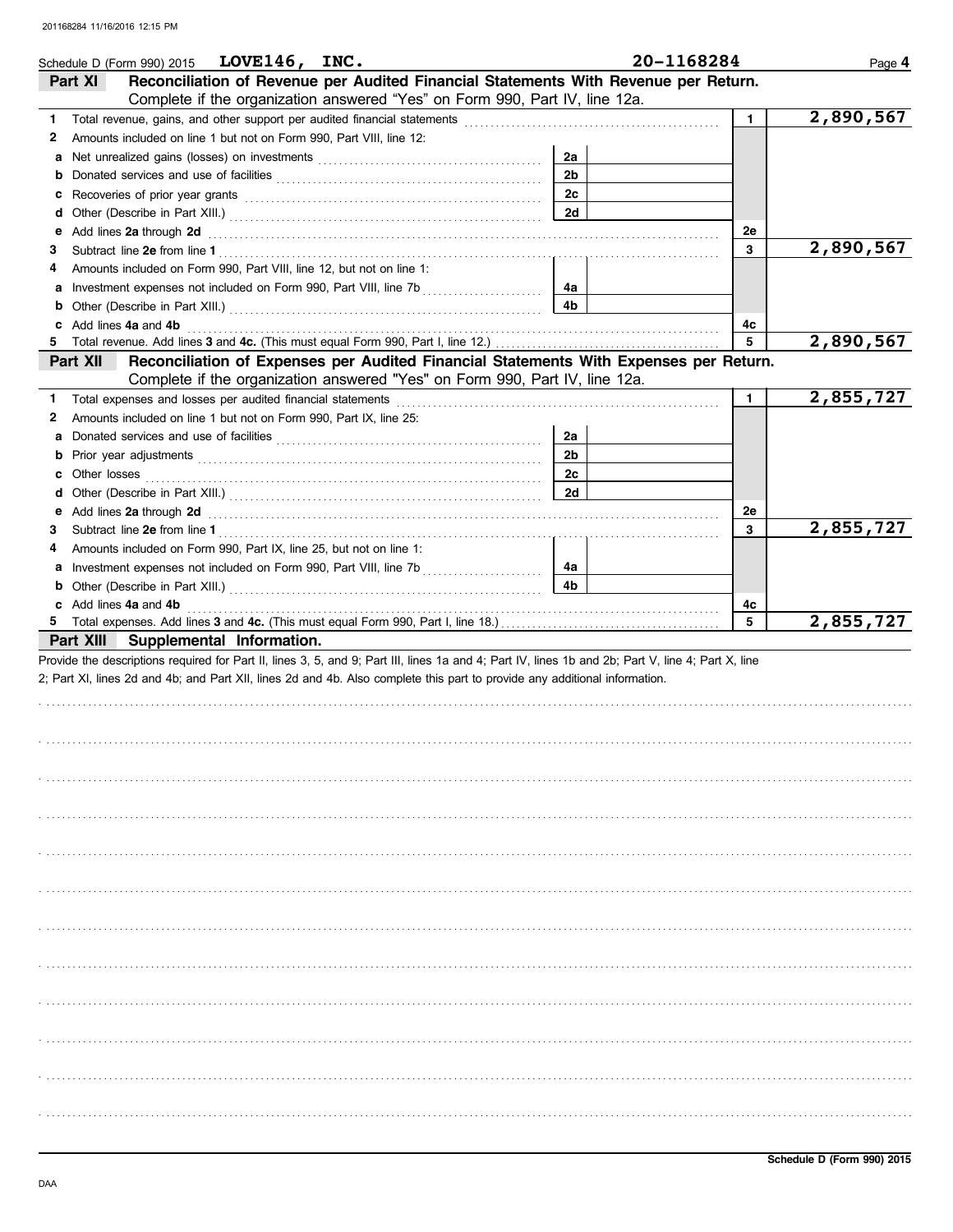| LOVE146, INC.<br>Schedule D (Form 990) 2015                                                                                                                                                                                         |                | 20-1168284   | Page 4    |
|-------------------------------------------------------------------------------------------------------------------------------------------------------------------------------------------------------------------------------------|----------------|--------------|-----------|
| Reconciliation of Revenue per Audited Financial Statements With Revenue per Return.<br>Part XI                                                                                                                                      |                |              |           |
| Complete if the organization answered "Yes" on Form 990, Part IV, line 12a.                                                                                                                                                         |                |              |           |
| 1.                                                                                                                                                                                                                                  |                | $\mathbf{1}$ | 2,890,567 |
| Amounts included on line 1 but not on Form 990, Part VIII, line 12:<br>2                                                                                                                                                            |                |              |           |
| a                                                                                                                                                                                                                                   | 2a             |              |           |
| b                                                                                                                                                                                                                                   | 2 <sub>b</sub> |              |           |
| c                                                                                                                                                                                                                                   | 2c             |              |           |
| d                                                                                                                                                                                                                                   | <b>2d</b>      |              |           |
| Add lines 2a through 2d [11] Additional Property and Property and Property and Property and Property and Property and Property and Property and Property and Property and Property and Property and Property and Property and<br>е  |                | 2e           |           |
| 3                                                                                                                                                                                                                                   |                | 3            | 2,890,567 |
| Amounts included on Form 990, Part VIII, line 12, but not on line 1:<br>4                                                                                                                                                           |                |              |           |
| Investment expenses not included on Form 990, Part VIII, line 7b [11] [11] [11] [12]<br>a                                                                                                                                           | 4a<br>4b       |              |           |
| b                                                                                                                                                                                                                                   |                |              |           |
| Add lines 4a and 4b<br>c<br>5                                                                                                                                                                                                       |                | 4c<br>5      | 2,890,567 |
| Reconciliation of Expenses per Audited Financial Statements With Expenses per Return.<br>Part XII                                                                                                                                   |                |              |           |
| Complete if the organization answered "Yes" on Form 990, Part IV, line 12a.                                                                                                                                                         |                |              |           |
| 1.                                                                                                                                                                                                                                  |                | $\mathbf{1}$ | 2,855,727 |
| Amounts included on line 1 but not on Form 990, Part IX, line 25:<br>2                                                                                                                                                              |                |              |           |
| a                                                                                                                                                                                                                                   | 2a             |              |           |
| b                                                                                                                                                                                                                                   | 2 <sub>b</sub> |              |           |
| Other losses<br>c                                                                                                                                                                                                                   | 2c             |              |           |
| d                                                                                                                                                                                                                                   | <b>2d</b>      |              |           |
| Add lines 2a through 2d [11] March 2014 [12] March 2014 [12] March 2014 [12] March 2014 [12] March 2014 [12] March 2014 [12] March 2014 [12] March 2014 [12] March 2014 [12] March 2014 [12] March 2014 [12] March 2014 [12] M<br>е |                | 2e           |           |
| 3                                                                                                                                                                                                                                   |                | 3            | 2,855,727 |
| Amounts included on Form 990, Part IX, line 25, but not on line 1:<br>4                                                                                                                                                             |                |              |           |
| a                                                                                                                                                                                                                                   | 4a             |              |           |
| b                                                                                                                                                                                                                                   | 4b             |              |           |
| c Add lines 4a and 4b                                                                                                                                                                                                               |                | 4c           |           |
|                                                                                                                                                                                                                                     |                | 5            | 2,855,727 |
| Supplemental Information.<br>Part XIII                                                                                                                                                                                              |                |              |           |
| Provide the descriptions required for Part II, lines 3, 5, and 9; Part III, lines 1a and 4; Part IV, lines 1b and 2b; Part V, line 4; Part X, line                                                                                  |                |              |           |
| 2; Part XI, lines 2d and 4b; and Part XII, lines 2d and 4b. Also complete this part to provide any additional information.                                                                                                          |                |              |           |
|                                                                                                                                                                                                                                     |                |              |           |
|                                                                                                                                                                                                                                     |                |              |           |
|                                                                                                                                                                                                                                     |                |              |           |
|                                                                                                                                                                                                                                     |                |              |           |
|                                                                                                                                                                                                                                     |                |              |           |
|                                                                                                                                                                                                                                     |                |              |           |
|                                                                                                                                                                                                                                     |                |              |           |
|                                                                                                                                                                                                                                     |                |              |           |
|                                                                                                                                                                                                                                     |                |              |           |
|                                                                                                                                                                                                                                     |                |              |           |
|                                                                                                                                                                                                                                     |                |              |           |
|                                                                                                                                                                                                                                     |                |              |           |
|                                                                                                                                                                                                                                     |                |              |           |
|                                                                                                                                                                                                                                     |                |              |           |
|                                                                                                                                                                                                                                     |                |              |           |
|                                                                                                                                                                                                                                     |                |              |           |
|                                                                                                                                                                                                                                     |                |              |           |
|                                                                                                                                                                                                                                     |                |              |           |
|                                                                                                                                                                                                                                     |                |              |           |
|                                                                                                                                                                                                                                     |                |              |           |
|                                                                                                                                                                                                                                     |                |              |           |
|                                                                                                                                                                                                                                     |                |              |           |
|                                                                                                                                                                                                                                     |                |              |           |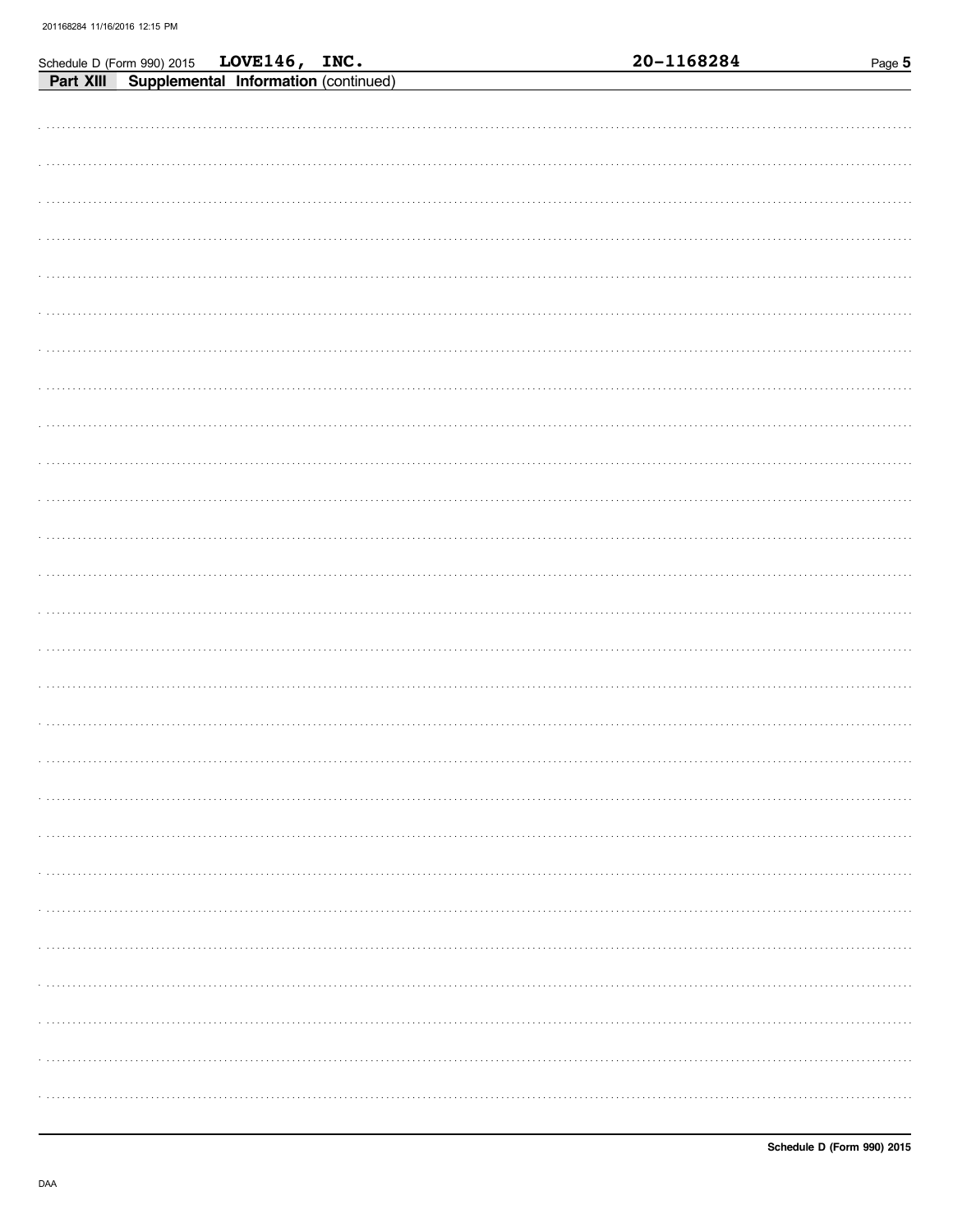|  | Schedule D (Form 990) 2015 LOVE146, INC.<br>Part XIII Supplemental Information (continued) |  | 20-1168284 | Page 5 |
|--|--------------------------------------------------------------------------------------------|--|------------|--------|
|  |                                                                                            |  |            |        |
|  |                                                                                            |  |            |        |
|  |                                                                                            |  |            |        |
|  |                                                                                            |  |            |        |
|  |                                                                                            |  |            |        |
|  |                                                                                            |  |            |        |
|  |                                                                                            |  |            |        |
|  |                                                                                            |  |            |        |
|  |                                                                                            |  |            |        |
|  |                                                                                            |  |            |        |
|  |                                                                                            |  |            |        |
|  |                                                                                            |  |            |        |
|  |                                                                                            |  |            |        |
|  |                                                                                            |  |            |        |
|  |                                                                                            |  |            |        |
|  |                                                                                            |  |            |        |
|  |                                                                                            |  |            |        |
|  |                                                                                            |  |            |        |
|  |                                                                                            |  |            |        |
|  |                                                                                            |  |            |        |
|  |                                                                                            |  |            |        |
|  |                                                                                            |  |            |        |
|  |                                                                                            |  |            |        |
|  |                                                                                            |  |            |        |
|  |                                                                                            |  |            |        |
|  |                                                                                            |  |            |        |
|  |                                                                                            |  |            |        |
|  |                                                                                            |  |            |        |
|  |                                                                                            |  |            | .      |
|  |                                                                                            |  |            |        |
|  |                                                                                            |  |            |        |
|  |                                                                                            |  |            |        |
|  |                                                                                            |  |            |        |
|  |                                                                                            |  |            |        |
|  |                                                                                            |  |            |        |
|  |                                                                                            |  |            |        |
|  |                                                                                            |  |            |        |
|  |                                                                                            |  |            |        |
|  |                                                                                            |  |            |        |
|  |                                                                                            |  |            |        |
|  |                                                                                            |  |            |        |
|  |                                                                                            |  |            |        |
|  |                                                                                            |  |            |        |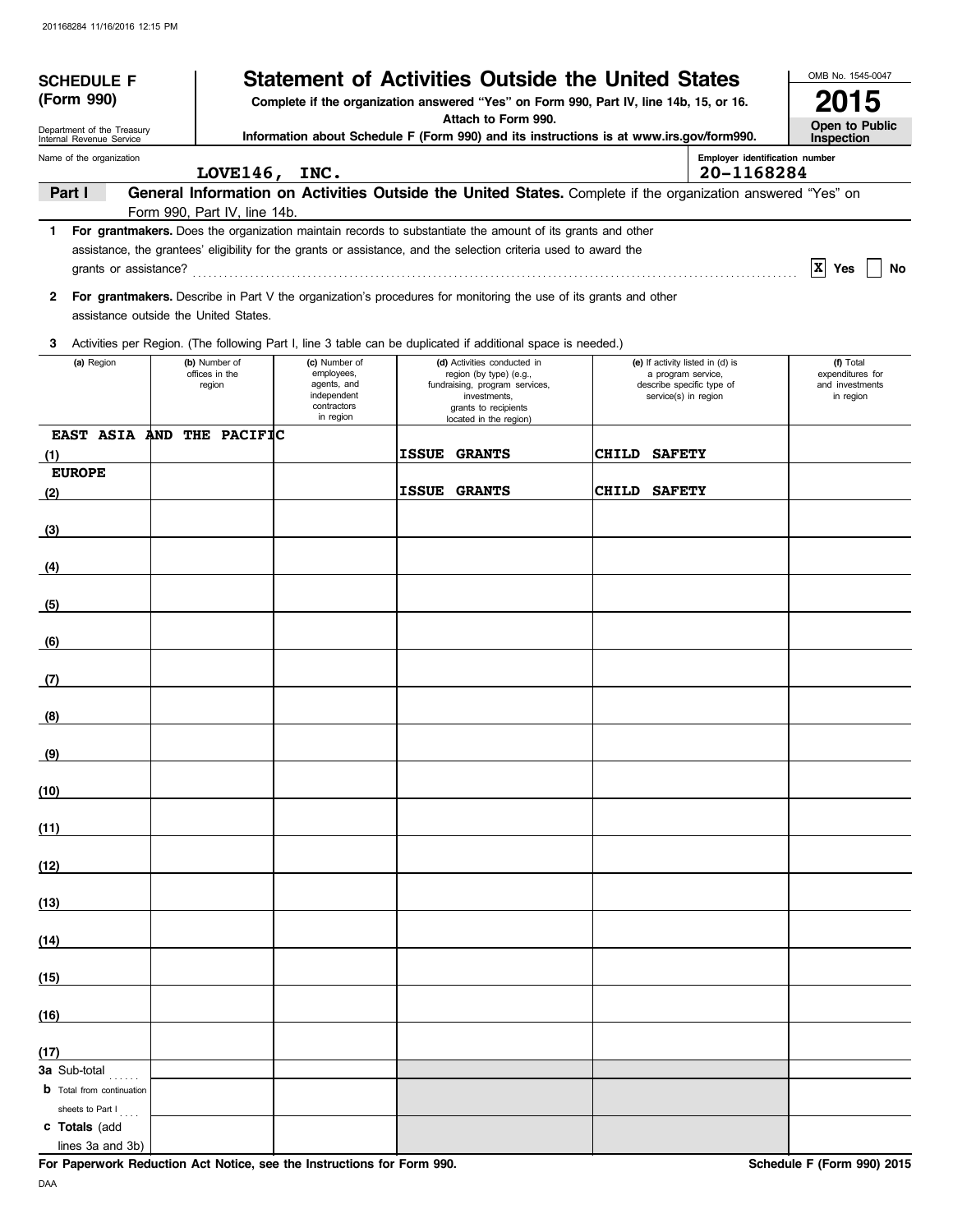| <b>SCHEDULE F</b>                                      |                              |                                                                      | <b>Statement of Activities Outside the United States</b>                                                                                                                                                                       |              |                                                                         | OMB No. 1545-0047                                |
|--------------------------------------------------------|------------------------------|----------------------------------------------------------------------|--------------------------------------------------------------------------------------------------------------------------------------------------------------------------------------------------------------------------------|--------------|-------------------------------------------------------------------------|--------------------------------------------------|
| (Form 990)                                             |                              |                                                                      | Complete if the organization answered "Yes" on Form 990, Part IV, line 14b, 15, or 16.                                                                                                                                         |              |                                                                         | 2015                                             |
| Department of the Treasury<br>Internal Revenue Service |                              |                                                                      | Attach to Form 990.<br>Information about Schedule F (Form 990) and its instructions is at www.irs.gov/form990.                                                                                                                 |              |                                                                         | Open to Public<br>Inspection                     |
| Name of the organization                               | LOVE146, INC.                |                                                                      |                                                                                                                                                                                                                                |              | Employer identification number<br>20-1168284                            |                                                  |
| Part I                                                 |                              |                                                                      | General Information on Activities Outside the United States. Complete if the organization answered "Yes" on                                                                                                                    |              |                                                                         |                                                  |
|                                                        | Form 990, Part IV, line 14b. |                                                                      |                                                                                                                                                                                                                                |              |                                                                         |                                                  |
| 1.<br>grants or assistance?                            |                              |                                                                      | For grantmakers. Does the organization maintain records to substantiate the amount of its grants and other<br>assistance, the grantees' eligibility for the grants or assistance, and the selection criteria used to award the |              |                                                                         | $ X $ Yes<br>No                                  |
| 2<br>assistance outside the United States.             |                              |                                                                      | For grantmakers. Describe in Part V the organization's procedures for monitoring the use of its grants and other                                                                                                               |              |                                                                         |                                                  |
| 3                                                      |                              |                                                                      | Activities per Region. (The following Part I, line 3 table can be duplicated if additional space is needed.)                                                                                                                   |              |                                                                         |                                                  |
| (a) Region                                             | (b) Number of                | (c) Number of                                                        | (d) Activities conducted in                                                                                                                                                                                                    |              | (e) If activity listed in (d) is                                        | (f) Total                                        |
|                                                        | offices in the<br>region     | employees,<br>agents, and<br>independent<br>contractors<br>in region | region (by type) (e.g.,<br>fundraising, program services,<br>investments,<br>grants to recipients<br>located in the region)                                                                                                    |              | a program service,<br>describe specific type of<br>service(s) in region | expenditures for<br>and investments<br>in region |
| EAST ASIA AND THE PACIFIC<br>(1)                       |                              |                                                                      | <b>ISSUE GRANTS</b>                                                                                                                                                                                                            | CHILD SAFETY |                                                                         |                                                  |
| <b>EUROPE</b>                                          |                              |                                                                      |                                                                                                                                                                                                                                |              |                                                                         |                                                  |
| (2)                                                    |                              |                                                                      | <b>ISSUE GRANTS</b>                                                                                                                                                                                                            | CHILD SAFETY |                                                                         |                                                  |
| (3)                                                    |                              |                                                                      |                                                                                                                                                                                                                                |              |                                                                         |                                                  |
| (4)                                                    |                              |                                                                      |                                                                                                                                                                                                                                |              |                                                                         |                                                  |
| (5)                                                    |                              |                                                                      |                                                                                                                                                                                                                                |              |                                                                         |                                                  |
| (6)                                                    |                              |                                                                      |                                                                                                                                                                                                                                |              |                                                                         |                                                  |
| (7)                                                    |                              |                                                                      |                                                                                                                                                                                                                                |              |                                                                         |                                                  |
| (8)                                                    |                              |                                                                      |                                                                                                                                                                                                                                |              |                                                                         |                                                  |
| (9)                                                    |                              |                                                                      |                                                                                                                                                                                                                                |              |                                                                         |                                                  |
| (10)                                                   |                              |                                                                      |                                                                                                                                                                                                                                |              |                                                                         |                                                  |
| (11)                                                   |                              |                                                                      |                                                                                                                                                                                                                                |              |                                                                         |                                                  |
| (12)                                                   |                              |                                                                      |                                                                                                                                                                                                                                |              |                                                                         |                                                  |
| (13)                                                   |                              |                                                                      |                                                                                                                                                                                                                                |              |                                                                         |                                                  |
| (14)                                                   |                              |                                                                      |                                                                                                                                                                                                                                |              |                                                                         |                                                  |
| (15)                                                   |                              |                                                                      |                                                                                                                                                                                                                                |              |                                                                         |                                                  |
| (16)                                                   |                              |                                                                      |                                                                                                                                                                                                                                |              |                                                                         |                                                  |
| (17)                                                   |                              |                                                                      |                                                                                                                                                                                                                                |              |                                                                         |                                                  |
| <b>3a</b> Sub-total                                    |                              |                                                                      |                                                                                                                                                                                                                                |              |                                                                         |                                                  |
| <b>b</b> Total from continuation<br>sheets to Part I   |                              |                                                                      |                                                                                                                                                                                                                                |              |                                                                         |                                                  |
| c Totals (add<br>lines 3a and 3b)                      |                              |                                                                      |                                                                                                                                                                                                                                |              |                                                                         |                                                  |

**For Paperwork Reduction Act Notice, see the Instructions for Form 990.** Schedule F (Form 990) 2015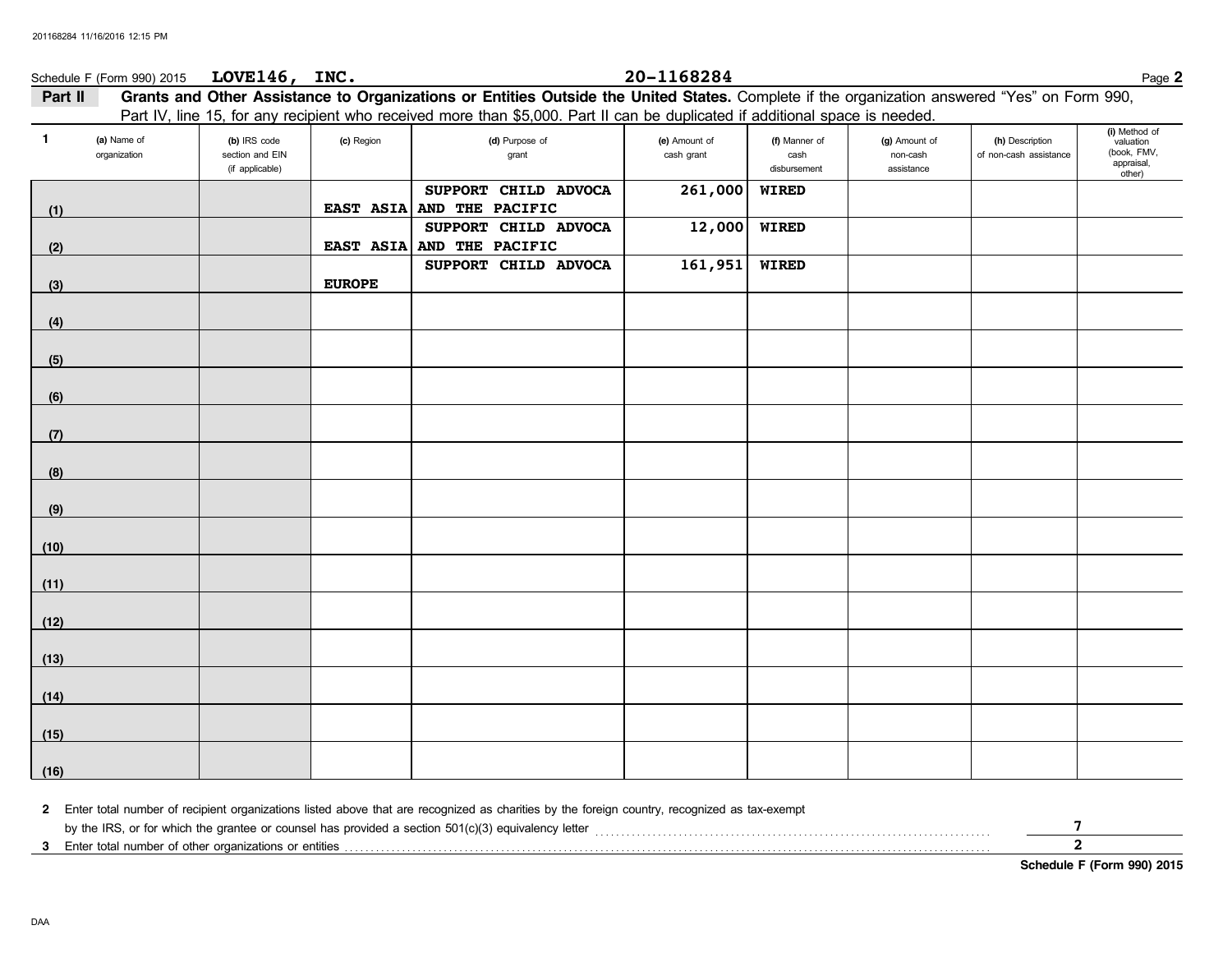|              | Schedule F (Form 990) 2015 | LOVE146, INC.                      |               |                                                                                                                                              | 20-1168284    |                      |                        |                        | Page 2                    |
|--------------|----------------------------|------------------------------------|---------------|----------------------------------------------------------------------------------------------------------------------------------------------|---------------|----------------------|------------------------|------------------------|---------------------------|
| Part II      |                            |                                    |               | Grants and Other Assistance to Organizations or Entities Outside the United States. Complete if the organization answered "Yes" on Form 990, |               |                      |                        |                        |                           |
|              |                            |                                    |               | Part IV, line 15, for any recipient who received more than \$5,000. Part II can be duplicated if additional space is needed.                 |               |                      |                        |                        | (i) Method of             |
| $\mathbf{1}$ | (a) Name of                | (b) IRS code                       | (c) Region    | (d) Purpose of                                                                                                                               | (e) Amount of | (f) Manner of        | (g) Amount of          | (h) Description        | valuation                 |
|              | organization               | section and EIN<br>(if applicable) |               | grant                                                                                                                                        | cash grant    | cash<br>disbursement | non-cash<br>assistance | of non-cash assistance | (book, FMV,<br>appraisal, |
|              |                            |                                    |               | SUPPORT CHILD ADVOCA                                                                                                                         | 261,000       | <b>WIRED</b>         |                        |                        | other)                    |
| (1)          |                            |                                    | EAST ASIA     | AND THE PACIFIC                                                                                                                              |               |                      |                        |                        |                           |
|              |                            |                                    |               | SUPPORT CHILD ADVOCA                                                                                                                         | 12,000        | <b>WIRED</b>         |                        |                        |                           |
| (2)          |                            |                                    | EAST ASIA     | AND THE PACIFIC                                                                                                                              |               |                      |                        |                        |                           |
|              |                            |                                    |               | SUPPORT CHILD ADVOCA                                                                                                                         | 161,951       | <b>WIRED</b>         |                        |                        |                           |
| (3)          |                            |                                    | <b>EUROPE</b> |                                                                                                                                              |               |                      |                        |                        |                           |
| (4)          |                            |                                    |               |                                                                                                                                              |               |                      |                        |                        |                           |
|              |                            |                                    |               |                                                                                                                                              |               |                      |                        |                        |                           |
| (5)          |                            |                                    |               |                                                                                                                                              |               |                      |                        |                        |                           |
|              |                            |                                    |               |                                                                                                                                              |               |                      |                        |                        |                           |
| (6)          |                            |                                    |               |                                                                                                                                              |               |                      |                        |                        |                           |
|              |                            |                                    |               |                                                                                                                                              |               |                      |                        |                        |                           |
| (7)          |                            |                                    |               |                                                                                                                                              |               |                      |                        |                        |                           |
| (8)          |                            |                                    |               |                                                                                                                                              |               |                      |                        |                        |                           |
|              |                            |                                    |               |                                                                                                                                              |               |                      |                        |                        |                           |
| (9)          |                            |                                    |               |                                                                                                                                              |               |                      |                        |                        |                           |
|              |                            |                                    |               |                                                                                                                                              |               |                      |                        |                        |                           |
| (10)         |                            |                                    |               |                                                                                                                                              |               |                      |                        |                        |                           |
| (11)         |                            |                                    |               |                                                                                                                                              |               |                      |                        |                        |                           |
|              |                            |                                    |               |                                                                                                                                              |               |                      |                        |                        |                           |
| (12)         |                            |                                    |               |                                                                                                                                              |               |                      |                        |                        |                           |
|              |                            |                                    |               |                                                                                                                                              |               |                      |                        |                        |                           |
| (13)         |                            |                                    |               |                                                                                                                                              |               |                      |                        |                        |                           |
|              |                            |                                    |               |                                                                                                                                              |               |                      |                        |                        |                           |
| (14)         |                            |                                    |               |                                                                                                                                              |               |                      |                        |                        |                           |
| (15)         |                            |                                    |               |                                                                                                                                              |               |                      |                        |                        |                           |
|              |                            |                                    |               |                                                                                                                                              |               |                      |                        |                        |                           |
| (16)         |                            |                                    |               |                                                                                                                                              |               |                      |                        |                        |                           |

**2** Enter total number of recipient organizations listed above that are recognized as charities by the foreign country, recognized as tax-exempt

by the IRS, or for which the grantee or counsel has provided a section 501(c)(3) equivalency letter . . . . . . . . . . . . . . . . . . . . . . . . . . . . . . . . . . . . . . . . . . . . . . . . . . . . . . . . . . . . . . . . . . . . . . . . . . . .

**3** Enter total number of other organizations or entities . . . . . . . . . . . . . . . . . . . . . . . . . . . . . . . . . . . . . . . . . . . . . . . . . . . . . . . . . . . . . . . . . . . . . . . . . . . . . . . . . . . . . . . . . . . . . . . . . . . . . . . . . . . . . . . . . . . . . . . . . . . .

**Schedule F (Form 990) 2015**

**7 2**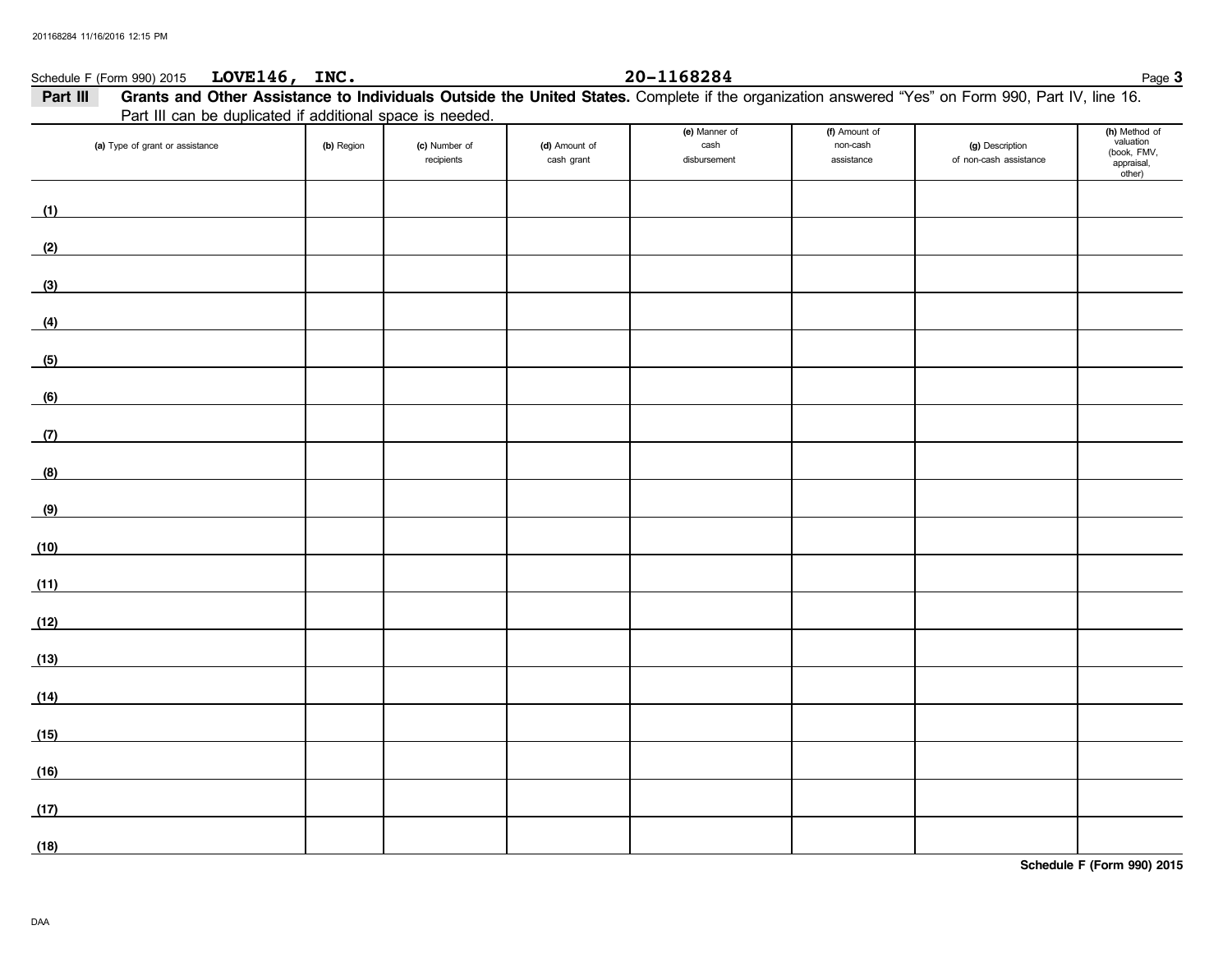| Schedule F (Form 990) 2015 LOVE146, INC.                                                                                                                                            |            |                             |                             | 20-1168284                            |                                         |                                           | Page 3                                                            |
|-------------------------------------------------------------------------------------------------------------------------------------------------------------------------------------|------------|-----------------------------|-----------------------------|---------------------------------------|-----------------------------------------|-------------------------------------------|-------------------------------------------------------------------|
| Grants and Other Assistance to Individuals Outside the United States. Complete if the organization answered "Yes" on Form 990, Part IV, line 16.<br>Part III                        |            |                             |                             |                                       |                                         |                                           |                                                                   |
| Part III can be duplicated if additional space is needed.                                                                                                                           |            |                             |                             |                                       |                                         |                                           |                                                                   |
| (a) Type of grant or assistance                                                                                                                                                     | (b) Region | (c) Number of<br>recipients | (d) Amount of<br>cash grant | (e) Manner of<br>cash<br>disbursement | (f) Amount of<br>non-cash<br>assistance | (g) Description<br>of non-cash assistance | (h) Method of<br>valuation<br>(book, FMV,<br>appraisal,<br>other) |
| (1)<br>$\mathcal{L}^{\mathcal{L}}(\mathcal{L}^{\mathcal{L}})$ and $\mathcal{L}^{\mathcal{L}}(\mathcal{L}^{\mathcal{L}})$ and $\mathcal{L}^{\mathcal{L}}(\mathcal{L}^{\mathcal{L}})$ |            |                             |                             |                                       |                                         |                                           |                                                                   |
| (2)                                                                                                                                                                                 |            |                             |                             |                                       |                                         |                                           |                                                                   |
| (3)                                                                                                                                                                                 |            |                             |                             |                                       |                                         |                                           |                                                                   |
| (4)                                                                                                                                                                                 |            |                             |                             |                                       |                                         |                                           |                                                                   |
| (5)                                                                                                                                                                                 |            |                             |                             |                                       |                                         |                                           |                                                                   |
| (6)                                                                                                                                                                                 |            |                             |                             |                                       |                                         |                                           |                                                                   |
| (7)                                                                                                                                                                                 |            |                             |                             |                                       |                                         |                                           |                                                                   |
| (8)                                                                                                                                                                                 |            |                             |                             |                                       |                                         |                                           |                                                                   |
| (9)                                                                                                                                                                                 |            |                             |                             |                                       |                                         |                                           |                                                                   |
| (10)                                                                                                                                                                                |            |                             |                             |                                       |                                         |                                           |                                                                   |
| (11)                                                                                                                                                                                |            |                             |                             |                                       |                                         |                                           |                                                                   |
| (12)                                                                                                                                                                                |            |                             |                             |                                       |                                         |                                           |                                                                   |
| (13)                                                                                                                                                                                |            |                             |                             |                                       |                                         |                                           |                                                                   |
| (14)                                                                                                                                                                                |            |                             |                             |                                       |                                         |                                           |                                                                   |
| (15)                                                                                                                                                                                |            |                             |                             |                                       |                                         |                                           |                                                                   |
| (16)                                                                                                                                                                                |            |                             |                             |                                       |                                         |                                           |                                                                   |
| (17)                                                                                                                                                                                |            |                             |                             |                                       |                                         |                                           |                                                                   |
| (18)                                                                                                                                                                                |            |                             |                             |                                       |                                         |                                           |                                                                   |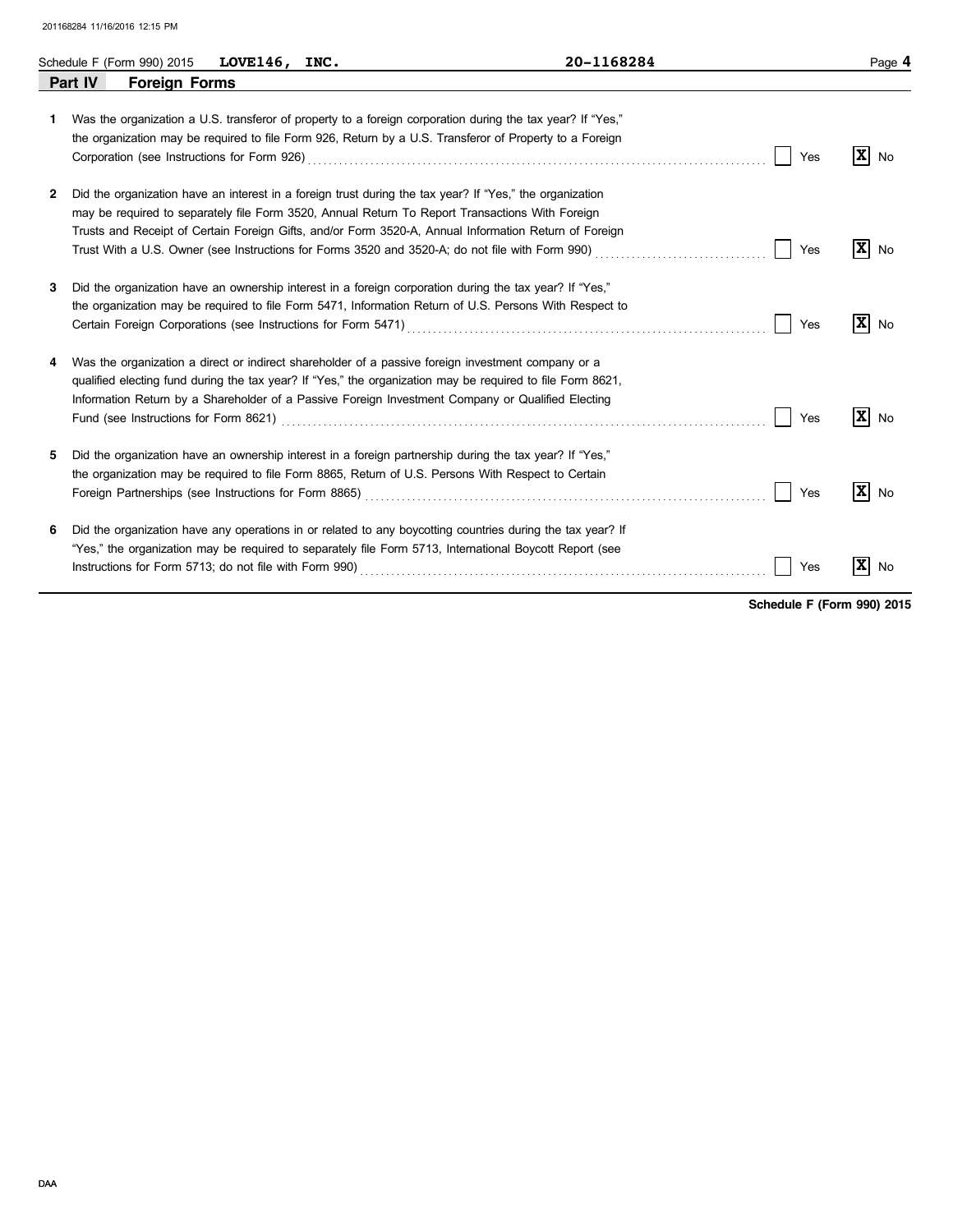|    | Schedule F (Form 990) 2015      | LOVE146, INC. | 20-1168284                                                                                                                                                                                                                                                                                                                                                                                                                                      |     | Page 4                         |
|----|---------------------------------|---------------|-------------------------------------------------------------------------------------------------------------------------------------------------------------------------------------------------------------------------------------------------------------------------------------------------------------------------------------------------------------------------------------------------------------------------------------------------|-----|--------------------------------|
|    | Part IV<br><b>Foreign Forms</b> |               |                                                                                                                                                                                                                                                                                                                                                                                                                                                 |     |                                |
| 1. |                                 |               | Was the organization a U.S. transferor of property to a foreign corporation during the tax year? If "Yes,"<br>the organization may be required to file Form 926, Return by a U.S. Transferor of Property to a Foreign                                                                                                                                                                                                                           | Yes | $\mathbf{x}$<br>No             |
| 2  |                                 |               | Did the organization have an interest in a foreign trust during the tax year? If "Yes," the organization<br>may be required to separately file Form 3520, Annual Return To Report Transactions With Foreign<br>Trusts and Receipt of Certain Foreign Gifts, and/or Form 3520-A, Annual Information Return of Foreign                                                                                                                            | Yes | $\mathbf{x}$<br>No             |
| 3  |                                 |               | Did the organization have an ownership interest in a foreign corporation during the tax year? If "Yes,"<br>the organization may be required to file Form 5471, Information Return of U.S. Persons With Respect to<br>Certain Foreign Corporations (see Instructions for Form 5471) [11] Contained Contains and Corporations (see Instructions for Form 5471)                                                                                    | Yes | $ \mathbf{X} $<br>No           |
| 4  |                                 |               | Was the organization a direct or indirect shareholder of a passive foreign investment company or a<br>qualified electing fund during the tax year? If "Yes," the organization may be required to file Form 8621,<br>Information Return by a Shareholder of a Passive Foreign Investment Company or Qualified Electing<br>Fund (see Instructions for Form 8621) Matter Community Constant Community Community Community Community Commun         | Yes | $\vert \mathbf{x} \vert$<br>No |
| 5  |                                 |               | Did the organization have an ownership interest in a foreign partnership during the tax year? If "Yes,"<br>the organization may be required to file Form 8865, Return of U.S. Persons With Respect to Certain<br>Foreign Partnerships (see Instructions for Form 8865) Material Content Construction Construction Construction Construction Construction Construction Construction Construction Construction Construction Construction Construc | Yes | $\mathbf x$<br>No              |
| 6  |                                 |               | Did the organization have any operations in or related to any boycotting countries during the tax year? If<br>"Yes," the organization may be required to separately file Form 5713, International Boycott Report (see                                                                                                                                                                                                                           | Yes | X<br>No                        |

**Schedule F (Form 990) 2015**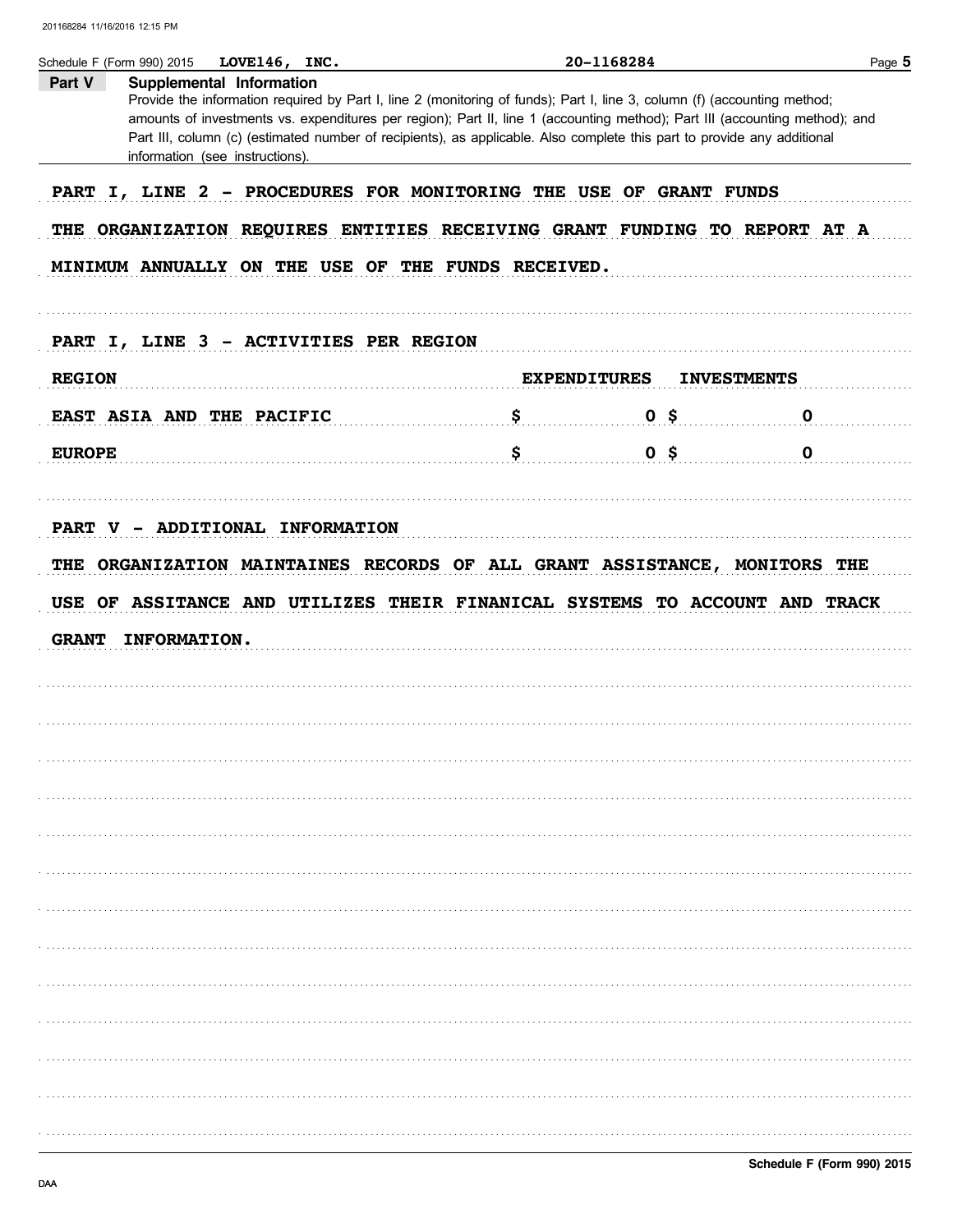| Part V        | Supplemental Information                           |                                                                                                                                                                                                                                                                                                                                                                                    |                    |
|---------------|----------------------------------------------------|------------------------------------------------------------------------------------------------------------------------------------------------------------------------------------------------------------------------------------------------------------------------------------------------------------------------------------------------------------------------------------|--------------------|
|               | information (see instructions).                    | Provide the information required by Part I, line 2 (monitoring of funds); Part I, line 3, column (f) (accounting method;<br>amounts of investments vs. expenditures per region); Part II, line 1 (accounting method); Part III (accounting method); and<br>Part III, column (c) (estimated number of recipients), as applicable. Also complete this part to provide any additional |                    |
|               |                                                    |                                                                                                                                                                                                                                                                                                                                                                                    |                    |
|               |                                                    | PART I, LINE 2 - PROCEDURES FOR MONITORING THE USE OF GRANT FUNDS                                                                                                                                                                                                                                                                                                                  |                    |
|               |                                                    | THE ORGANIZATION REQUIRES ENTITIES RECEIVING GRANT FUNDING TO REPORT AT A                                                                                                                                                                                                                                                                                                          |                    |
|               | MINIMUM ANNUALLY ON THE USE OF THE FUNDS RECEIVED. |                                                                                                                                                                                                                                                                                                                                                                                    |                    |
|               | PART I, LINE 3 - ACTIVITIES PER REGION             |                                                                                                                                                                                                                                                                                                                                                                                    |                    |
| <b>REGION</b> |                                                    | <b>EXPENDITURES</b>                                                                                                                                                                                                                                                                                                                                                                | <b>INVESTMENTS</b> |
|               | EAST ASIA AND THE PACIFIC                          | 0 <sup>5</sup>                                                                                                                                                                                                                                                                                                                                                                     | 0                  |
| <b>EUROPE</b> |                                                    | $\sim$ $\sim$ $\sim$ $\sim$ $\sim$<br>0 <sup>5</sup>                                                                                                                                                                                                                                                                                                                               | 0                  |
|               |                                                    |                                                                                                                                                                                                                                                                                                                                                                                    |                    |
|               | PART V - ADDITIONAL INFORMATION                    | THE ORGANIZATION MAINTAINES RECORDS OF ALL GRANT ASSISTANCE, MONITORS THE                                                                                                                                                                                                                                                                                                          |                    |
| <b>GRANT</b>  | <b>INFORMATION.</b>                                | USE OF ASSITANCE AND UTILIZES THEIR FINANICAL SYSTEMS TO ACCOUNT AND TRACK                                                                                                                                                                                                                                                                                                         |                    |
|               |                                                    |                                                                                                                                                                                                                                                                                                                                                                                    |                    |
|               |                                                    |                                                                                                                                                                                                                                                                                                                                                                                    |                    |
|               |                                                    |                                                                                                                                                                                                                                                                                                                                                                                    |                    |
|               |                                                    |                                                                                                                                                                                                                                                                                                                                                                                    |                    |
|               |                                                    |                                                                                                                                                                                                                                                                                                                                                                                    |                    |
|               |                                                    |                                                                                                                                                                                                                                                                                                                                                                                    |                    |
|               |                                                    |                                                                                                                                                                                                                                                                                                                                                                                    |                    |
|               |                                                    |                                                                                                                                                                                                                                                                                                                                                                                    |                    |
|               |                                                    |                                                                                                                                                                                                                                                                                                                                                                                    |                    |
|               |                                                    |                                                                                                                                                                                                                                                                                                                                                                                    |                    |
|               |                                                    |                                                                                                                                                                                                                                                                                                                                                                                    |                    |
|               |                                                    |                                                                                                                                                                                                                                                                                                                                                                                    |                    |
|               |                                                    |                                                                                                                                                                                                                                                                                                                                                                                    |                    |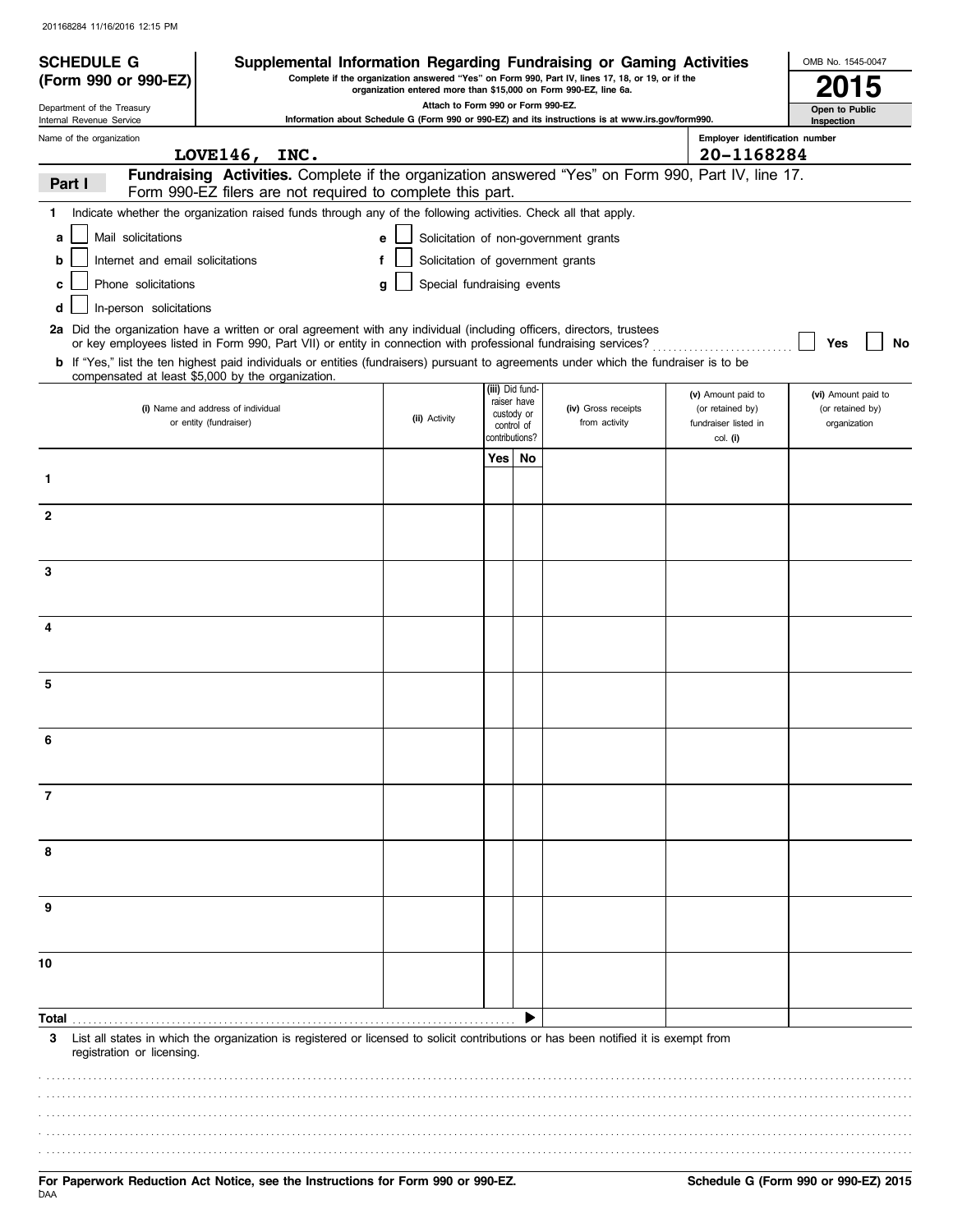| Complete if the organization answered "Yes" on Form 990, Part IV, lines 17, 18, or 19, or if the<br>(Form 990 or 990-EZ)<br>organization entered more than \$15,000 on Form 990-EZ, line 6a.<br>Attach to Form 990 or Form 990-EZ.<br>Open to Public<br>Information about Schedule G (Form 990 or 990-EZ) and its instructions is at www.irs.gov/form990.<br>Internal Revenue Service<br>Inspection<br>Employer identification number<br>LOVE $146,$<br>20-1168284<br>INC.<br>Fundraising Activities. Complete if the organization answered "Yes" on Form 990, Part IV, line 17.<br>Part I<br>Form 990-EZ filers are not required to complete this part.<br>Indicate whether the organization raised funds through any of the following activities. Check all that apply.<br>1.<br>Solicitation of non-government grants<br>Mail solicitations<br>a<br>e<br>Solicitation of government grants<br>Internet and email solicitations<br>f<br>b<br>Phone solicitations<br>Special fundraising events<br>c<br>q<br>In-person solicitations<br>d<br>2a Did the organization have a written or oral agreement with any individual (including officers, directors, trustees<br>or key employees listed in Form 990, Part VII) or entity in connection with professional fundraising services?<br>Yes<br>b If "Yes," list the ten highest paid individuals or entities (fundraisers) pursuant to agreements under which the fundraiser is to be<br>compensated at least \$5,000 by the organization.<br>(iii) Did fund-<br>(v) Amount paid to<br>(vi) Amount paid to<br>raiser have<br>(i) Name and address of individual<br>(iv) Gross receipts<br>(or retained by)<br>(or retained by)<br>custody or<br>(ii) Activity<br>or entity (fundraiser)<br>from activity<br>fundraiser listed in<br>organization<br>control of<br>contributions?<br>col. (i)<br>Yes  <br>No<br>1<br>$\mathbf{2}$<br>3<br>4<br>5<br>7<br>8<br>9<br>10<br>Total<br>List all states in which the organization is registered or licensed to solicit contributions or has been notified it is exempt from<br>3<br>registration or licensing. | <b>SCHEDULE G</b>          | Supplemental Information Regarding Fundraising or Gaming Activities |  |  |  | OMB No. 1545-0047 |
|----------------------------------------------------------------------------------------------------------------------------------------------------------------------------------------------------------------------------------------------------------------------------------------------------------------------------------------------------------------------------------------------------------------------------------------------------------------------------------------------------------------------------------------------------------------------------------------------------------------------------------------------------------------------------------------------------------------------------------------------------------------------------------------------------------------------------------------------------------------------------------------------------------------------------------------------------------------------------------------------------------------------------------------------------------------------------------------------------------------------------------------------------------------------------------------------------------------------------------------------------------------------------------------------------------------------------------------------------------------------------------------------------------------------------------------------------------------------------------------------------------------------------------------------------------------------------------------------------------------------------------------------------------------------------------------------------------------------------------------------------------------------------------------------------------------------------------------------------------------------------------------------------------------------------------------------------------------------------------------------------------------------------------------------------------------------------------------------------------|----------------------------|---------------------------------------------------------------------|--|--|--|-------------------|
|                                                                                                                                                                                                                                                                                                                                                                                                                                                                                                                                                                                                                                                                                                                                                                                                                                                                                                                                                                                                                                                                                                                                                                                                                                                                                                                                                                                                                                                                                                                                                                                                                                                                                                                                                                                                                                                                                                                                                                                                                                                                                                          |                            |                                                                     |  |  |  |                   |
|                                                                                                                                                                                                                                                                                                                                                                                                                                                                                                                                                                                                                                                                                                                                                                                                                                                                                                                                                                                                                                                                                                                                                                                                                                                                                                                                                                                                                                                                                                                                                                                                                                                                                                                                                                                                                                                                                                                                                                                                                                                                                                          | Department of the Treasury |                                                                     |  |  |  |                   |
|                                                                                                                                                                                                                                                                                                                                                                                                                                                                                                                                                                                                                                                                                                                                                                                                                                                                                                                                                                                                                                                                                                                                                                                                                                                                                                                                                                                                                                                                                                                                                                                                                                                                                                                                                                                                                                                                                                                                                                                                                                                                                                          | Name of the organization   |                                                                     |  |  |  |                   |
|                                                                                                                                                                                                                                                                                                                                                                                                                                                                                                                                                                                                                                                                                                                                                                                                                                                                                                                                                                                                                                                                                                                                                                                                                                                                                                                                                                                                                                                                                                                                                                                                                                                                                                                                                                                                                                                                                                                                                                                                                                                                                                          |                            |                                                                     |  |  |  |                   |
|                                                                                                                                                                                                                                                                                                                                                                                                                                                                                                                                                                                                                                                                                                                                                                                                                                                                                                                                                                                                                                                                                                                                                                                                                                                                                                                                                                                                                                                                                                                                                                                                                                                                                                                                                                                                                                                                                                                                                                                                                                                                                                          |                            |                                                                     |  |  |  |                   |
|                                                                                                                                                                                                                                                                                                                                                                                                                                                                                                                                                                                                                                                                                                                                                                                                                                                                                                                                                                                                                                                                                                                                                                                                                                                                                                                                                                                                                                                                                                                                                                                                                                                                                                                                                                                                                                                                                                                                                                                                                                                                                                          |                            |                                                                     |  |  |  |                   |
|                                                                                                                                                                                                                                                                                                                                                                                                                                                                                                                                                                                                                                                                                                                                                                                                                                                                                                                                                                                                                                                                                                                                                                                                                                                                                                                                                                                                                                                                                                                                                                                                                                                                                                                                                                                                                                                                                                                                                                                                                                                                                                          |                            |                                                                     |  |  |  |                   |
|                                                                                                                                                                                                                                                                                                                                                                                                                                                                                                                                                                                                                                                                                                                                                                                                                                                                                                                                                                                                                                                                                                                                                                                                                                                                                                                                                                                                                                                                                                                                                                                                                                                                                                                                                                                                                                                                                                                                                                                                                                                                                                          |                            |                                                                     |  |  |  |                   |
|                                                                                                                                                                                                                                                                                                                                                                                                                                                                                                                                                                                                                                                                                                                                                                                                                                                                                                                                                                                                                                                                                                                                                                                                                                                                                                                                                                                                                                                                                                                                                                                                                                                                                                                                                                                                                                                                                                                                                                                                                                                                                                          |                            |                                                                     |  |  |  |                   |
|                                                                                                                                                                                                                                                                                                                                                                                                                                                                                                                                                                                                                                                                                                                                                                                                                                                                                                                                                                                                                                                                                                                                                                                                                                                                                                                                                                                                                                                                                                                                                                                                                                                                                                                                                                                                                                                                                                                                                                                                                                                                                                          |                            |                                                                     |  |  |  |                   |
|                                                                                                                                                                                                                                                                                                                                                                                                                                                                                                                                                                                                                                                                                                                                                                                                                                                                                                                                                                                                                                                                                                                                                                                                                                                                                                                                                                                                                                                                                                                                                                                                                                                                                                                                                                                                                                                                                                                                                                                                                                                                                                          |                            |                                                                     |  |  |  |                   |
|                                                                                                                                                                                                                                                                                                                                                                                                                                                                                                                                                                                                                                                                                                                                                                                                                                                                                                                                                                                                                                                                                                                                                                                                                                                                                                                                                                                                                                                                                                                                                                                                                                                                                                                                                                                                                                                                                                                                                                                                                                                                                                          |                            |                                                                     |  |  |  | No                |
|                                                                                                                                                                                                                                                                                                                                                                                                                                                                                                                                                                                                                                                                                                                                                                                                                                                                                                                                                                                                                                                                                                                                                                                                                                                                                                                                                                                                                                                                                                                                                                                                                                                                                                                                                                                                                                                                                                                                                                                                                                                                                                          |                            |                                                                     |  |  |  |                   |
|                                                                                                                                                                                                                                                                                                                                                                                                                                                                                                                                                                                                                                                                                                                                                                                                                                                                                                                                                                                                                                                                                                                                                                                                                                                                                                                                                                                                                                                                                                                                                                                                                                                                                                                                                                                                                                                                                                                                                                                                                                                                                                          |                            |                                                                     |  |  |  |                   |
|                                                                                                                                                                                                                                                                                                                                                                                                                                                                                                                                                                                                                                                                                                                                                                                                                                                                                                                                                                                                                                                                                                                                                                                                                                                                                                                                                                                                                                                                                                                                                                                                                                                                                                                                                                                                                                                                                                                                                                                                                                                                                                          |                            |                                                                     |  |  |  |                   |
|                                                                                                                                                                                                                                                                                                                                                                                                                                                                                                                                                                                                                                                                                                                                                                                                                                                                                                                                                                                                                                                                                                                                                                                                                                                                                                                                                                                                                                                                                                                                                                                                                                                                                                                                                                                                                                                                                                                                                                                                                                                                                                          |                            |                                                                     |  |  |  |                   |
|                                                                                                                                                                                                                                                                                                                                                                                                                                                                                                                                                                                                                                                                                                                                                                                                                                                                                                                                                                                                                                                                                                                                                                                                                                                                                                                                                                                                                                                                                                                                                                                                                                                                                                                                                                                                                                                                                                                                                                                                                                                                                                          |                            |                                                                     |  |  |  |                   |
|                                                                                                                                                                                                                                                                                                                                                                                                                                                                                                                                                                                                                                                                                                                                                                                                                                                                                                                                                                                                                                                                                                                                                                                                                                                                                                                                                                                                                                                                                                                                                                                                                                                                                                                                                                                                                                                                                                                                                                                                                                                                                                          |                            |                                                                     |  |  |  |                   |
|                                                                                                                                                                                                                                                                                                                                                                                                                                                                                                                                                                                                                                                                                                                                                                                                                                                                                                                                                                                                                                                                                                                                                                                                                                                                                                                                                                                                                                                                                                                                                                                                                                                                                                                                                                                                                                                                                                                                                                                                                                                                                                          |                            |                                                                     |  |  |  |                   |
|                                                                                                                                                                                                                                                                                                                                                                                                                                                                                                                                                                                                                                                                                                                                                                                                                                                                                                                                                                                                                                                                                                                                                                                                                                                                                                                                                                                                                                                                                                                                                                                                                                                                                                                                                                                                                                                                                                                                                                                                                                                                                                          |                            |                                                                     |  |  |  |                   |
|                                                                                                                                                                                                                                                                                                                                                                                                                                                                                                                                                                                                                                                                                                                                                                                                                                                                                                                                                                                                                                                                                                                                                                                                                                                                                                                                                                                                                                                                                                                                                                                                                                                                                                                                                                                                                                                                                                                                                                                                                                                                                                          |                            |                                                                     |  |  |  |                   |
|                                                                                                                                                                                                                                                                                                                                                                                                                                                                                                                                                                                                                                                                                                                                                                                                                                                                                                                                                                                                                                                                                                                                                                                                                                                                                                                                                                                                                                                                                                                                                                                                                                                                                                                                                                                                                                                                                                                                                                                                                                                                                                          |                            |                                                                     |  |  |  |                   |
|                                                                                                                                                                                                                                                                                                                                                                                                                                                                                                                                                                                                                                                                                                                                                                                                                                                                                                                                                                                                                                                                                                                                                                                                                                                                                                                                                                                                                                                                                                                                                                                                                                                                                                                                                                                                                                                                                                                                                                                                                                                                                                          |                            |                                                                     |  |  |  |                   |
|                                                                                                                                                                                                                                                                                                                                                                                                                                                                                                                                                                                                                                                                                                                                                                                                                                                                                                                                                                                                                                                                                                                                                                                                                                                                                                                                                                                                                                                                                                                                                                                                                                                                                                                                                                                                                                                                                                                                                                                                                                                                                                          |                            |                                                                     |  |  |  |                   |
|                                                                                                                                                                                                                                                                                                                                                                                                                                                                                                                                                                                                                                                                                                                                                                                                                                                                                                                                                                                                                                                                                                                                                                                                                                                                                                                                                                                                                                                                                                                                                                                                                                                                                                                                                                                                                                                                                                                                                                                                                                                                                                          |                            |                                                                     |  |  |  |                   |
|                                                                                                                                                                                                                                                                                                                                                                                                                                                                                                                                                                                                                                                                                                                                                                                                                                                                                                                                                                                                                                                                                                                                                                                                                                                                                                                                                                                                                                                                                                                                                                                                                                                                                                                                                                                                                                                                                                                                                                                                                                                                                                          |                            |                                                                     |  |  |  |                   |
|                                                                                                                                                                                                                                                                                                                                                                                                                                                                                                                                                                                                                                                                                                                                                                                                                                                                                                                                                                                                                                                                                                                                                                                                                                                                                                                                                                                                                                                                                                                                                                                                                                                                                                                                                                                                                                                                                                                                                                                                                                                                                                          |                            |                                                                     |  |  |  |                   |
|                                                                                                                                                                                                                                                                                                                                                                                                                                                                                                                                                                                                                                                                                                                                                                                                                                                                                                                                                                                                                                                                                                                                                                                                                                                                                                                                                                                                                                                                                                                                                                                                                                                                                                                                                                                                                                                                                                                                                                                                                                                                                                          |                            |                                                                     |  |  |  |                   |
|                                                                                                                                                                                                                                                                                                                                                                                                                                                                                                                                                                                                                                                                                                                                                                                                                                                                                                                                                                                                                                                                                                                                                                                                                                                                                                                                                                                                                                                                                                                                                                                                                                                                                                                                                                                                                                                                                                                                                                                                                                                                                                          |                            |                                                                     |  |  |  |                   |
|                                                                                                                                                                                                                                                                                                                                                                                                                                                                                                                                                                                                                                                                                                                                                                                                                                                                                                                                                                                                                                                                                                                                                                                                                                                                                                                                                                                                                                                                                                                                                                                                                                                                                                                                                                                                                                                                                                                                                                                                                                                                                                          |                            |                                                                     |  |  |  |                   |
|                                                                                                                                                                                                                                                                                                                                                                                                                                                                                                                                                                                                                                                                                                                                                                                                                                                                                                                                                                                                                                                                                                                                                                                                                                                                                                                                                                                                                                                                                                                                                                                                                                                                                                                                                                                                                                                                                                                                                                                                                                                                                                          |                            |                                                                     |  |  |  |                   |
|                                                                                                                                                                                                                                                                                                                                                                                                                                                                                                                                                                                                                                                                                                                                                                                                                                                                                                                                                                                                                                                                                                                                                                                                                                                                                                                                                                                                                                                                                                                                                                                                                                                                                                                                                                                                                                                                                                                                                                                                                                                                                                          |                            |                                                                     |  |  |  |                   |
|                                                                                                                                                                                                                                                                                                                                                                                                                                                                                                                                                                                                                                                                                                                                                                                                                                                                                                                                                                                                                                                                                                                                                                                                                                                                                                                                                                                                                                                                                                                                                                                                                                                                                                                                                                                                                                                                                                                                                                                                                                                                                                          |                            |                                                                     |  |  |  |                   |
|                                                                                                                                                                                                                                                                                                                                                                                                                                                                                                                                                                                                                                                                                                                                                                                                                                                                                                                                                                                                                                                                                                                                                                                                                                                                                                                                                                                                                                                                                                                                                                                                                                                                                                                                                                                                                                                                                                                                                                                                                                                                                                          |                            |                                                                     |  |  |  |                   |
|                                                                                                                                                                                                                                                                                                                                                                                                                                                                                                                                                                                                                                                                                                                                                                                                                                                                                                                                                                                                                                                                                                                                                                                                                                                                                                                                                                                                                                                                                                                                                                                                                                                                                                                                                                                                                                                                                                                                                                                                                                                                                                          |                            |                                                                     |  |  |  |                   |
|                                                                                                                                                                                                                                                                                                                                                                                                                                                                                                                                                                                                                                                                                                                                                                                                                                                                                                                                                                                                                                                                                                                                                                                                                                                                                                                                                                                                                                                                                                                                                                                                                                                                                                                                                                                                                                                                                                                                                                                                                                                                                                          |                            |                                                                     |  |  |  |                   |
|                                                                                                                                                                                                                                                                                                                                                                                                                                                                                                                                                                                                                                                                                                                                                                                                                                                                                                                                                                                                                                                                                                                                                                                                                                                                                                                                                                                                                                                                                                                                                                                                                                                                                                                                                                                                                                                                                                                                                                                                                                                                                                          |                            |                                                                     |  |  |  |                   |
|                                                                                                                                                                                                                                                                                                                                                                                                                                                                                                                                                                                                                                                                                                                                                                                                                                                                                                                                                                                                                                                                                                                                                                                                                                                                                                                                                                                                                                                                                                                                                                                                                                                                                                                                                                                                                                                                                                                                                                                                                                                                                                          |                            |                                                                     |  |  |  |                   |
|                                                                                                                                                                                                                                                                                                                                                                                                                                                                                                                                                                                                                                                                                                                                                                                                                                                                                                                                                                                                                                                                                                                                                                                                                                                                                                                                                                                                                                                                                                                                                                                                                                                                                                                                                                                                                                                                                                                                                                                                                                                                                                          |                            |                                                                     |  |  |  |                   |
|                                                                                                                                                                                                                                                                                                                                                                                                                                                                                                                                                                                                                                                                                                                                                                                                                                                                                                                                                                                                                                                                                                                                                                                                                                                                                                                                                                                                                                                                                                                                                                                                                                                                                                                                                                                                                                                                                                                                                                                                                                                                                                          |                            |                                                                     |  |  |  |                   |
|                                                                                                                                                                                                                                                                                                                                                                                                                                                                                                                                                                                                                                                                                                                                                                                                                                                                                                                                                                                                                                                                                                                                                                                                                                                                                                                                                                                                                                                                                                                                                                                                                                                                                                                                                                                                                                                                                                                                                                                                                                                                                                          |                            |                                                                     |  |  |  |                   |
|                                                                                                                                                                                                                                                                                                                                                                                                                                                                                                                                                                                                                                                                                                                                                                                                                                                                                                                                                                                                                                                                                                                                                                                                                                                                                                                                                                                                                                                                                                                                                                                                                                                                                                                                                                                                                                                                                                                                                                                                                                                                                                          |                            |                                                                     |  |  |  |                   |
|                                                                                                                                                                                                                                                                                                                                                                                                                                                                                                                                                                                                                                                                                                                                                                                                                                                                                                                                                                                                                                                                                                                                                                                                                                                                                                                                                                                                                                                                                                                                                                                                                                                                                                                                                                                                                                                                                                                                                                                                                                                                                                          |                            |                                                                     |  |  |  |                   |
|                                                                                                                                                                                                                                                                                                                                                                                                                                                                                                                                                                                                                                                                                                                                                                                                                                                                                                                                                                                                                                                                                                                                                                                                                                                                                                                                                                                                                                                                                                                                                                                                                                                                                                                                                                                                                                                                                                                                                                                                                                                                                                          |                            |                                                                     |  |  |  |                   |
|                                                                                                                                                                                                                                                                                                                                                                                                                                                                                                                                                                                                                                                                                                                                                                                                                                                                                                                                                                                                                                                                                                                                                                                                                                                                                                                                                                                                                                                                                                                                                                                                                                                                                                                                                                                                                                                                                                                                                                                                                                                                                                          |                            |                                                                     |  |  |  |                   |
|                                                                                                                                                                                                                                                                                                                                                                                                                                                                                                                                                                                                                                                                                                                                                                                                                                                                                                                                                                                                                                                                                                                                                                                                                                                                                                                                                                                                                                                                                                                                                                                                                                                                                                                                                                                                                                                                                                                                                                                                                                                                                                          |                            |                                                                     |  |  |  |                   |
|                                                                                                                                                                                                                                                                                                                                                                                                                                                                                                                                                                                                                                                                                                                                                                                                                                                                                                                                                                                                                                                                                                                                                                                                                                                                                                                                                                                                                                                                                                                                                                                                                                                                                                                                                                                                                                                                                                                                                                                                                                                                                                          |                            |                                                                     |  |  |  |                   |
|                                                                                                                                                                                                                                                                                                                                                                                                                                                                                                                                                                                                                                                                                                                                                                                                                                                                                                                                                                                                                                                                                                                                                                                                                                                                                                                                                                                                                                                                                                                                                                                                                                                                                                                                                                                                                                                                                                                                                                                                                                                                                                          |                            |                                                                     |  |  |  |                   |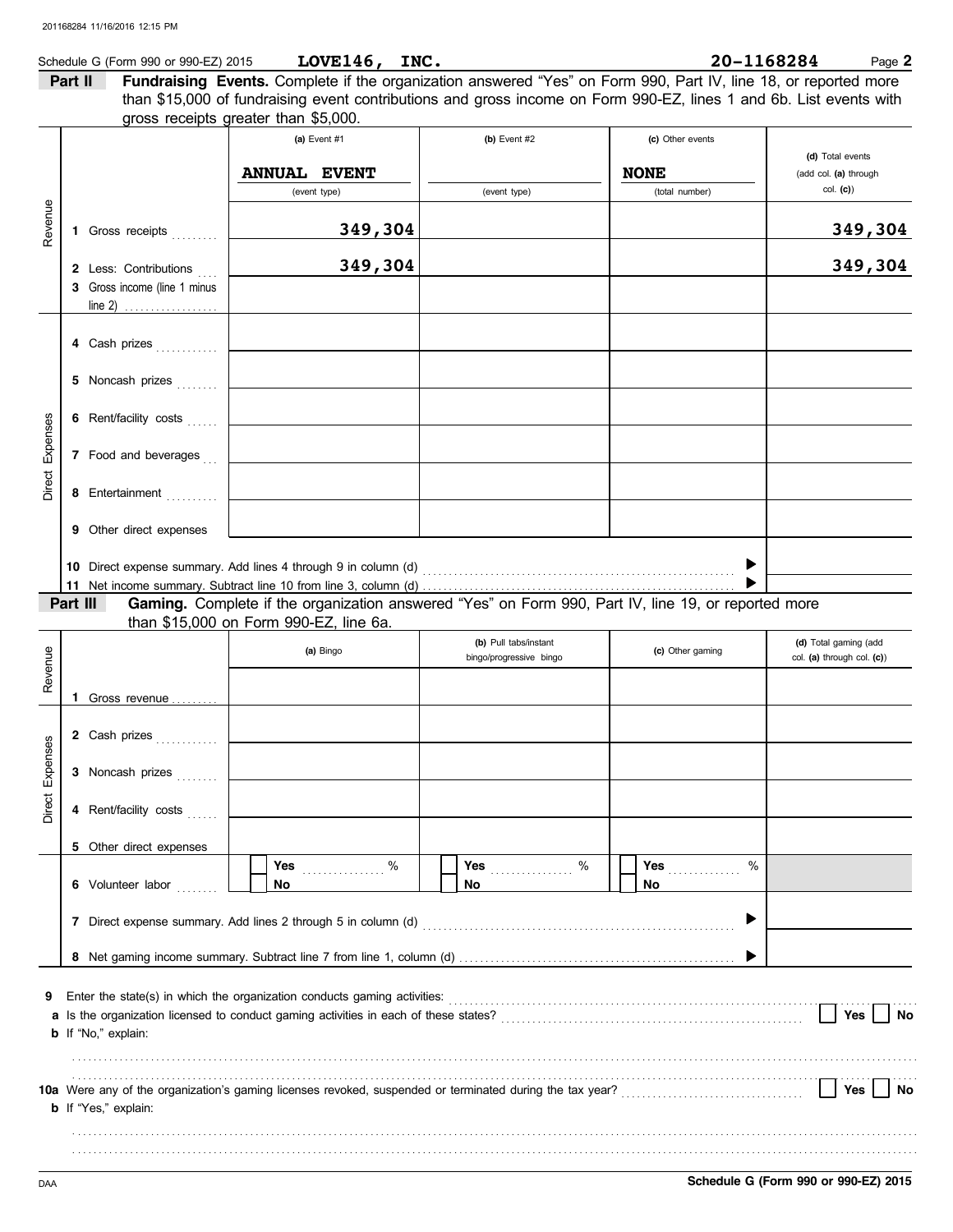| 1168284<br><b>LOVE146</b><br>INC.<br>20–<br>Schedule G (Form 990 or 990-EZ) 2015<br>$\log e$ $\geq$ |
|-----------------------------------------------------------------------------------------------------|
|-----------------------------------------------------------------------------------------------------|

**Part II Fundraising Events.** Complete if the organization answered "Yes" on Form 990, Part IV, line 18, or reported more gross receipts greater than \$5,000. than \$15,000 of fundraising event contributions and gross income on Form 990-EZ, lines 1 and 6b. List events with

| Revenue                | 1 Gross receipts<br>2 Less: Contributions<br>3 Gross income (line 1 minus<br>line 2) $\ldots$                                    | (a) Event $#1$<br><b>ANNUAL EVENT</b><br>(event type)<br>349,304<br>349,304                                                                   | (b) Event $#2$<br>(event type)                   | (c) Other events<br><b>NONE</b><br>(total number) | (d) Total events<br>(add col. (a) through<br>col. (c)<br>349,304<br>349,304 |
|------------------------|----------------------------------------------------------------------------------------------------------------------------------|-----------------------------------------------------------------------------------------------------------------------------------------------|--------------------------------------------------|---------------------------------------------------|-----------------------------------------------------------------------------|
| Direct Expenses        | 4 Cash prizes<br>5 Noncash prizes<br>6 Rent/facility costs<br>7 Food and beverages<br>8 Entertainment<br>9 Other direct expenses | 10 Direct expense summary. Add lines 4 through 9 in column (d)                                                                                |                                                  |                                                   |                                                                             |
|                        | Part III                                                                                                                         | Gaming. Complete if the organization answered "Yes" on Form 990, Part IV, line 19, or reported more<br>than \$15,000 on Form 990-EZ, line 6a. |                                                  |                                                   |                                                                             |
| Revenue                |                                                                                                                                  | (a) Bingo                                                                                                                                     | (b) Pull tabs/instant<br>bingo/progressive bingo | (c) Other gaming                                  | (d) Total gaming (add<br>col. (a) through col. (c))                         |
| <b>Direct Expenses</b> | <b>1</b> Gross revenue $\ldots$<br>2 Cash prizes<br>3 Noncash prizes<br>4 Rent/facility costs                                    |                                                                                                                                               |                                                  |                                                   |                                                                             |
|                        | 5 Other direct expenses<br>6 Volunteer labor                                                                                     | %<br><b>Yes</b><br>No                                                                                                                         | %<br><b>Yes</b> _______________<br>No            | <b>Yes</b><br>%<br>No                             |                                                                             |
| 9                      | <b>b</b> If "No," explain:                                                                                                       | Enter the state(s) in which the organization conducts gaming activities:                                                                      |                                                  |                                                   | Yes<br>No                                                                   |
|                        | <b>b</b> If "Yes," explain:                                                                                                      |                                                                                                                                               |                                                  |                                                   | Yes<br>No                                                                   |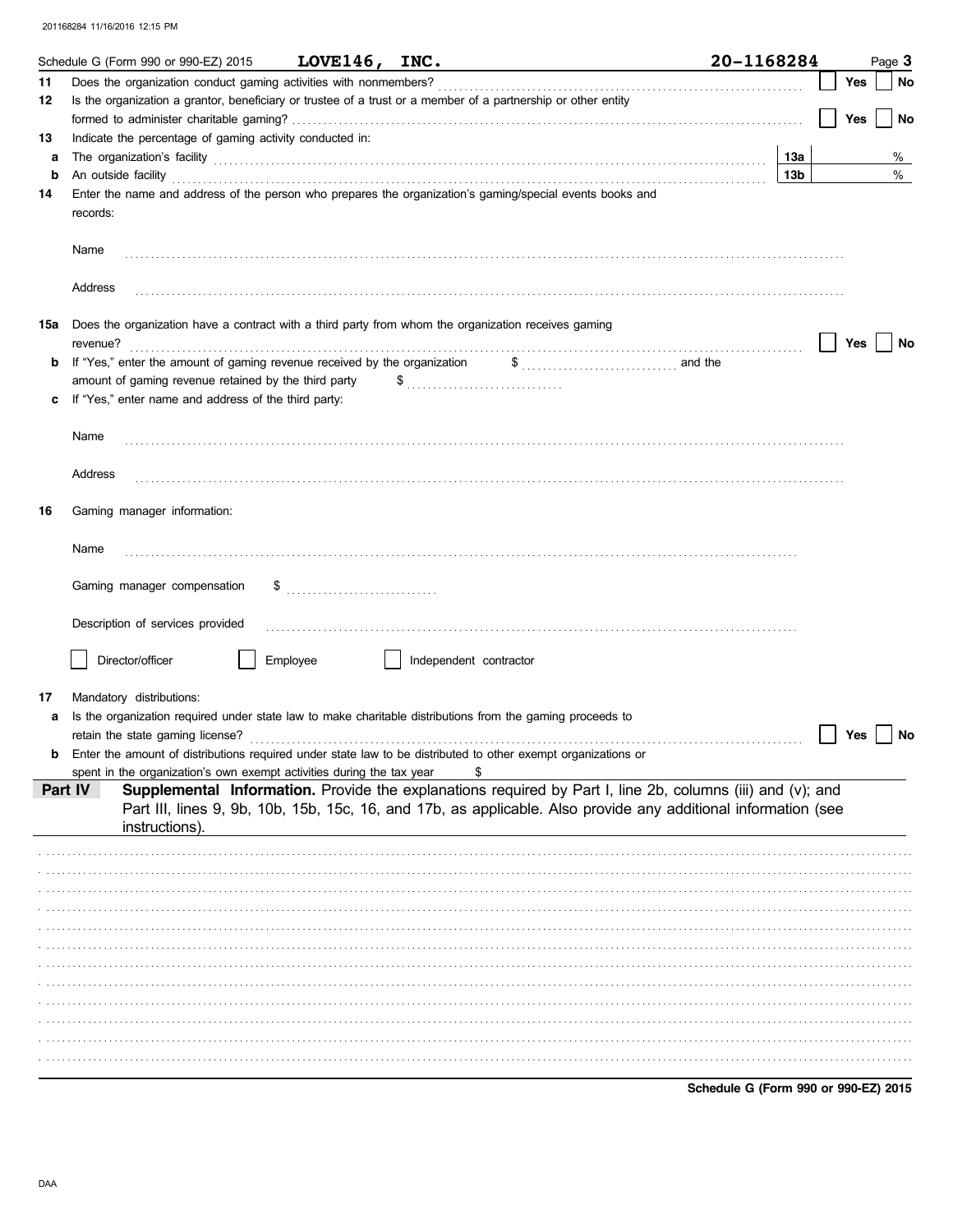|     | Schedule G (Form 990 or 990-EZ) 2015                                                                | LOVE146, INC. |                                                                  | 20-1168284                                                                                                                                                                                                                                              |     | Page 3 |
|-----|-----------------------------------------------------------------------------------------------------|---------------|------------------------------------------------------------------|---------------------------------------------------------------------------------------------------------------------------------------------------------------------------------------------------------------------------------------------------------|-----|--------|
| 11  | Does the organization conduct gaming activities with nonmembers?                                    |               |                                                                  |                                                                                                                                                                                                                                                         | Yes | No     |
| 12  |                                                                                                     |               |                                                                  | Is the organization a grantor, beneficiary or trustee of a trust or a member of a partnership or other entity                                                                                                                                           |     |        |
|     |                                                                                                     |               |                                                                  |                                                                                                                                                                                                                                                         | Yes | No     |
| 13  | Indicate the percentage of gaming activity conducted in:                                            |               |                                                                  |                                                                                                                                                                                                                                                         |     |        |
| a   |                                                                                                     |               |                                                                  | The organization's facility encouragement and the contract of the contract of the contract of the contract of the contract of the contract of the contract of the contract of the contract of the contract of the contract of<br>13а                    |     | %      |
| b   |                                                                                                     |               |                                                                  | 13 <sub>b</sub><br>An outside facility <b>contained a set of the contract of the contract of the contract of the contract of the contract of the contract of the contract of the contract of the contract of the contract of the contract of the co</b> |     | %      |
| 14  | records:                                                                                            |               |                                                                  | Enter the name and address of the person who prepares the organization's gaming/special events books and                                                                                                                                                |     |        |
|     | Name                                                                                                |               |                                                                  |                                                                                                                                                                                                                                                         |     |        |
|     | Address                                                                                             |               |                                                                  |                                                                                                                                                                                                                                                         |     |        |
| 15a | Does the organization have a contract with a third party from whom the organization receives gaming |               |                                                                  |                                                                                                                                                                                                                                                         | Yes |        |
|     | revenue?<br>If "Yes," enter the amount of gaming revenue received by the organization               |               |                                                                  | $\frac{1}{2}$ and the                                                                                                                                                                                                                                   |     | No     |
|     | amount of gaming revenue retained by the third party                                                |               | $\$\ldots\ldots\ldots\ldots\ldots\ldots\ldots\ldots\ldots\ldots$ |                                                                                                                                                                                                                                                         |     |        |
|     | If "Yes," enter name and address of the third party:                                                |               |                                                                  |                                                                                                                                                                                                                                                         |     |        |
|     |                                                                                                     |               |                                                                  |                                                                                                                                                                                                                                                         |     |        |
|     | Name                                                                                                |               |                                                                  |                                                                                                                                                                                                                                                         |     |        |
|     |                                                                                                     |               |                                                                  |                                                                                                                                                                                                                                                         |     |        |
|     | Address                                                                                             |               |                                                                  |                                                                                                                                                                                                                                                         |     |        |
|     |                                                                                                     |               |                                                                  |                                                                                                                                                                                                                                                         |     |        |
| 16  | Gaming manager information:                                                                         |               |                                                                  |                                                                                                                                                                                                                                                         |     |        |
|     |                                                                                                     |               |                                                                  |                                                                                                                                                                                                                                                         |     |        |
|     | Name                                                                                                |               |                                                                  |                                                                                                                                                                                                                                                         |     |        |
|     | Gaming manager compensation                                                                         |               |                                                                  |                                                                                                                                                                                                                                                         |     |        |
|     |                                                                                                     |               |                                                                  |                                                                                                                                                                                                                                                         |     |        |
|     | Description of services provided                                                                    |               |                                                                  |                                                                                                                                                                                                                                                         |     |        |
|     |                                                                                                     |               |                                                                  |                                                                                                                                                                                                                                                         |     |        |
|     | Director/officer                                                                                    | Employee      | Independent contractor                                           |                                                                                                                                                                                                                                                         |     |        |
|     |                                                                                                     |               |                                                                  |                                                                                                                                                                                                                                                         |     |        |
| 17  | Mandatory distributions:                                                                            |               |                                                                  |                                                                                                                                                                                                                                                         |     |        |
|     |                                                                                                     |               |                                                                  | Is the organization required under state law to make charitable distributions from the gaming proceeds to                                                                                                                                               |     |        |
|     | retain the state gaming license?                                                                    |               |                                                                  | Enter the amount of distributions required under state law to be distributed to other exempt organizations or                                                                                                                                           | Yes | No     |
|     | spent in the organization's own exempt activities during the tax year                               |               | \$                                                               |                                                                                                                                                                                                                                                         |     |        |
|     | Part IV                                                                                             |               |                                                                  | Supplemental Information. Provide the explanations required by Part I, line 2b, columns (iii) and (v); and                                                                                                                                              |     |        |
|     | instructions).                                                                                      |               |                                                                  | Part III, lines 9, 9b, 10b, 15b, 15c, 16, and 17b, as applicable. Also provide any additional information (see                                                                                                                                          |     |        |
|     |                                                                                                     |               |                                                                  |                                                                                                                                                                                                                                                         |     |        |
|     |                                                                                                     |               |                                                                  |                                                                                                                                                                                                                                                         |     |        |
|     |                                                                                                     |               |                                                                  |                                                                                                                                                                                                                                                         |     |        |
|     |                                                                                                     |               |                                                                  |                                                                                                                                                                                                                                                         |     |        |
|     |                                                                                                     |               |                                                                  |                                                                                                                                                                                                                                                         |     |        |
|     |                                                                                                     |               |                                                                  |                                                                                                                                                                                                                                                         |     |        |
|     |                                                                                                     |               |                                                                  |                                                                                                                                                                                                                                                         |     |        |
|     |                                                                                                     |               |                                                                  |                                                                                                                                                                                                                                                         |     |        |
|     |                                                                                                     |               |                                                                  |                                                                                                                                                                                                                                                         |     |        |
|     |                                                                                                     |               |                                                                  |                                                                                                                                                                                                                                                         |     |        |
|     |                                                                                                     |               |                                                                  |                                                                                                                                                                                                                                                         |     |        |
|     |                                                                                                     |               |                                                                  |                                                                                                                                                                                                                                                         |     |        |
|     |                                                                                                     |               |                                                                  | Schedule G (Form 990 or 990-EZ) 2015                                                                                                                                                                                                                    |     |        |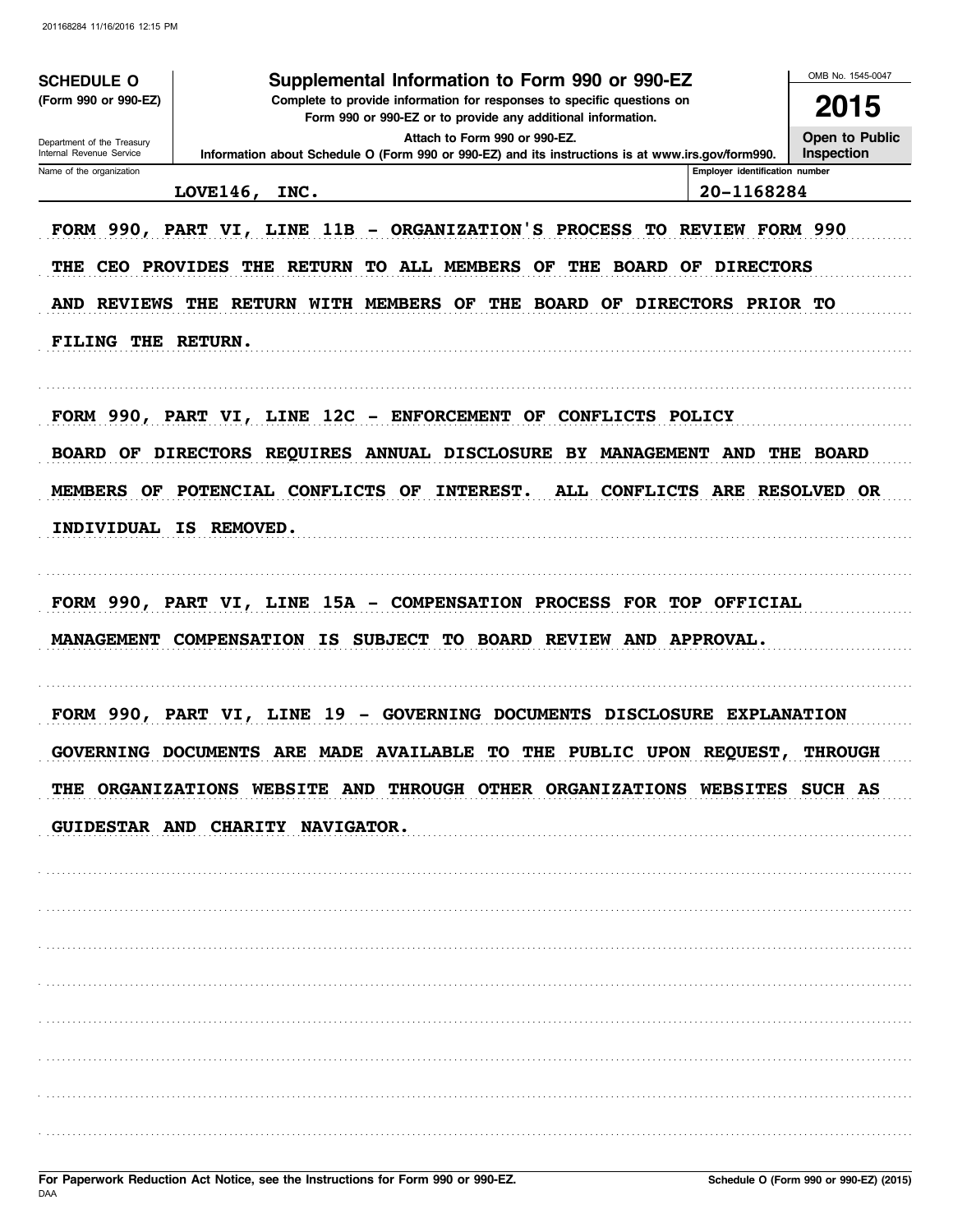| <b>SCHEDULE O</b>                                      | Supplemental Information to Form 990 or 990-EZ                                                                                                                                                                               |                                | OMB No. 1545-0047            |
|--------------------------------------------------------|------------------------------------------------------------------------------------------------------------------------------------------------------------------------------------------------------------------------------|--------------------------------|------------------------------|
| (Form 990 or 990-EZ)                                   | Complete to provide information for responses to specific questions on<br>Form 990 or 990-EZ or to provide any additional information.                                                                                       |                                | 2015                         |
| Department of the Treasury<br>Internal Revenue Service | Attach to Form 990 or 990-EZ.<br>Information about Schedule O (Form 990 or 990-EZ) and its instructions is at www.irs.gov/form990.                                                                                           |                                | Open to Public<br>Inspection |
| Name of the organization                               |                                                                                                                                                                                                                              | Employer identification number |                              |
|                                                        | <b>LOVE146,</b><br>INC.                                                                                                                                                                                                      | 20-1168284                     |                              |
|                                                        | FORM 990, PART VI, LINE 11B - ORGANIZATION'S PROCESS TO REVIEW FORM 990<br>THE CEO PROVIDES THE RETURN<br>TO ALL MEMBERS OF THE BOARD OF DIRECTORS<br>AND REVIEWS THE RETURN WITH MEMBERS OF THE BOARD OF DIRECTORS PRIOR TO |                                |                              |
| FILING THE RETURN.                                     |                                                                                                                                                                                                                              |                                |                              |
|                                                        | FORM 990, PART VI, LINE 12C - ENFORCEMENT OF CONFLICTS POLICY                                                                                                                                                                |                                |                              |
| <b>BOARD OF</b>                                        | DIRECTORS REQUIRES ANNUAL DISCLOSURE BY MANAGEMENT AND                                                                                                                                                                       |                                | THE BOARD                    |
| MEMBERS OF                                             | <b>INTEREST.</b><br>ALL CONFLICTS ARE RESOLVED OR<br>POTENCIAL CONFLICTS OF                                                                                                                                                  |                                |                              |
|                                                        | INDIVIDUAL IS REMOVED.                                                                                                                                                                                                       |                                |                              |
|                                                        | FORM 990, PART VI, LINE 15A - COMPENSATION PROCESS FOR TOP OFFICIAL<br>MANAGEMENT COMPENSATION IS SUBJECT TO BOARD REVIEW AND APPROVAL.                                                                                      |                                |                              |
|                                                        | FORM 990, PART VI, LINE 19 - GOVERNING DOCUMENTS DISCLOSURE EXPLANATION<br>GOVERNING DOCUMENTS ARE MADE AVAILABLE TO THE PUBLIC UPON REOUEST                                                                                 |                                | <b>THROUGH</b>               |
|                                                        | THE ORGANIZATIONS WEBSITE AND THROUGH OTHER ORGANIZATIONS WEBSITES SUCH AS                                                                                                                                                   |                                |                              |
|                                                        | GUIDESTAR AND CHARITY NAVIGATOR.                                                                                                                                                                                             |                                |                              |
|                                                        |                                                                                                                                                                                                                              |                                |                              |
|                                                        |                                                                                                                                                                                                                              |                                |                              |
|                                                        |                                                                                                                                                                                                                              |                                |                              |
|                                                        |                                                                                                                                                                                                                              |                                |                              |
|                                                        |                                                                                                                                                                                                                              |                                |                              |
|                                                        |                                                                                                                                                                                                                              |                                |                              |
|                                                        |                                                                                                                                                                                                                              |                                |                              |
|                                                        |                                                                                                                                                                                                                              |                                |                              |